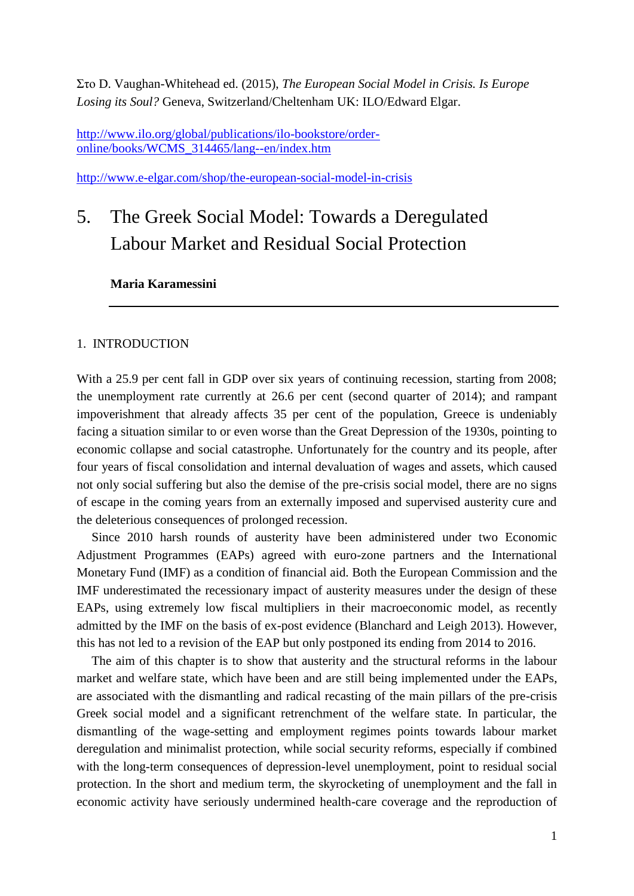Στο D. Vaughan-Whitehead ed. (2015), *The European Social Model in Crisis. Is Europe Losing its Soul?* Geneva, Switzerland/Cheltenham UK: ILO/Edward Elgar.

[http://www.ilo.org/global/publications/ilo-bookstore/order](http://www.ilo.org/global/publications/ilo-bookstore/order-online/books/WCMS_314465/lang--en/index.htm)[online/books/WCMS\\_314465/lang--en/index.htm](http://www.ilo.org/global/publications/ilo-bookstore/order-online/books/WCMS_314465/lang--en/index.htm)

<http://www.e-elgar.com/shop/the-european-social-model-in-crisis>

# 5. The Greek Social Model: Towards a Deregulated Labour Market and Residual Social Protection

**Maria Karamessini**

### 1. INTRODUCTION

With a 25.9 per cent fall in GDP over six years of continuing recession, starting from 2008; the unemployment rate currently at 26.6 per cent (second quarter of 2014); and rampant impoverishment that already affects 35 per cent of the population, Greece is undeniably facing a situation similar to or even worse than the Great Depression of the 1930s, pointing to economic collapse and social catastrophe. Unfortunately for the country and its people, after four years of fiscal consolidation and internal devaluation of wages and assets, which caused not only social suffering but also the demise of the pre-crisis social model, there are no signs of escape in the coming years from an externally imposed and supervised austerity cure and the deleterious consequences of prolonged recession.

Since 2010 harsh rounds of austerity have been administered under two Economic Adjustment Programmes (EAPs) agreed with euro-zone partners and the International Monetary Fund (IMF) as a condition of financial aid. Both the European Commission and the IMF underestimated the recessionary impact of austerity measures under the design of these EAPs, using extremely low fiscal multipliers in their macroeconomic model, as recently admitted by the IMF on the basis of ex-post evidence (Blanchard and Leigh 2013). However, this has not led to a revision of the EAP but only postponed its ending from 2014 to 2016.

The aim of this chapter is to show that austerity and the structural reforms in the labour market and welfare state, which have been and are still being implemented under the EAPs, are associated with the dismantling and radical recasting of the main pillars of the pre-crisis Greek social model and a significant retrenchment of the welfare state. In particular, the dismantling of the wage-setting and employment regimes points towards labour market deregulation and minimalist protection, while social security reforms, especially if combined with the long-term consequences of depression-level unemployment, point to residual social protection. In the short and medium term, the skyrocketing of unemployment and the fall in economic activity have seriously undermined health-care coverage and the reproduction of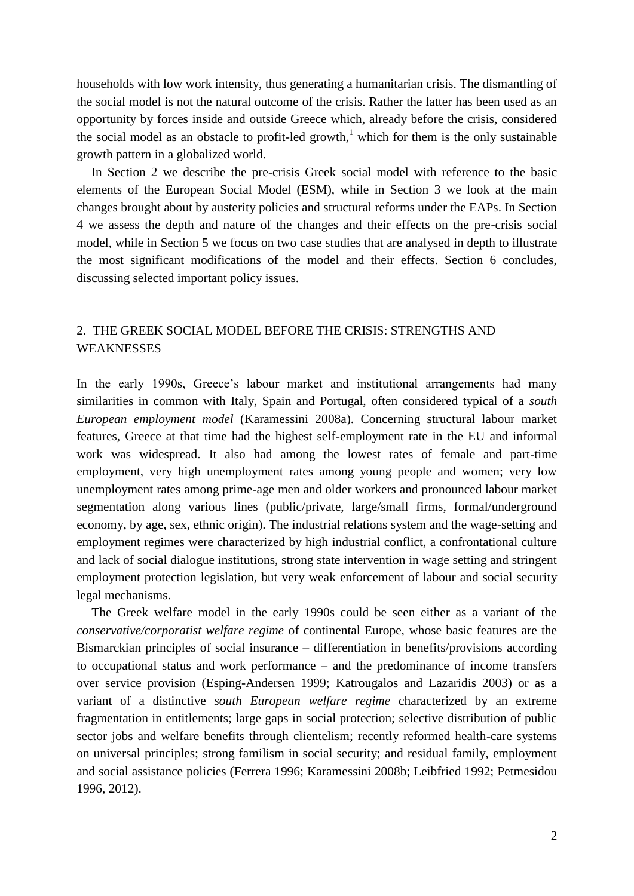households with low work intensity, thus generating a humanitarian crisis. The dismantling of the social model is not the natural outcome of the crisis. Rather the latter has been used as an opportunity by forces inside and outside Greece which, already before the crisis, considered the social model as an obstacle to profit-led growth,<sup>1</sup> which for them is the only sustainable growth pattern in a globalized world.

In Section 2 we describe the pre-crisis Greek social model with reference to the basic elements of the European Social Model (ESM), while in Section 3 we look at the main changes brought about by austerity policies and structural reforms under the EAPs. In Section 4 we assess the depth and nature of the changes and their effects on the pre-crisis social model, while in Section 5 we focus on two case studies that are analysed in depth to illustrate the most significant modifications of the model and their effects. Section 6 concludes, discussing selected important policy issues.

# 2. THE GREEK SOCIAL MODEL BEFORE THE CRISIS: STRENGTHS AND WEAKNESSES

In the early 1990s, Greece's labour market and institutional arrangements had many similarities in common with Italy, Spain and Portugal, often considered typical of a *south European employment model* (Karamessini 2008a). Concerning structural labour market features, Greece at that time had the highest self-employment rate in the EU and informal work was widespread. It also had among the lowest rates of female and part-time employment, very high unemployment rates among young people and women; very low unemployment rates among prime-age men and older workers and pronounced labour market segmentation along various lines (public/private, large/small firms, formal/underground economy, by age, sex, ethnic origin). The industrial relations system and the wage-setting and employment regimes were characterized by high industrial conflict, a confrontational culture and lack of social dialogue institutions, strong state intervention in wage setting and stringent employment protection legislation, but very weak enforcement of labour and social security legal mechanisms.

The Greek welfare model in the early 1990s could be seen either as a variant of the *conservative/corporatist welfare regime* of continental Europe, whose basic features are the Bismarckian principles of social insurance – differentiation in benefits/provisions according to occupational status and work performance – and the predominance of income transfers over service provision (Esping-Andersen 1999; Katrougalos and Lazaridis 2003) or as a variant of a distinctive *south European welfare regime* characterized by an extreme fragmentation in entitlements; large gaps in social protection; selective distribution of public sector jobs and welfare benefits through clientelism; recently reformed health-care systems on universal principles; strong familism in social security; and residual family, employment and social assistance policies (Ferrera 1996; Karamessini 2008b; Leibfried 1992; Petmesidou 1996, 2012).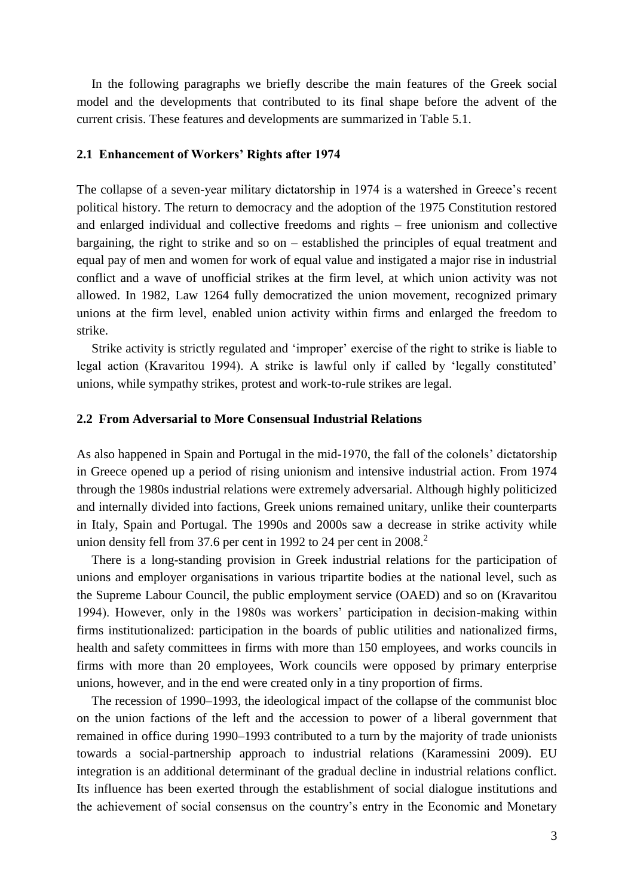In the following paragraphs we briefly describe the main features of the Greek social model and the developments that contributed to its final shape before the advent of the current crisis. These features and developments are summarized in Table 5.1.

#### **2.1 Enhancement of Workers' Rights after 1974**

The collapse of a seven-year military dictatorship in 1974 is a watershed in Greece's recent political history. The return to democracy and the adoption of the 1975 Constitution restored and enlarged individual and collective freedoms and rights – free unionism and collective bargaining, the right to strike and so on – established the principles of equal treatment and equal pay of men and women for work of equal value and instigated a major rise in industrial conflict and a wave of unofficial strikes at the firm level, at which union activity was not allowed. In 1982, Law 1264 fully democratized the union movement, recognized primary unions at the firm level, enabled union activity within firms and enlarged the freedom to strike.

Strike activity is strictly regulated and 'improper' exercise of the right to strike is liable to legal action (Kravaritou 1994). A strike is lawful only if called by 'legally constituted' unions, while sympathy strikes, protest and work-to-rule strikes are legal.

### **2.2 From Adversarial to More Consensual Industrial Relations**

As also happened in Spain and Portugal in the mid-1970, the fall of the colonels' dictatorship in Greece opened up a period of rising unionism and intensive industrial action. From 1974 through the 1980s industrial relations were extremely adversarial. Although highly politicized and internally divided into factions, Greek unions remained unitary, unlike their counterparts in Italy, Spain and Portugal. The 1990s and 2000s saw a decrease in strike activity while union density fell from 37.6 per cent in 1992 to 24 per cent in  $2008$ <sup>2</sup>

There is a long-standing provision in Greek industrial relations for the participation of unions and employer organisations in various tripartite bodies at the national level, such as the Supreme Labour Council, the public employment service (OAED) and so on (Kravaritou 1994). However, only in the 1980s was workers' participation in decision-making within firms institutionalized: participation in the boards of public utilities and nationalized firms, health and safety committees in firms with more than 150 employees, and works councils in firms with more than 20 employees, Work councils were opposed by primary enterprise unions, however, and in the end were created only in a tiny proportion of firms.

The recession of 1990–1993, the ideological impact of the collapse of the communist bloc on the union factions of the left and the accession to power of a liberal government that remained in office during 1990–1993 contributed to a turn by the majority of trade unionists towards a social-partnership approach to industrial relations (Karamessini 2009). EU integration is an additional determinant of the gradual decline in industrial relations conflict. Its influence has been exerted through the establishment of social dialogue institutions and the achievement of social consensus on the country's entry in the Economic and Monetary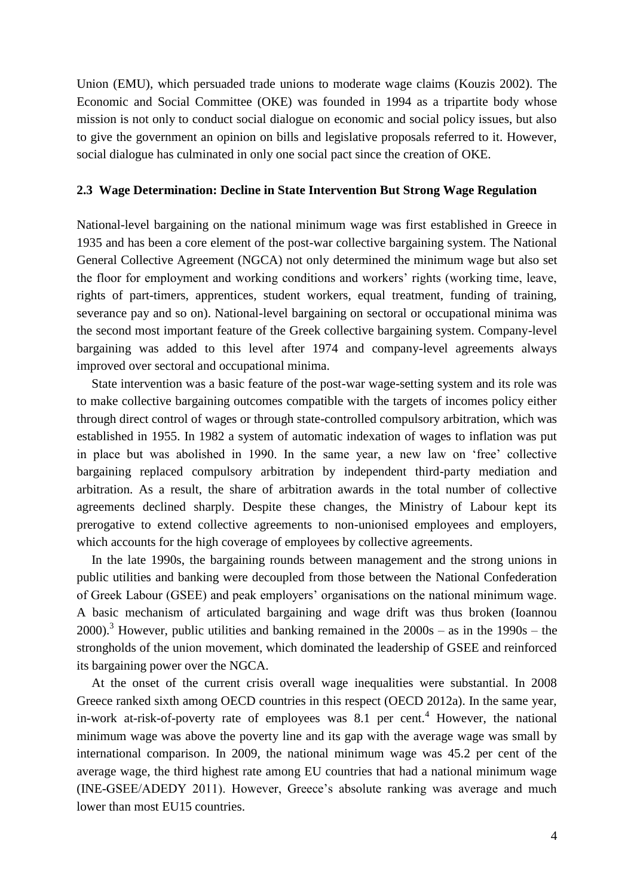Union (EMU), which persuaded trade unions to moderate wage claims (Kouzis 2002). The Economic and Social Committee (OKE) was founded in 1994 as a tripartite body whose mission is not only to conduct social dialogue on economic and social policy issues, but also to give the government an opinion on bills and legislative proposals referred to it. However, social dialogue has culminated in only one social pact since the creation of OKE.

### **2.3 Wage Determination: Decline in State Intervention But Strong Wage Regulation**

National-level bargaining on the national minimum wage was first established in Greece in 1935 and has been a core element of the post-war collective bargaining system. The National General Collective Agreement (NGCA) not only determined the minimum wage but also set the floor for employment and working conditions and workers' rights (working time, leave, rights of part-timers, apprentices, student workers, equal treatment, funding of training, severance pay and so on). National-level bargaining on sectoral or occupational minima was the second most important feature of the Greek collective bargaining system. Company-level bargaining was added to this level after 1974 and company-level agreements always improved over sectoral and occupational minima.

State intervention was a basic feature of the post-war wage-setting system and its role was to make collective bargaining outcomes compatible with the targets of incomes policy either through direct control of wages or through state-controlled compulsory arbitration, which was established in 1955. In 1982 a system of automatic indexation of wages to inflation was put in place but was abolished in 1990. In the same year, a new law on 'free' collective bargaining replaced compulsory arbitration by independent third-party mediation and arbitration. As a result, the share of arbitration awards in the total number of collective agreements declined sharply. Despite these changes, the Ministry of Labour kept its prerogative to extend collective agreements to non-unionised employees and employers, which accounts for the high coverage of employees by collective agreements.

In the late 1990s, the bargaining rounds between management and the strong unions in public utilities and banking were decoupled from those between the National Confederation of Greek Labour (GSEE) and peak employers' organisations on the national minimum wage. A basic mechanism of articulated bargaining and wage drift was thus broken (Ioannou 2000).<sup>3</sup> However, public utilities and banking remained in the  $2000s - as$  in the 1990s – the strongholds of the union movement, which dominated the leadership of GSEE and reinforced its bargaining power over the NGCA.

At the onset of the current crisis overall wage inequalities were substantial. In 2008 Greece ranked sixth among OECD countries in this respect (OECD 2012a). In the same year, in-work at-risk-of-poverty rate of employees was  $8.1$  per cent.<sup>4</sup> However, the national minimum wage was above the poverty line and its gap with the average wage was small by international comparison. In 2009, the national minimum wage was 45.2 per cent of the average wage, the third highest rate among EU countries that had a national minimum wage (INE-GSEE/ADEDY 2011). However, Greece's absolute ranking was average and much lower than most EU15 countries.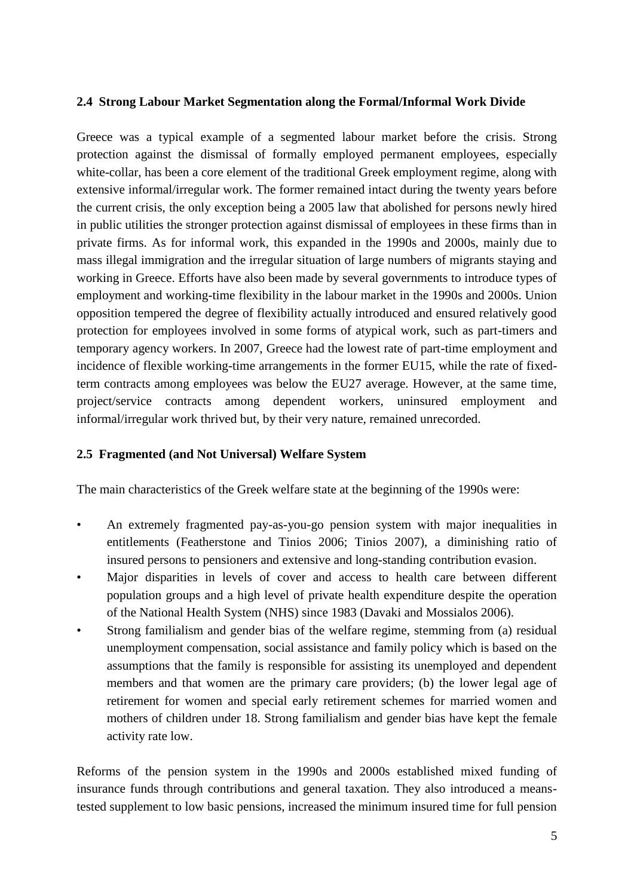# **2.4 Strong Labour Market Segmentation along the Formal/Informal Work Divide**

Greece was a typical example of a segmented labour market before the crisis. Strong protection against the dismissal of formally employed permanent employees, especially white-collar, has been a core element of the traditional Greek employment regime, along with extensive informal/irregular work. The former remained intact during the twenty years before the current crisis, the only exception being a 2005 law that abolished for persons newly hired in public utilities the stronger protection against dismissal of employees in these firms than in private firms. As for informal work, this expanded in the 1990s and 2000s, mainly due to mass illegal immigration and the irregular situation of large numbers of migrants staying and working in Greece. Efforts have also been made by several governments to introduce types of employment and working-time flexibility in the labour market in the 1990s and 2000s. Union opposition tempered the degree of flexibility actually introduced and ensured relatively good protection for employees involved in some forms of atypical work, such as part-timers and temporary agency workers. In 2007, Greece had the lowest rate of part-time employment and incidence of flexible working-time arrangements in the former EU15, while the rate of fixedterm contracts among employees was below the EU27 average. However, at the same time, project/service contracts among dependent workers, uninsured employment and informal/irregular work thrived but, by their very nature, remained unrecorded.

# **2.5 Fragmented (and Not Universal) Welfare System**

The main characteristics of the Greek welfare state at the beginning of the 1990s were:

- An extremely fragmented pay-as-you-go pension system with major inequalities in entitlements (Featherstone and Tinios 2006; Tinios 2007), a diminishing ratio of insured persons to pensioners and extensive and long-standing contribution evasion.
- Major disparities in levels of cover and access to health care between different population groups and a high level of private health expenditure despite the operation of the National Health System (NHS) since 1983 (Davaki and Mossialos 2006).
- Strong familialism and gender bias of the welfare regime, stemming from (a) residual unemployment compensation, social assistance and family policy which is based on the assumptions that the family is responsible for assisting its unemployed and dependent members and that women are the primary care providers; (b) the lower legal age of retirement for women and special early retirement schemes for married women and mothers of children under 18. Strong familialism and gender bias have kept the female activity rate low.

Reforms of the pension system in the 1990s and 2000s established mixed funding of insurance funds through contributions and general taxation. They also introduced a meanstested supplement to low basic pensions, increased the minimum insured time for full pension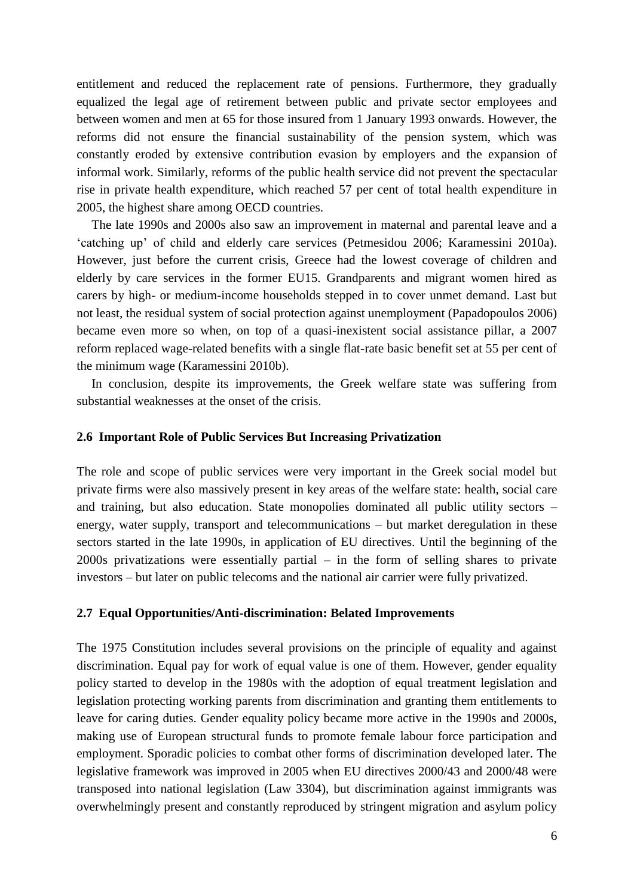entitlement and reduced the replacement rate of pensions. Furthermore, they gradually equalized the legal age of retirement between public and private sector employees and between women and men at 65 for those insured from 1 January 1993 onwards. However, the reforms did not ensure the financial sustainability of the pension system, which was constantly eroded by extensive contribution evasion by employers and the expansion of informal work. Similarly, reforms of the public health service did not prevent the spectacular rise in private health expenditure, which reached 57 per cent of total health expenditure in 2005, the highest share among OECD countries.

The late 1990s and 2000s also saw an improvement in maternal and parental leave and a 'catching up' of child and elderly care services (Petmesidou 2006; Karamessini 2010a). However, just before the current crisis, Greece had the lowest coverage of children and elderly by care services in the former EU15. Grandparents and migrant women hired as carers by high- or medium-income households stepped in to cover unmet demand. Last but not least, the residual system of social protection against unemployment (Papadopoulos 2006) became even more so when, on top of a quasi-inexistent social assistance pillar, a 2007 reform replaced wage-related benefits with a single flat-rate basic benefit set at 55 per cent of the minimum wage (Karamessini 2010b).

In conclusion, despite its improvements, the Greek welfare state was suffering from substantial weaknesses at the onset of the crisis.

# **2.6 Important Role of Public Services But Increasing Privatization**

The role and scope of public services were very important in the Greek social model but private firms were also massively present in key areas of the welfare state: health, social care and training, but also education. State monopolies dominated all public utility sectors – energy, water supply, transport and telecommunications – but market deregulation in these sectors started in the late 1990s, in application of EU directives. Until the beginning of the 2000s privatizations were essentially partial – in the form of selling shares to private investors – but later on public telecoms and the national air carrier were fully privatized.

### **2.7 Equal Opportunities/Anti-discrimination: Belated Improvements**

The 1975 Constitution includes several provisions on the principle of equality and against discrimination. Equal pay for work of equal value is one of them. However, gender equality policy started to develop in the 1980s with the adoption of equal treatment legislation and legislation protecting working parents from discrimination and granting them entitlements to leave for caring duties. Gender equality policy became more active in the 1990s and 2000s, making use of European structural funds to promote female labour force participation and employment. Sporadic policies to combat other forms of discrimination developed later. The legislative framework was improved in 2005 when EU directives 2000/43 and 2000/48 were transposed into national legislation (Law 3304), but discrimination against immigrants was overwhelmingly present and constantly reproduced by stringent migration and asylum policy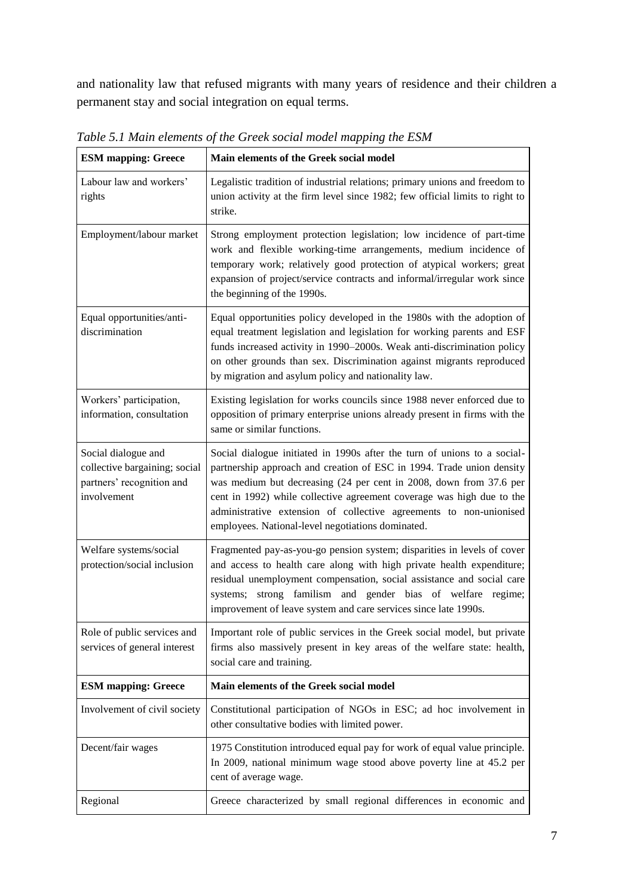and nationality law that refused migrants with many years of residence and their children a permanent stay and social integration on equal terms.

| <b>ESM</b> mapping: Greece                                                                       | Main elements of the Greek social model                                                                                                                                                                                                                                                                                                                                                                                     |
|--------------------------------------------------------------------------------------------------|-----------------------------------------------------------------------------------------------------------------------------------------------------------------------------------------------------------------------------------------------------------------------------------------------------------------------------------------------------------------------------------------------------------------------------|
| Labour law and workers'<br>rights                                                                | Legalistic tradition of industrial relations; primary unions and freedom to<br>union activity at the firm level since 1982; few official limits to right to<br>strike.                                                                                                                                                                                                                                                      |
| Employment/labour market                                                                         | Strong employment protection legislation; low incidence of part-time<br>work and flexible working-time arrangements, medium incidence of<br>temporary work; relatively good protection of atypical workers; great<br>expansion of project/service contracts and informal/irregular work since<br>the beginning of the 1990s.                                                                                                |
| Equal opportunities/anti-<br>discrimination                                                      | Equal opportunities policy developed in the 1980s with the adoption of<br>equal treatment legislation and legislation for working parents and ESF<br>funds increased activity in 1990-2000s. Weak anti-discrimination policy<br>on other grounds than sex. Discrimination against migrants reproduced<br>by migration and asylum policy and nationality law.                                                                |
| Workers' participation,<br>information, consultation                                             | Existing legislation for works councils since 1988 never enforced due to<br>opposition of primary enterprise unions already present in firms with the<br>same or similar functions.                                                                                                                                                                                                                                         |
| Social dialogue and<br>collective bargaining; social<br>partners' recognition and<br>involvement | Social dialogue initiated in 1990s after the turn of unions to a social-<br>partnership approach and creation of ESC in 1994. Trade union density<br>was medium but decreasing (24 per cent in 2008, down from 37.6 per<br>cent in 1992) while collective agreement coverage was high due to the<br>administrative extension of collective agreements to non-unionised<br>employees. National-level negotiations dominated. |
| Welfare systems/social<br>protection/social inclusion                                            | Fragmented pay-as-you-go pension system; disparities in levels of cover<br>and access to health care along with high private health expenditure;<br>residual unemployment compensation, social assistance and social care<br>systems; strong familism and gender bias of welfare regime;<br>improvement of leave system and care services since late 1990s.                                                                 |
| Role of public services and<br>services of general interest                                      | Important role of public services in the Greek social model, but private<br>firms also massively present in key areas of the welfare state: health,<br>social care and training.                                                                                                                                                                                                                                            |
| <b>ESM</b> mapping: Greece                                                                       | Main elements of the Greek social model                                                                                                                                                                                                                                                                                                                                                                                     |
| Involvement of civil society                                                                     | Constitutional participation of NGOs in ESC; ad hoc involvement in<br>other consultative bodies with limited power.                                                                                                                                                                                                                                                                                                         |
| Decent/fair wages                                                                                | 1975 Constitution introduced equal pay for work of equal value principle.<br>In 2009, national minimum wage stood above poverty line at 45.2 per<br>cent of average wage.                                                                                                                                                                                                                                                   |
| Regional                                                                                         | Greece characterized by small regional differences in economic and                                                                                                                                                                                                                                                                                                                                                          |

*Table 5.1 Main elements of the Greek social model mapping the ESM*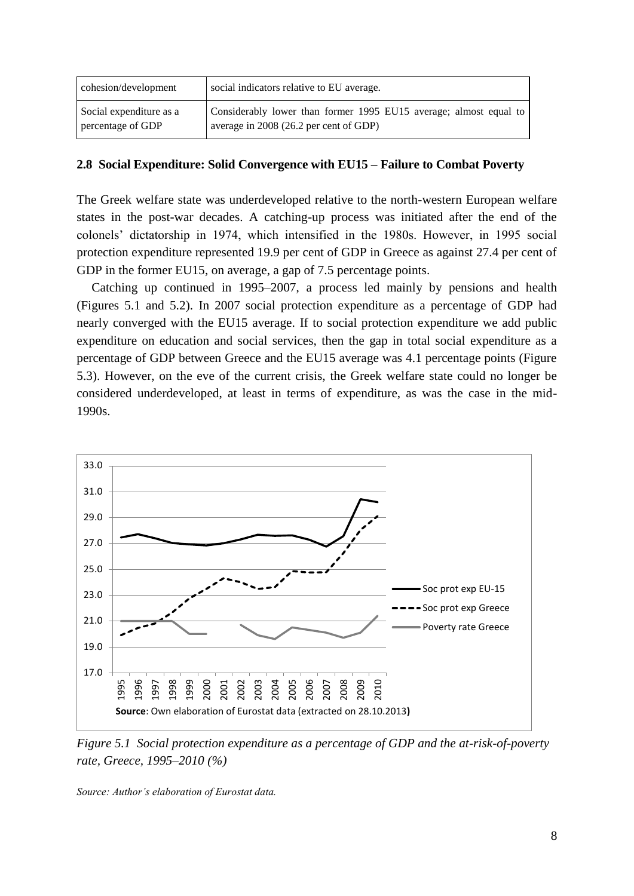| cohesion/development    | social indicators relative to EU average.                         |
|-------------------------|-------------------------------------------------------------------|
| Social expenditure as a | Considerably lower than former 1995 EU15 average; almost equal to |
| percentage of GDP       | average in 2008 (26.2 per cent of GDP)                            |

# **2.8 Social Expenditure: Solid Convergence with EU15 – Failure to Combat Poverty**

The Greek welfare state was underdeveloped relative to the north-western European welfare states in the post-war decades. A catching-up process was initiated after the end of the colonels' dictatorship in 1974, which intensified in the 1980s. However, in 1995 social protection expenditure represented 19.9 per cent of GDP in Greece as against 27.4 per cent of GDP in the former EU15, on average, a gap of 7.5 percentage points.

Catching up continued in 1995–2007, a process led mainly by pensions and health (Figures 5.1 and 5.2). In 2007 social protection expenditure as a percentage of GDP had nearly converged with the EU15 average. If to social protection expenditure we add public expenditure on education and social services, then the gap in total social expenditure as a percentage of GDP between Greece and the EU15 average was 4.1 percentage points (Figure 5.3). However, on the eve of the current crisis, the Greek welfare state could no longer be considered underdeveloped, at least in terms of expenditure, as was the case in the mid-1990s.



*Figure 5.1 Social protection expenditure as a percentage of GDP and the at-risk-of-poverty rate, Greece, 1995–2010 (%)*

*Source: Author's elaboration of Eurostat data.*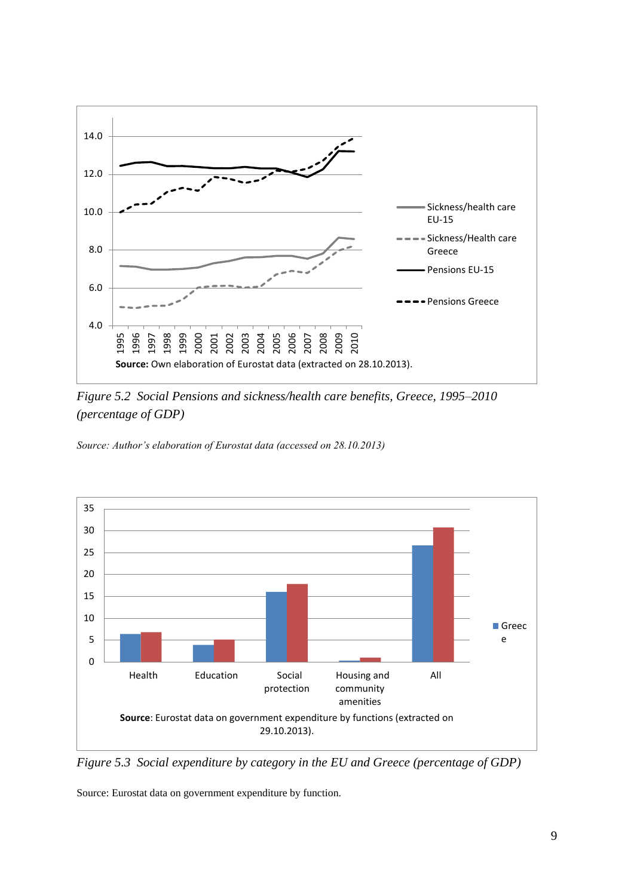

*Figure 5.2 Social Pensions and sickness/health care benefits, Greece, 1995–2010 (percentage of GDP)*

*Source: Author's elaboration of Eurostat data (accessed on 28.10.2013)*



*Figure 5.3 Social expenditure by category in the EU and Greece (percentage of GDP)*

Source: Eurostat data on government expenditure by function.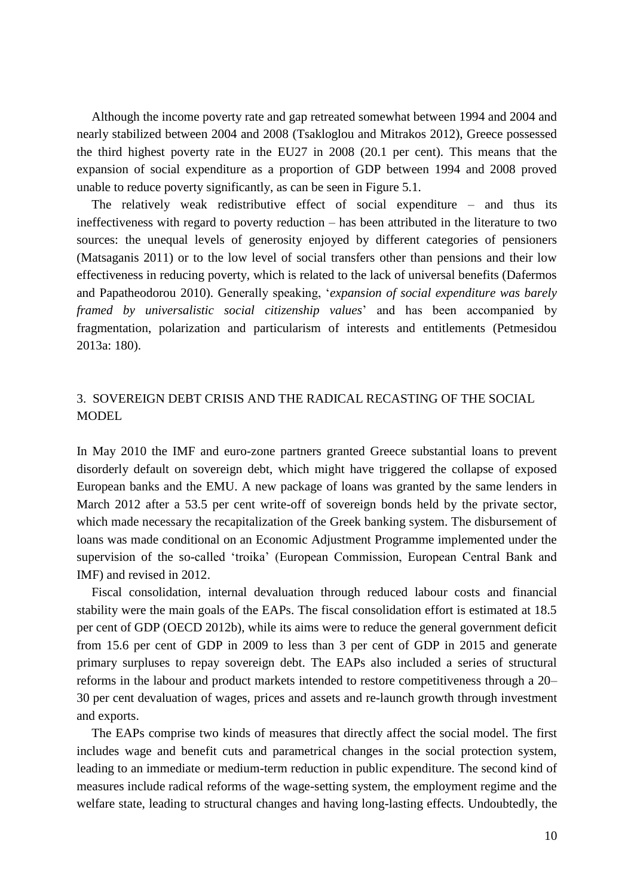Although the income poverty rate and gap retreated somewhat between 1994 and 2004 and nearly stabilized between 2004 and 2008 (Tsakloglou and Mitrakos 2012), Greece possessed the third highest poverty rate in the EU27 in 2008 (20.1 per cent). This means that the expansion of social expenditure as a proportion of GDP between 1994 and 2008 proved unable to reduce poverty significantly, as can be seen in Figure 5.1.

The relatively weak redistributive effect of social expenditure – and thus its ineffectiveness with regard to poverty reduction – has been attributed in the literature to two sources: the unequal levels of generosity enjoyed by different categories of pensioners (Matsaganis 2011) or to the low level of social transfers other than pensions and their low effectiveness in reducing poverty, which is related to the lack of universal benefits (Dafermos and Papatheodorou 2010). Generally speaking, '*expansion of social expenditure was barely framed by universalistic social citizenship values*' and has been accompanied by fragmentation, polarization and particularism of interests and entitlements (Petmesidou 2013a: 180).

# 3. SOVEREIGN DEBT CRISIS AND THE RADICAL RECASTING OF THE SOCIAL MODEL

In May 2010 the IMF and euro-zone partners granted Greece substantial loans to prevent disorderly default on sovereign debt, which might have triggered the collapse of exposed European banks and the EMU. A new package of loans was granted by the same lenders in March 2012 after a 53.5 per cent write-off of sovereign bonds held by the private sector, which made necessary the recapitalization of the Greek banking system. The disbursement of loans was made conditional on an Economic Adjustment Programme implemented under the supervision of the so-called 'troika' (European Commission, European Central Bank and IMF) and revised in 2012.

Fiscal consolidation, internal devaluation through reduced labour costs and financial stability were the main goals of the EAPs. The fiscal consolidation effort is estimated at 18.5 per cent of GDP (OECD 2012b), while its aims were to reduce the general government deficit from 15.6 per cent of GDP in 2009 to less than 3 per cent of GDP in 2015 and generate primary surpluses to repay sovereign debt. The EAPs also included a series of structural reforms in the labour and product markets intended to restore competitiveness through a 20– 30 per cent devaluation of wages, prices and assets and re-launch growth through investment and exports.

The EAPs comprise two kinds of measures that directly affect the social model. The first includes wage and benefit cuts and parametrical changes in the social protection system, leading to an immediate or medium-term reduction in public expenditure. The second kind of measures include radical reforms of the wage-setting system, the employment regime and the welfare state, leading to structural changes and having long-lasting effects. Undoubtedly, the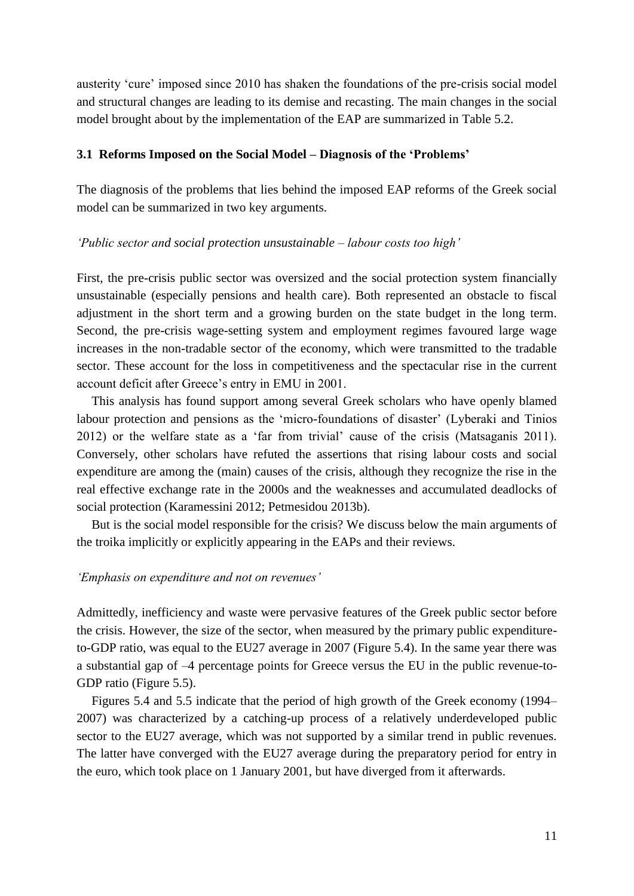austerity 'cure' imposed since 2010 has shaken the foundations of the pre-crisis social model and structural changes are leading to its demise and recasting. The main changes in the social model brought about by the implementation of the EAP are summarized in Table 5.2.

#### **3.1 Reforms Imposed on the Social Model – Diagnosis of the 'Problems'**

The diagnosis of the problems that lies behind the imposed EAP reforms of the Greek social model can be summarized in two key arguments.

### *'Public sector and social protection unsustainable – labour costs too high'*

First, the pre-crisis public sector was oversized and the social protection system financially unsustainable (especially pensions and health care). Both represented an obstacle to fiscal adjustment in the short term and a growing burden on the state budget in the long term. Second, the pre-crisis wage-setting system and employment regimes favoured large wage increases in the non-tradable sector of the economy, which were transmitted to the tradable sector. These account for the loss in competitiveness and the spectacular rise in the current account deficit after Greece's entry in EMU in 2001.

This analysis has found support among several Greek scholars who have openly blamed labour protection and pensions as the 'micro-foundations of disaster' (Lyberaki and Tinios 2012) or the welfare state as a 'far from trivial' cause of the crisis (Matsaganis 2011). Conversely, other scholars have refuted the assertions that rising labour costs and social expenditure are among the (main) causes of the crisis, although they recognize the rise in the real effective exchange rate in the 2000s and the weaknesses and accumulated deadlocks of social protection (Karamessini 2012; Petmesidou 2013b).

But is the social model responsible for the crisis? We discuss below the main arguments of the troika implicitly or explicitly appearing in the EAPs and their reviews.

## *'Emphasis on expenditure and not on revenues'*

Admittedly, inefficiency and waste were pervasive features of the Greek public sector before the crisis. However, the size of the sector, when measured by the primary public expenditureto-GDP ratio, was equal to the EU27 average in 2007 (Figure 5.4). In the same year there was a substantial gap of –4 percentage points for Greece versus the EU in the public revenue-to-GDP ratio (Figure 5.5).

Figures 5.4 and 5.5 indicate that the period of high growth of the Greek economy (1994– 2007) was characterized by a catching-up process of a relatively underdeveloped public sector to the EU27 average, which was not supported by a similar trend in public revenues. The latter have converged with the EU27 average during the preparatory period for entry in the euro, which took place on 1 January 2001, but have diverged from it afterwards.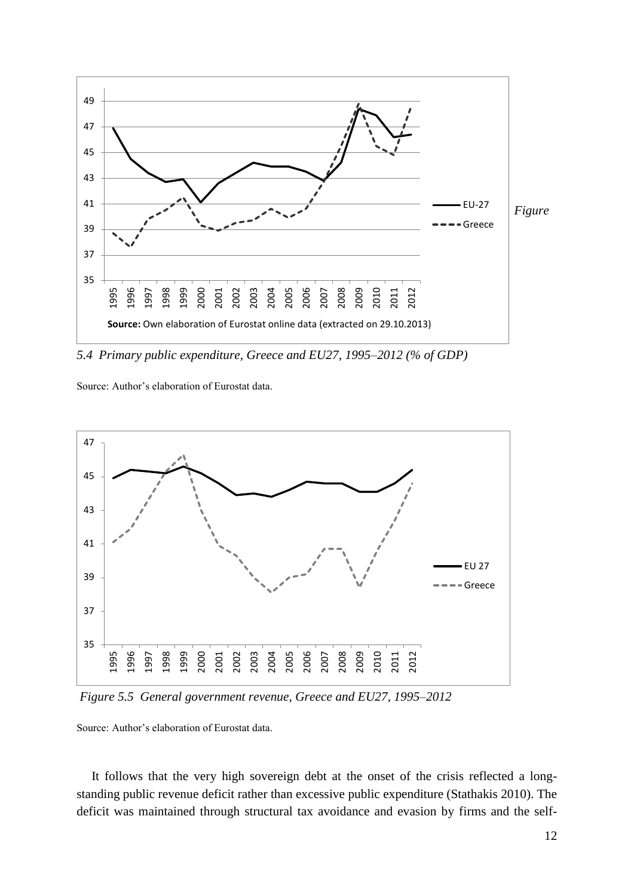

*5.4 Primary public expenditure, Greece and EU27, 1995–2012 (% of GDP)* 

Source: Author's elaboration of Eurostat data.



*Figure 5.5 General government revenue, Greece and EU27, 1995–2012* 

Source: Author's elaboration of Eurostat data.

It follows that the very high sovereign debt at the onset of the crisis reflected a longstanding public revenue deficit rather than excessive public expenditure (Stathakis 2010). The deficit was maintained through structural tax avoidance and evasion by firms and the self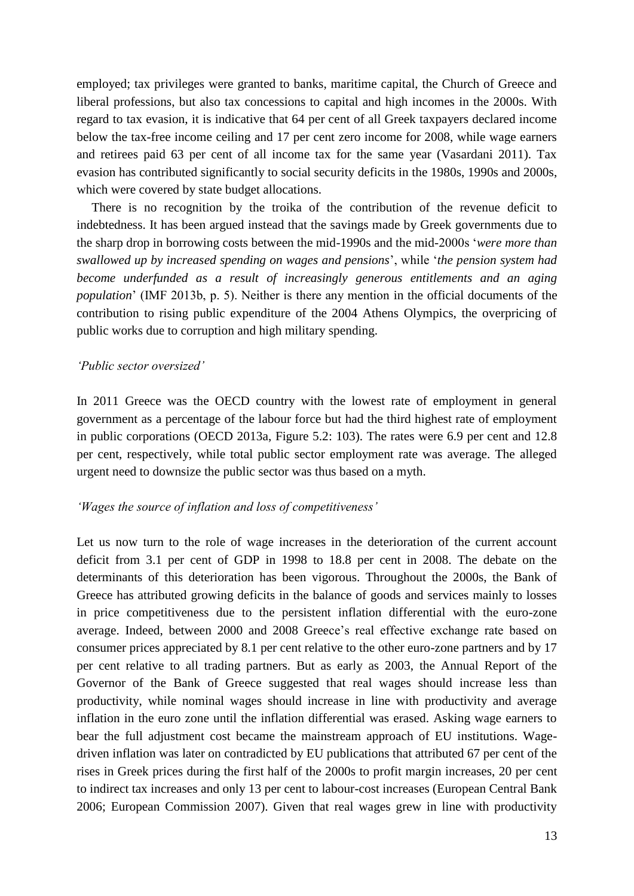employed; tax privileges were granted to banks, maritime capital, the Church of Greece and liberal professions, but also tax concessions to capital and high incomes in the 2000s. With regard to tax evasion, it is indicative that 64 per cent of all Greek taxpayers declared income below the tax-free income ceiling and 17 per cent zero income for 2008, while wage earners and retirees paid 63 per cent of all income tax for the same year (Vasardani 2011). Tax evasion has contributed significantly to social security deficits in the 1980s, 1990s and 2000s, which were covered by state budget allocations.

There is no recognition by the troika of the contribution of the revenue deficit to indebtedness. It has been argued instead that the savings made by Greek governments due to the sharp drop in borrowing costs between the mid-1990s and the mid-2000s '*were more than swallowed up by increased spending on wages and pensions*', while '*the pension system had become underfunded as a result of increasingly generous entitlements and an aging population*' (IMF 2013b, p. 5). Neither is there any mention in the official documents of the contribution to rising public expenditure of the 2004 Athens Olympics, the overpricing of public works due to corruption and high military spending.

#### *'Public sector oversized'*

In 2011 Greece was the OECD country with the lowest rate of employment in general government as a percentage of the labour force but had the third highest rate of employment in public corporations (OECD 2013a, Figure 5.2: 103). The rates were 6.9 per cent and 12.8 per cent, respectively, while total public sector employment rate was average. The alleged urgent need to downsize the public sector was thus based on a myth.

# *'Wages the source of inflation and loss of competitiveness'*

Let us now turn to the role of wage increases in the deterioration of the current account deficit from 3.1 per cent of GDP in 1998 to 18.8 per cent in 2008. The debate on the determinants of this deterioration has been vigorous. Throughout the 2000s, the Bank of Greece has attributed growing deficits in the balance of goods and services mainly to losses in price competitiveness due to the persistent inflation differential with the euro-zone average. Indeed, between 2000 and 2008 Greece's real effective exchange rate based on consumer prices appreciated by 8.1 per cent relative to the other euro-zone partners and by 17 per cent relative to all trading partners. But as early as 2003, the Annual Report of the Governor of the Bank of Greece suggested that real wages should increase less than productivity, while nominal wages should increase in line with productivity and average inflation in the euro zone until the inflation differential was erased. Asking wage earners to bear the full adjustment cost became the mainstream approach of EU institutions. Wagedriven inflation was later on contradicted by EU publications that attributed 67 per cent of the rises in Greek prices during the first half of the 2000s to profit margin increases, 20 per cent to indirect tax increases and only 13 per cent to labour-cost increases (European Central Bank 2006; European Commission 2007). Given that real wages grew in line with productivity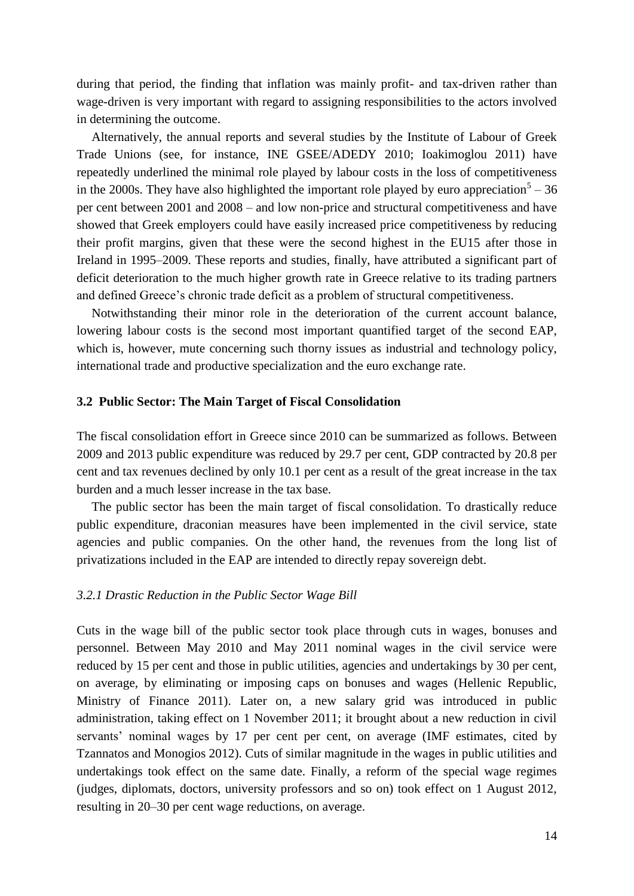during that period, the finding that inflation was mainly profit- and tax-driven rather than wage-driven is very important with regard to assigning responsibilities to the actors involved in determining the outcome.

Alternatively, the annual reports and several studies by the Institute of Labour of Greek Trade Unions (see, for instance, INE GSEE/ADEDY 2010; Ioakimoglou 2011) have repeatedly underlined the minimal role played by labour costs in the loss of competitiveness in the 2000s. They have also highlighted the important role played by euro appreciation<sup>5</sup> – 36 per cent between 2001 and 2008 – and low non-price and structural competitiveness and have showed that Greek employers could have easily increased price competitiveness by reducing their profit margins, given that these were the second highest in the EU15 after those in Ireland in 1995–2009. These reports and studies, finally, have attributed a significant part of deficit deterioration to the much higher growth rate in Greece relative to its trading partners and defined Greece's chronic trade deficit as a problem of structural competitiveness.

Notwithstanding their minor role in the deterioration of the current account balance, lowering labour costs is the second most important quantified target of the second EAP, which is, however, mute concerning such thorny issues as industrial and technology policy, international trade and productive specialization and the euro exchange rate.

# **3.2 Public Sector: The Main Target of Fiscal Consolidation**

The fiscal consolidation effort in Greece since 2010 can be summarized as follows. Between 2009 and 2013 public expenditure was reduced by 29.7 per cent, GDP contracted by 20.8 per cent and tax revenues declined by only 10.1 per cent as a result of the great increase in the tax burden and a much lesser increase in the tax base.

The public sector has been the main target of fiscal consolidation. To drastically reduce public expenditure, draconian measures have been implemented in the civil service, state agencies and public companies. On the other hand, the revenues from the long list of privatizations included in the EAP are intended to directly repay sovereign debt.

# *3.2.1 Drastic Reduction in the Public Sector Wage Bill*

Cuts in the wage bill of the public sector took place through cuts in wages, bonuses and personnel. Between May 2010 and May 2011 nominal wages in the civil service were reduced by 15 per cent and those in public utilities, agencies and undertakings by 30 per cent, on average, by eliminating or imposing caps on bonuses and wages (Hellenic Republic, Ministry of Finance 2011). Later on, a new salary grid was introduced in public administration, taking effect on 1 November 2011; it brought about a new reduction in civil servants' nominal wages by 17 per cent per cent, on average (IMF estimates, cited by Tzannatos and Monogios 2012). Cuts of similar magnitude in the wages in public utilities and undertakings took effect on the same date. Finally, a reform of the special wage regimes (judges, diplomats, doctors, university professors and so on) took effect on 1 August 2012, resulting in 20–30 per cent wage reductions, on average.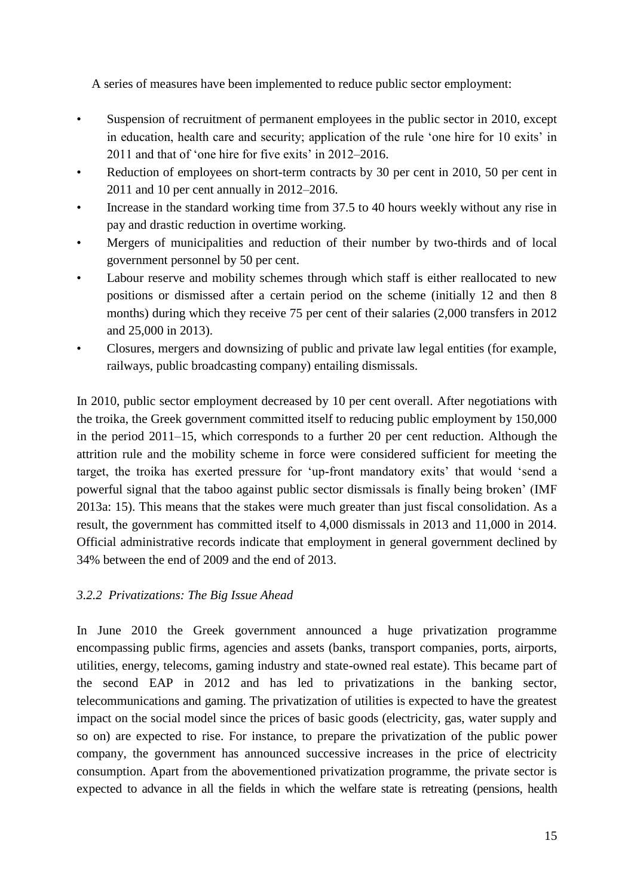A series of measures have been implemented to reduce public sector employment:

- Suspension of recruitment of permanent employees in the public sector in 2010, except in education, health care and security; application of the rule 'one hire for 10 exits' in 2011 and that of 'one hire for five exits' in 2012–2016.
- Reduction of employees on short-term contracts by 30 per cent in 2010, 50 per cent in 2011 and 10 per cent annually in 2012–2016.
- Increase in the standard working time from 37.5 to 40 hours weekly without any rise in pay and drastic reduction in overtime working.
- Mergers of municipalities and reduction of their number by two-thirds and of local government personnel by 50 per cent.
- Labour reserve and mobility schemes through which staff is either reallocated to new positions or dismissed after a certain period on the scheme (initially 12 and then 8 months) during which they receive 75 per cent of their salaries (2,000 transfers in 2012 and 25,000 in 2013).
- Closures, mergers and downsizing of public and private law legal entities (for example, railways, public broadcasting company) entailing dismissals.

In 2010, public sector employment decreased by 10 per cent overall. After negotiations with the troika, the Greek government committed itself to reducing public employment by 150,000 in the period 2011–15, which corresponds to a further 20 per cent reduction. Although the attrition rule and the mobility scheme in force were considered sufficient for meeting the target, the troika has exerted pressure for 'up-front mandatory exits' that would 'send a powerful signal that the taboo against public sector dismissals is finally being broken' (IMF 2013a: 15). This means that the stakes were much greater than just fiscal consolidation. As a result, the government has committed itself to 4,000 dismissals in 2013 and 11,000 in 2014. Official administrative records indicate that employment in general government declined by 34% between the end of 2009 and the end of 2013.

# *3.2.2 Privatizations: The Big Issue Ahead*

In June 2010 the Greek government announced a huge privatization programme encompassing public firms, agencies and assets (banks, transport companies, ports, airports, utilities, energy, telecoms, gaming industry and state-owned real estate). This became part of the second EAP in 2012 and has led to privatizations in the banking sector, telecommunications and gaming. The privatization of utilities is expected to have the greatest impact on the social model since the prices of basic goods (electricity, gas, water supply and so on) are expected to rise. For instance, to prepare the privatization of the public power company, the government has announced successive increases in the price of electricity consumption. Apart from the abovementioned privatization programme, the private sector is expected to advance in all the fields in which the welfare state is retreating (pensions, health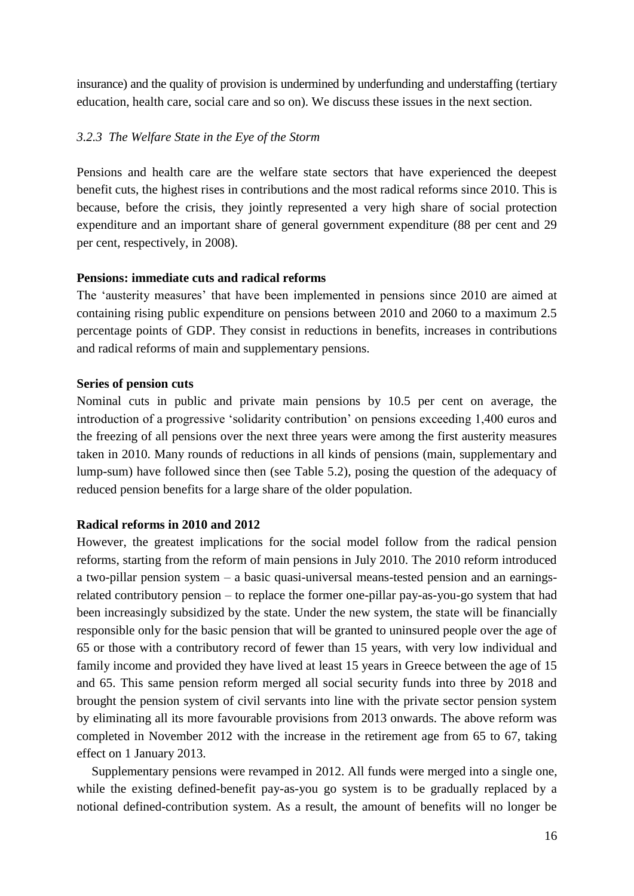insurance) and the quality of provision is undermined by underfunding and understaffing (tertiary education, health care, social care and so on). We discuss these issues in the next section.

# *3.2.3 The Welfare State in the Eye of the Storm*

Pensions and health care are the welfare state sectors that have experienced the deepest benefit cuts, the highest rises in contributions and the most radical reforms since 2010. This is because, before the crisis, they jointly represented a very high share of social protection expenditure and an important share of general government expenditure (88 per cent and 29 per cent, respectively, in 2008).

# **Pensions: immediate cuts and radical reforms**

The 'austerity measures' that have been implemented in pensions since 2010 are aimed at containing rising public expenditure on pensions between 2010 and 2060 to a maximum 2.5 percentage points of GDP. They consist in reductions in benefits, increases in contributions and radical reforms of main and supplementary pensions.

# **Series of pension cuts**

Nominal cuts in public and private main pensions by 10.5 per cent on average, the introduction of a progressive 'solidarity contribution' on pensions exceeding 1,400 euros and the freezing of all pensions over the next three years were among the first austerity measures taken in 2010. Many rounds of reductions in all kinds of pensions (main, supplementary and lump-sum) have followed since then (see Table 5.2), posing the question of the adequacy of reduced pension benefits for a large share of the older population.

# **Radical reforms in 2010 and 2012**

However, the greatest implications for the social model follow from the radical pension reforms, starting from the reform of main pensions in July 2010. The 2010 reform introduced a two-pillar pension system – a basic quasi-universal means-tested pension and an earningsrelated contributory pension – to replace the former one-pillar pay-as-you-go system that had been increasingly subsidized by the state. Under the new system, the state will be financially responsible only for the basic pension that will be granted to uninsured people over the age of 65 or those with a contributory record of fewer than 15 years, with very low individual and family income and provided they have lived at least 15 years in Greece between the age of 15 and 65. This same pension reform merged all social security funds into three by 2018 and brought the pension system of civil servants into line with the private sector pension system by eliminating all its more favourable provisions from 2013 onwards. The above reform was completed in November 2012 with the increase in the retirement age from 65 to 67, taking effect on 1 January 2013.

Supplementary pensions were revamped in 2012. All funds were merged into a single one, while the existing defined-benefit pay-as-you go system is to be gradually replaced by a notional defined-contribution system. As a result, the amount of benefits will no longer be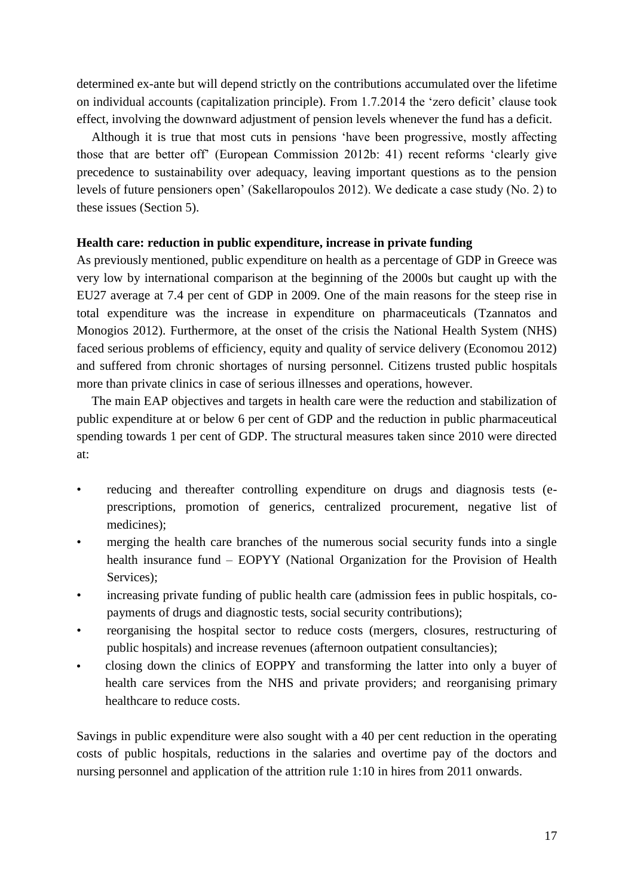determined ex-ante but will depend strictly on the contributions accumulated over the lifetime on individual accounts (capitalization principle). From 1.7.2014 the 'zero deficit' clause took effect, involving the downward adjustment of pension levels whenever the fund has a deficit.

Although it is true that most cuts in pensions 'have been progressive, mostly affecting those that are better off' (European Commission 2012b: 41) recent reforms 'clearly give precedence to sustainability over adequacy, leaving important questions as to the pension levels of future pensioners open' (Sakellaropoulos 2012). We dedicate a case study (No. 2) to these issues (Section 5).

# **Health care: reduction in public expenditure, increase in private funding**

As previously mentioned, public expenditure on health as a percentage of GDP in Greece was very low by international comparison at the beginning of the 2000s but caught up with the EU27 average at 7.4 per cent of GDP in 2009. One of the main reasons for the steep rise in total expenditure was the increase in expenditure on pharmaceuticals (Tzannatos and Monogios 2012). Furthermore, at the onset of the crisis the National Health System (NHS) faced serious problems of efficiency, equity and quality of service delivery (Economou 2012) and suffered from chronic shortages of nursing personnel. Citizens trusted public hospitals more than private clinics in case of serious illnesses and operations, however.

The main EAP objectives and targets in health care were the reduction and stabilization of public expenditure at or below 6 per cent of GDP and the reduction in public pharmaceutical spending towards 1 per cent of GDP. The structural measures taken since 2010 were directed at:

- reducing and thereafter controlling expenditure on drugs and diagnosis tests (eprescriptions, promotion of generics, centralized procurement, negative list of medicines);
- merging the health care branches of the numerous social security funds into a single health insurance fund – EOPYY (National Organization for the Provision of Health Services):
- increasing private funding of public health care (admission fees in public hospitals, copayments of drugs and diagnostic tests, social security contributions);
- reorganising the hospital sector to reduce costs (mergers, closures, restructuring of public hospitals) and increase revenues (afternoon outpatient consultancies);
- closing down the clinics of EOPPY and transforming the latter into only a buyer of health care services from the NHS and private providers; and reorganising primary healthcare to reduce costs.

Savings in public expenditure were also sought with a 40 per cent reduction in the operating costs of public hospitals, reductions in the salaries and overtime pay of the doctors and nursing personnel and application of the attrition rule 1:10 in hires from 2011 onwards.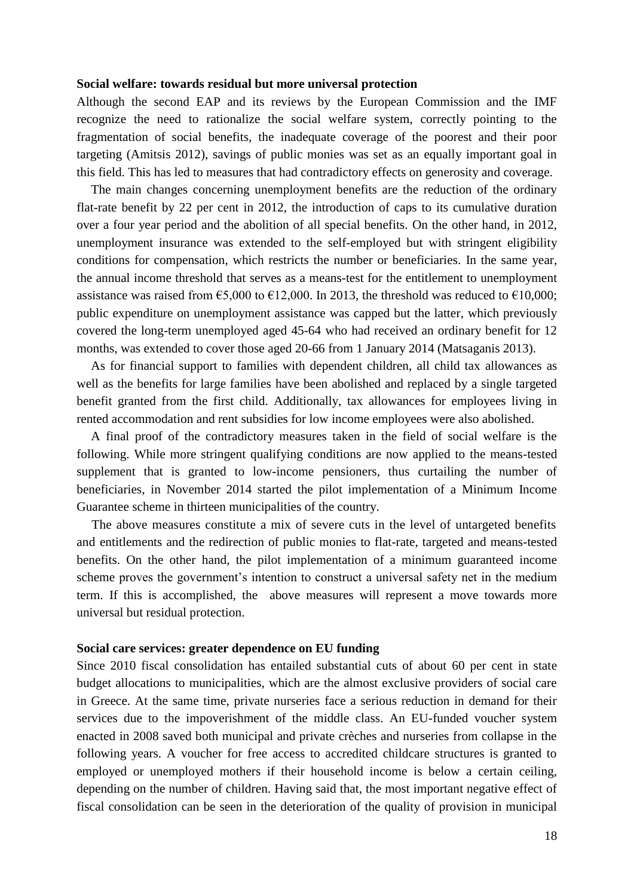### **Social welfare: towards residual but more universal protection**

Although the second EAP and its reviews by the European Commission and the IMF recognize the need to rationalize the social welfare system, correctly pointing to the fragmentation of social benefits, the inadequate coverage of the poorest and their poor targeting (Amitsis 2012), savings of public monies was set as an equally important goal in this field. This has led to measures that had contradictory effects on generosity and coverage.

The main changes concerning unemployment benefits are the reduction of the ordinary flat-rate benefit by 22 per cent in 2012, the introduction of caps to its cumulative duration over a four year period and the abolition of all special benefits. On the other hand, in 2012, unemployment insurance was extended to the self-employed but with stringent eligibility conditions for compensation, which restricts the number or beneficiaries. In the same year, the annual income threshold that serves as a means-test for the entitlement to unemployment assistance was raised from  $\epsilon$ 5,000 to  $\epsilon$ 12,000. In 2013, the threshold was reduced to  $\epsilon$ 10,000; public expenditure on unemployment assistance was capped but the latter, which previously covered the long-term unemployed aged 45-64 who had received an ordinary benefit for 12 months, was extended to cover those aged 20-66 from 1 January 2014 (Matsaganis 2013).

As for financial support to families with dependent children, all child tax allowances as well as the benefits for large families have been abolished and replaced by a single targeted benefit granted from the first child. Additionally, tax allowances for employees living in rented accommodation and rent subsidies for low income employees were also abolished.

A final proof of the contradictory measures taken in the field of social welfare is the following. While more stringent qualifying conditions are now applied to the means-tested supplement that is granted to low-income pensioners, thus curtailing the number of beneficiaries, in November 2014 started the pilot implementation of a Minimum Income Guarantee scheme in thirteen municipalities of the country.

The above measures constitute a mix of severe cuts in the level of untargeted benefits and entitlements and the redirection of public monies to flat-rate, targeted and means-tested benefits. On the other hand, the pilot implementation of a minimum guaranteed income scheme proves the government's intention to construct a universal safety net in the medium term. If this is accomplished, the above measures will represent a move towards more universal but residual protection.

### **Social care services: greater dependence on EU funding**

Since 2010 fiscal consolidation has entailed substantial cuts of about 60 per cent in state budget allocations to municipalities, which are the almost exclusive providers of social care in Greece. At the same time, private nurseries face a serious reduction in demand for their services due to the impoverishment of the middle class. An EU-funded voucher system enacted in 2008 saved both municipal and private crèches and nurseries from collapse in the following years. A voucher for free access to accredited childcare structures is granted to employed or unemployed mothers if their household income is below a certain ceiling, depending on the number of children. Having said that, the most important negative effect of fiscal consolidation can be seen in the deterioration of the quality of provision in municipal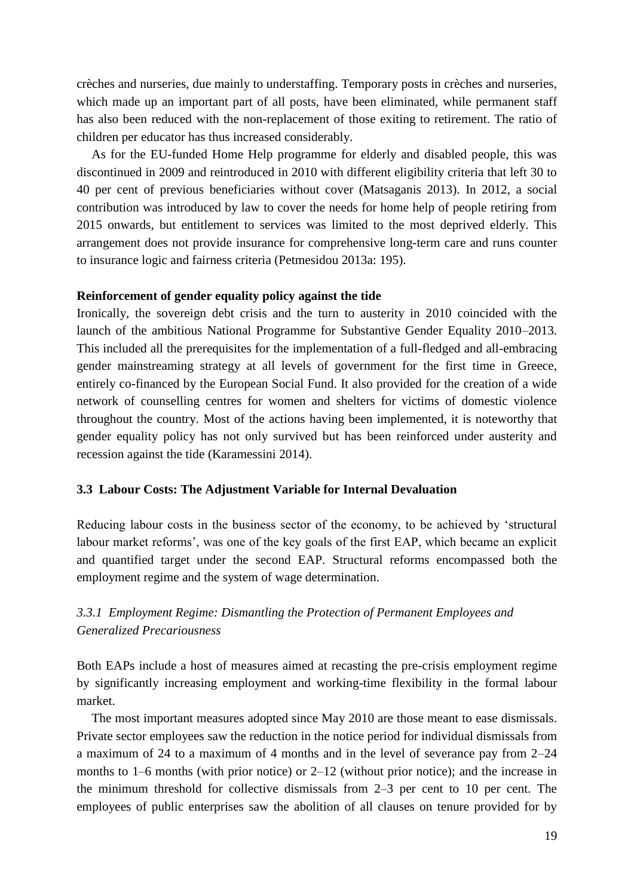crèches and nurseries, due mainly to understaffing. Temporary posts in crèches and nurseries, which made up an important part of all posts, have been eliminated, while permanent staff has also been reduced with the non-replacement of those exiting to retirement. The ratio of children per educator has thus increased considerably.

As for the EU-funded Home Help programme for elderly and disabled people, this was discontinued in 2009 and reintroduced in 2010 with different eligibility criteria that left 30 to 40 per cent of previous beneficiaries without cover (Matsaganis 2013). In 2012, a social contribution was introduced by law to cover the needs for home help of people retiring from 2015 onwards, but entitlement to services was limited to the most deprived elderly. This arrangement does not provide insurance for comprehensive long-term care and runs counter to insurance logic and fairness criteria (Petmesidou 2013a: 195).

# **Reinforcement of gender equality policy against the tide**

Ironically, the sovereign debt crisis and the turn to austerity in 2010 coincided with the launch of the ambitious National Programme for Substantive Gender Equality 2010–2013. This included all the prerequisites for the implementation of a full-fledged and all-embracing gender mainstreaming strategy at all levels of government for the first time in Greece, entirely co-financed by the European Social Fund. It also provided for the creation of a wide network of counselling centres for women and shelters for victims of domestic violence throughout the country. Most of the actions having been implemented, it is noteworthy that gender equality policy has not only survived but has been reinforced under austerity and recession against the tide (Karamessini 2014).

### **3.3 Labour Costs: The Adjustment Variable for Internal Devaluation**

Reducing labour costs in the business sector of the economy, to be achieved by 'structural labour market reforms', was one of the key goals of the first EAP, which became an explicit and quantified target under the second EAP. Structural reforms encompassed both the employment regime and the system of wage determination.

# *3.3.1 Employment Regime: Dismantling the Protection of Permanent Employees and Generalized Precariousness*

Both EAPs include a host of measures aimed at recasting the pre-crisis employment regime by significantly increasing employment and working-time flexibility in the formal labour market.

The most important measures adopted since May 2010 are those meant to ease dismissals. Private sector employees saw the reduction in the notice period for individual dismissals from a maximum of 24 to a maximum of 4 months and in the level of severance pay from 2–24 months to 1–6 months (with prior notice) or 2–12 (without prior notice); and the increase in the minimum threshold for collective dismissals from 2–3 per cent to 10 per cent. The employees of public enterprises saw the abolition of all clauses on tenure provided for by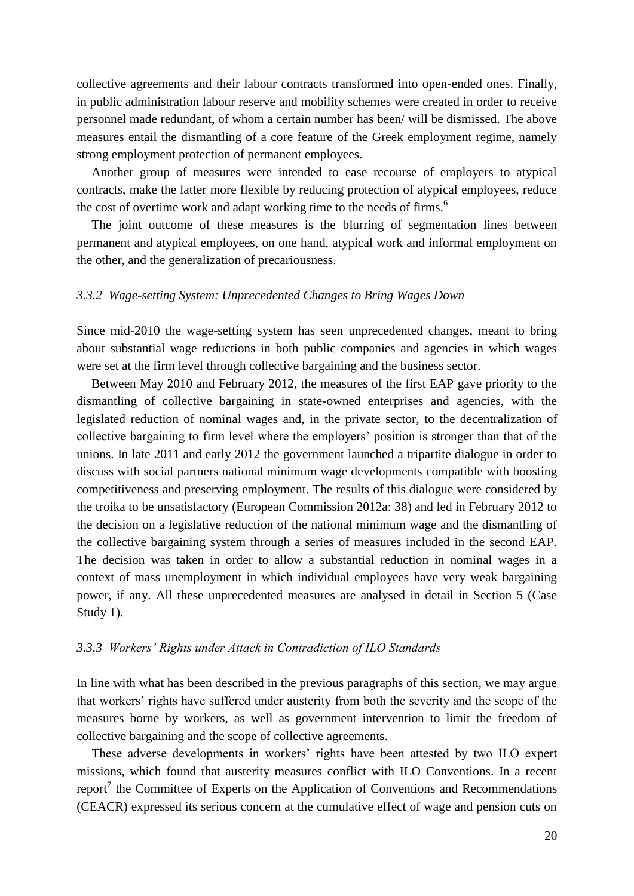collective agreements and their labour contracts transformed into open-ended ones. Finally, in public administration labour reserve and mobility schemes were created in order to receive personnel made redundant, of whom a certain number has been/ will be dismissed. The above measures entail the dismantling of a core feature of the Greek employment regime, namely strong employment protection of permanent employees.

Another group of measures were intended to ease recourse of employers to atypical contracts, make the latter more flexible by reducing protection of atypical employees, reduce the cost of overtime work and adapt working time to the needs of firms.<sup>6</sup>

The joint outcome of these measures is the blurring of segmentation lines between permanent and atypical employees, on one hand, atypical work and informal employment on the other, and the generalization of precariousness.

#### *3.3.2 Wage-setting System: Unprecedented Changes to Bring Wages Down*

Since mid-2010 the wage-setting system has seen unprecedented changes, meant to bring about substantial wage reductions in both public companies and agencies in which wages were set at the firm level through collective bargaining and the business sector.

Between May 2010 and February 2012, the measures of the first EAP gave priority to the dismantling of collective bargaining in state-owned enterprises and agencies, with the legislated reduction of nominal wages and, in the private sector, to the decentralization of collective bargaining to firm level where the employers' position is stronger than that of the unions. In late 2011 and early 2012 the government launched a tripartite dialogue in order to discuss with social partners national minimum wage developments compatible with boosting competitiveness and preserving employment. The results of this dialogue were considered by the troika to be unsatisfactory (European Commission 2012a: 38) and led in February 2012 to the decision on a legislative reduction of the national minimum wage and the dismantling of the collective bargaining system through a series of measures included in the second EAP. The decision was taken in order to allow a substantial reduction in nominal wages in a context of mass unemployment in which individual employees have very weak bargaining power, if any. All these unprecedented measures are analysed in detail in Section 5 (Case Study 1).

### *3.3.3 Workers' Rights under Attack in Contradiction of ILO Standards*

In line with what has been described in the previous paragraphs of this section, we may argue that workers' rights have suffered under austerity from both the severity and the scope of the measures borne by workers, as well as government intervention to limit the freedom of collective bargaining and the scope of collective agreements.

These adverse developments in workers' rights have been attested by two ILO expert missions, which found that austerity measures conflict with ILO Conventions. In a recent report<sup>7</sup> the Committee of Experts on the Application of Conventions and Recommendations (CEACR) expressed its serious concern at the cumulative effect of wage and pension cuts on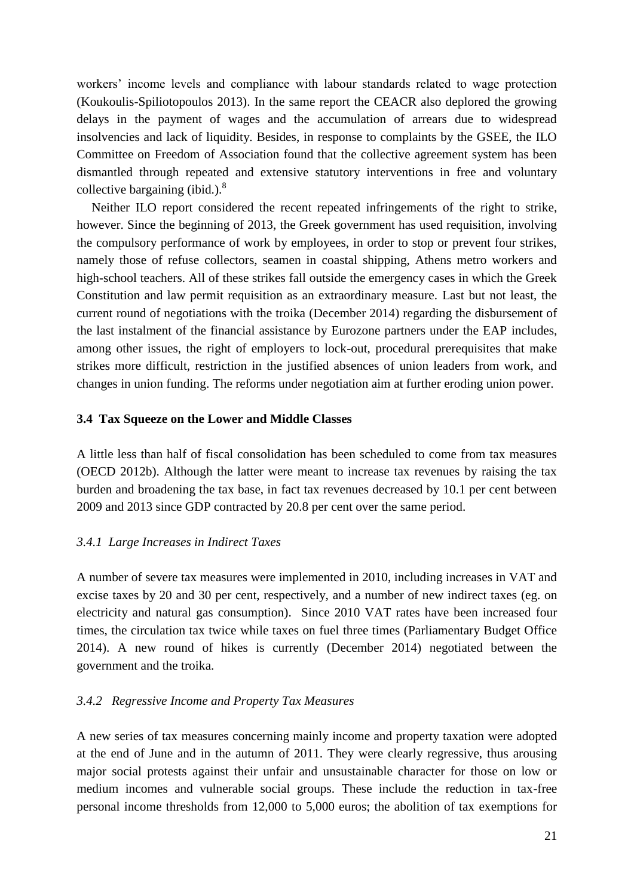workers' income levels and compliance with labour standards related to wage protection (Koukoulis-Spiliotopoulos 2013). In the same report the CEACR also deplored the growing delays in the payment of wages and the accumulation of arrears due to widespread insolvencies and lack of liquidity. Besides, in response to complaints by the GSEE, the ILO Committee on Freedom of Association found that the collective agreement system has been dismantled through repeated and extensive statutory interventions in free and voluntary collective bargaining (ibid.). $8$ 

Neither ILO report considered the recent repeated infringements of the right to strike, however. Since the beginning of 2013, the Greek government has used requisition, involving the compulsory performance of work by employees, in order to stop or prevent four strikes, namely those of refuse collectors, seamen in coastal shipping, Athens metro workers and high-school teachers. All of these strikes fall outside the emergency cases in which the Greek Constitution and law permit requisition as an extraordinary measure. Last but not least, the current round of negotiations with the troika (December 2014) regarding the disbursement of the last instalment of the financial assistance by Eurozone partners under the EAP includes, among other issues, the right of employers to lock-out, procedural prerequisites that make strikes more difficult, restriction in the justified absences of union leaders from work, and changes in union funding. The reforms under negotiation aim at further eroding union power.

### **3.4 Tax Squeeze on the Lower and Middle Classes**

A little less than half of fiscal consolidation has been scheduled to come from tax measures (OECD 2012b). Although the latter were meant to increase tax revenues by raising the tax burden and broadening the tax base, in fact tax revenues decreased by 10.1 per cent between 2009 and 2013 since GDP contracted by 20.8 per cent over the same period.

# *3.4.1 Large Increases in Indirect Taxes*

A number of severe tax measures were implemented in 2010, including increases in VAT and excise taxes by 20 and 30 per cent, respectively, and a number of new indirect taxes (eg. on electricity and natural gas consumption). Since 2010 VAT rates have been increased four times, the circulation tax twice while taxes on fuel three times (Parliamentary Budget Office 2014). A new round of hikes is currently (December 2014) negotiated between the government and the troika.

### *3.4.2 Regressive Income and Property Tax Measures*

A new series of tax measures concerning mainly income and property taxation were adopted at the end of June and in the autumn of 2011. They were clearly regressive, thus arousing major social protests against their unfair and unsustainable character for those on low or medium incomes and vulnerable social groups. These include the reduction in tax-free personal income thresholds from 12,000 to 5,000 euros; the abolition of tax exemptions for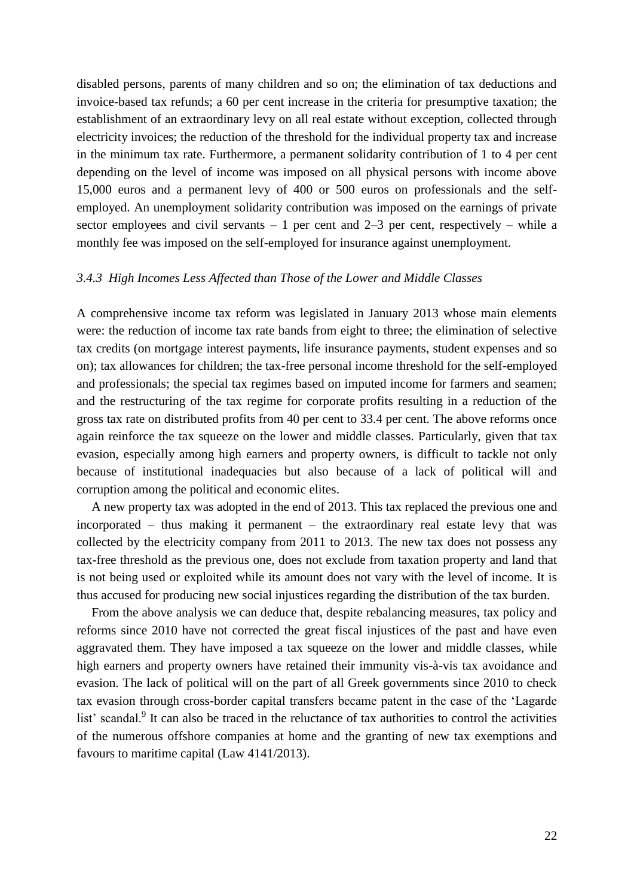disabled persons, parents of many children and so on; the elimination of tax deductions and invoice-based tax refunds; a 60 per cent increase in the criteria for presumptive taxation; the establishment of an extraordinary levy on all real estate without exception, collected through electricity invoices; the reduction of the threshold for the individual property tax and increase in the minimum tax rate. Furthermore, a permanent solidarity contribution of 1 to 4 per cent depending on the level of income was imposed on all physical persons with income above 15,000 euros and a permanent levy of 400 or 500 euros on professionals and the selfemployed. An unemployment solidarity contribution was imposed on the earnings of private sector employees and civil servants  $-1$  per cent and  $2-3$  per cent, respectively – while a monthly fee was imposed on the self-employed for insurance against unemployment.

# *3.4.3 High Incomes Less Affected than Those of the Lower and Middle Classes*

A comprehensive income tax reform was legislated in January 2013 whose main elements were: the reduction of income tax rate bands from eight to three; the elimination of selective tax credits (on mortgage interest payments, life insurance payments, student expenses and so on); tax allowances for children; the tax-free personal income threshold for the self-employed and professionals; the special tax regimes based on imputed income for farmers and seamen; and the restructuring of the tax regime for corporate profits resulting in a reduction of the gross tax rate on distributed profits from 40 per cent to 33.4 per cent. The above reforms once again reinforce the tax squeeze on the lower and middle classes. Particularly, given that tax evasion, especially among high earners and property owners, is difficult to tackle not only because of institutional inadequacies but also because of a lack of political will and corruption among the political and economic elites.

A new property tax was adopted in the end of 2013. This tax replaced the previous one and incorporated – thus making it permanent – the extraordinary real estate levy that was collected by the electricity company from 2011 to 2013. The new tax does not possess any tax-free threshold as the previous one, does not exclude from taxation property and land that is not being used or exploited while its amount does not vary with the level of income. It is thus accused for producing new social injustices regarding the distribution of the tax burden.

From the above analysis we can deduce that, despite rebalancing measures, tax policy and reforms since 2010 have not corrected the great fiscal injustices of the past and have even aggravated them. They have imposed a tax squeeze on the lower and middle classes, while high earners and property owners have retained their immunity vis-à-vis tax avoidance and evasion. The lack of political will on the part of all Greek governments since 2010 to check tax evasion through cross-border capital transfers became patent in the case of the 'Lagarde list' scandal.<sup>9</sup> It can also be traced in the reluctance of tax authorities to control the activities of the numerous offshore companies at home and the granting of new tax exemptions and favours to maritime capital (Law 4141/2013).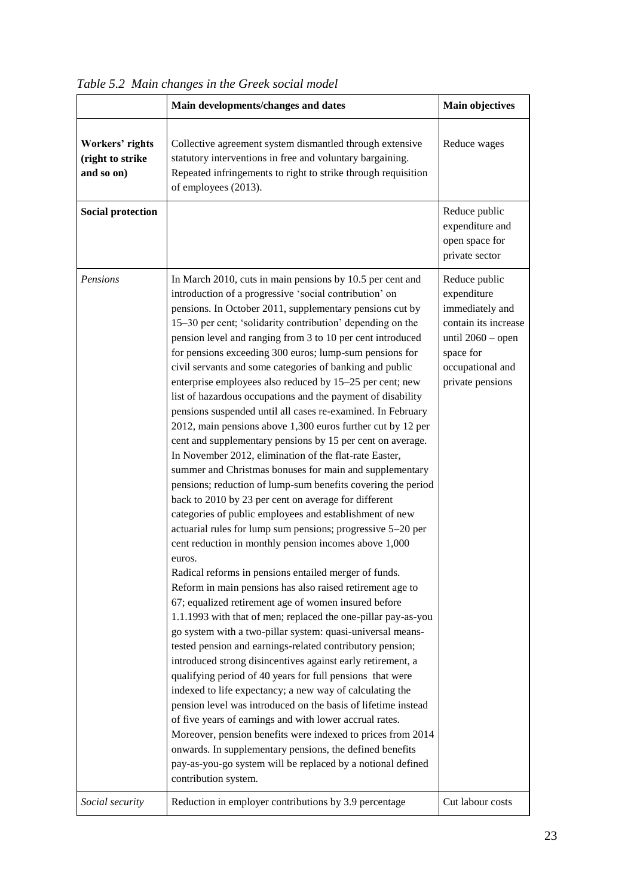|                                                   | Main developments/changes and dates                                                                                                                                                                                                                                                                                                                                                                                                                                                                                                                                                                                                                                                                                                                                                                                                                                                                                                                                                                                                                                                                                                                                                                                                                                                                                                                                                                                                                                                                                                                                                                                                                                                                                                                                                                                                                                                                                                                                                                                                                                                                                 | <b>Main objectives</b>                                                                                                                              |
|---------------------------------------------------|---------------------------------------------------------------------------------------------------------------------------------------------------------------------------------------------------------------------------------------------------------------------------------------------------------------------------------------------------------------------------------------------------------------------------------------------------------------------------------------------------------------------------------------------------------------------------------------------------------------------------------------------------------------------------------------------------------------------------------------------------------------------------------------------------------------------------------------------------------------------------------------------------------------------------------------------------------------------------------------------------------------------------------------------------------------------------------------------------------------------------------------------------------------------------------------------------------------------------------------------------------------------------------------------------------------------------------------------------------------------------------------------------------------------------------------------------------------------------------------------------------------------------------------------------------------------------------------------------------------------------------------------------------------------------------------------------------------------------------------------------------------------------------------------------------------------------------------------------------------------------------------------------------------------------------------------------------------------------------------------------------------------------------------------------------------------------------------------------------------------|-----------------------------------------------------------------------------------------------------------------------------------------------------|
| Workers' rights<br>(right to strike<br>and so on) | Collective agreement system dismantled through extensive<br>statutory interventions in free and voluntary bargaining.<br>Repeated infringements to right to strike through requisition<br>of employees (2013).                                                                                                                                                                                                                                                                                                                                                                                                                                                                                                                                                                                                                                                                                                                                                                                                                                                                                                                                                                                                                                                                                                                                                                                                                                                                                                                                                                                                                                                                                                                                                                                                                                                                                                                                                                                                                                                                                                      | Reduce wages                                                                                                                                        |
| <b>Social protection</b>                          |                                                                                                                                                                                                                                                                                                                                                                                                                                                                                                                                                                                                                                                                                                                                                                                                                                                                                                                                                                                                                                                                                                                                                                                                                                                                                                                                                                                                                                                                                                                                                                                                                                                                                                                                                                                                                                                                                                                                                                                                                                                                                                                     | Reduce public<br>expenditure and<br>open space for<br>private sector                                                                                |
| Pensions                                          | In March 2010, cuts in main pensions by 10.5 per cent and<br>introduction of a progressive 'social contribution' on<br>pensions. In October 2011, supplementary pensions cut by<br>15–30 per cent; 'solidarity contribution' depending on the<br>pension level and ranging from 3 to 10 per cent introduced<br>for pensions exceeding 300 euros; lump-sum pensions for<br>civil servants and some categories of banking and public<br>enterprise employees also reduced by 15–25 per cent; new<br>list of hazardous occupations and the payment of disability<br>pensions suspended until all cases re-examined. In February<br>2012, main pensions above 1,300 euros further cut by 12 per<br>cent and supplementary pensions by 15 per cent on average.<br>In November 2012, elimination of the flat-rate Easter,<br>summer and Christmas bonuses for main and supplementary<br>pensions; reduction of lump-sum benefits covering the period<br>back to 2010 by 23 per cent on average for different<br>categories of public employees and establishment of new<br>actuarial rules for lump sum pensions; progressive 5-20 per<br>cent reduction in monthly pension incomes above 1,000<br>euros.<br>Radical reforms in pensions entailed merger of funds.<br>Reform in main pensions has also raised retirement age to<br>67; equalized retirement age of women insured before<br>1.1.1993 with that of men; replaced the one-pillar pay-as-you<br>go system with a two-pillar system: quasi-universal means-<br>tested pension and earnings-related contributory pension;<br>introduced strong disincentives against early retirement, a<br>qualifying period of 40 years for full pensions that were<br>indexed to life expectancy; a new way of calculating the<br>pension level was introduced on the basis of lifetime instead<br>of five years of earnings and with lower accrual rates.<br>Moreover, pension benefits were indexed to prices from 2014<br>onwards. In supplementary pensions, the defined benefits<br>pay-as-you-go system will be replaced by a notional defined<br>contribution system. | Reduce public<br>expenditure<br>immediately and<br>contain its increase<br>until $2060$ – open<br>space for<br>occupational and<br>private pensions |
| Social security                                   | Reduction in employer contributions by 3.9 percentage                                                                                                                                                                                                                                                                                                                                                                                                                                                                                                                                                                                                                                                                                                                                                                                                                                                                                                                                                                                                                                                                                                                                                                                                                                                                                                                                                                                                                                                                                                                                                                                                                                                                                                                                                                                                                                                                                                                                                                                                                                                               | Cut labour costs                                                                                                                                    |

*Table 5.2 Main changes in the Greek social model*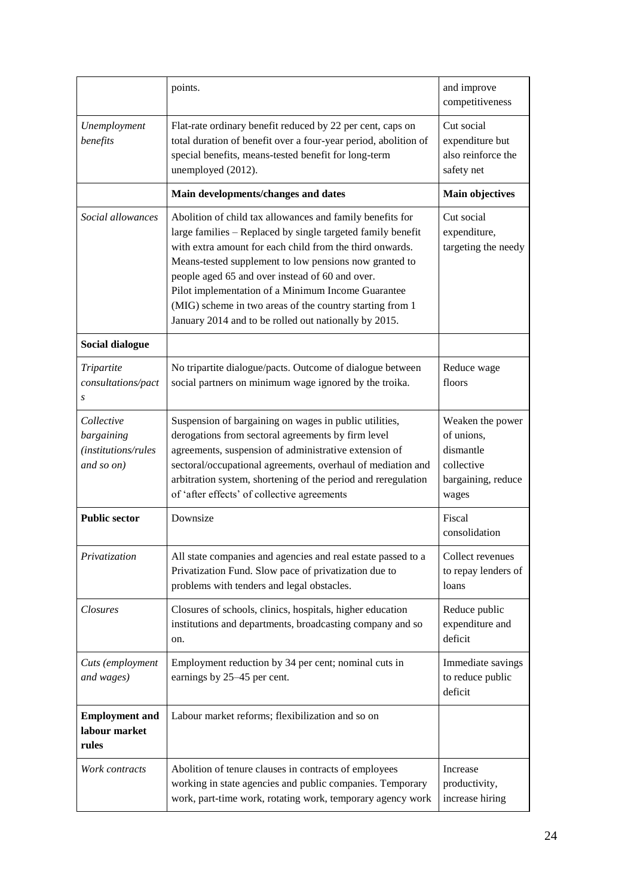|                                                               | points.                                                                                                                                                                                                                                                                                                                                                                                                                                                                      | and improve<br>competitiveness                                                           |
|---------------------------------------------------------------|------------------------------------------------------------------------------------------------------------------------------------------------------------------------------------------------------------------------------------------------------------------------------------------------------------------------------------------------------------------------------------------------------------------------------------------------------------------------------|------------------------------------------------------------------------------------------|
| Unemployment<br>benefits                                      | Flat-rate ordinary benefit reduced by 22 per cent, caps on<br>total duration of benefit over a four-year period, abolition of<br>special benefits, means-tested benefit for long-term<br>unemployed (2012).                                                                                                                                                                                                                                                                  | Cut social<br>expenditure but<br>also reinforce the<br>safety net                        |
|                                                               | Main developments/changes and dates                                                                                                                                                                                                                                                                                                                                                                                                                                          | <b>Main objectives</b>                                                                   |
| Social allowances                                             | Abolition of child tax allowances and family benefits for<br>large families - Replaced by single targeted family benefit<br>with extra amount for each child from the third onwards.<br>Means-tested supplement to low pensions now granted to<br>people aged 65 and over instead of 60 and over.<br>Pilot implementation of a Minimum Income Guarantee<br>(MIG) scheme in two areas of the country starting from 1<br>January 2014 and to be rolled out nationally by 2015. | Cut social<br>expenditure,<br>targeting the needy                                        |
| <b>Social dialogue</b>                                        |                                                                                                                                                                                                                                                                                                                                                                                                                                                                              |                                                                                          |
| Tripartite<br>consultations/pact<br>S                         | No tripartite dialogue/pacts. Outcome of dialogue between<br>social partners on minimum wage ignored by the troika.                                                                                                                                                                                                                                                                                                                                                          | Reduce wage<br>floors                                                                    |
| Collective<br>bargaining<br>(institutions/rules<br>and so on) | Suspension of bargaining on wages in public utilities,<br>derogations from sectoral agreements by firm level<br>agreements, suspension of administrative extension of<br>sectoral/occupational agreements, overhaul of mediation and<br>arbitration system, shortening of the period and reregulation<br>of 'after effects' of collective agreements                                                                                                                         | Weaken the power<br>of unions,<br>dismantle<br>collective<br>bargaining, reduce<br>wages |
| <b>Public sector</b>                                          | Downsize                                                                                                                                                                                                                                                                                                                                                                                                                                                                     | Fiscal<br>consolidation                                                                  |
| Privatization                                                 | All state companies and agencies and real estate passed to a<br>Privatization Fund. Slow pace of privatization due to<br>problems with tenders and legal obstacles.                                                                                                                                                                                                                                                                                                          | Collect revenues<br>to repay lenders of<br>loans                                         |
| <b>Closures</b>                                               | Closures of schools, clinics, hospitals, higher education<br>Reduce public<br>institutions and departments, broadcasting company and so<br>expenditure and<br>deficit<br>on.                                                                                                                                                                                                                                                                                                 |                                                                                          |
| Cuts (employment<br>and wages)                                | Employment reduction by 34 per cent; nominal cuts in<br>earnings by 25–45 per cent.                                                                                                                                                                                                                                                                                                                                                                                          | Immediate savings<br>to reduce public<br>deficit                                         |
| <b>Employment and</b><br>labour market<br>rules               | Labour market reforms; flexibilization and so on                                                                                                                                                                                                                                                                                                                                                                                                                             |                                                                                          |
| Work contracts                                                | Abolition of tenure clauses in contracts of employees<br>working in state agencies and public companies. Temporary<br>work, part-time work, rotating work, temporary agency work                                                                                                                                                                                                                                                                                             | Increase<br>productivity,<br>increase hiring                                             |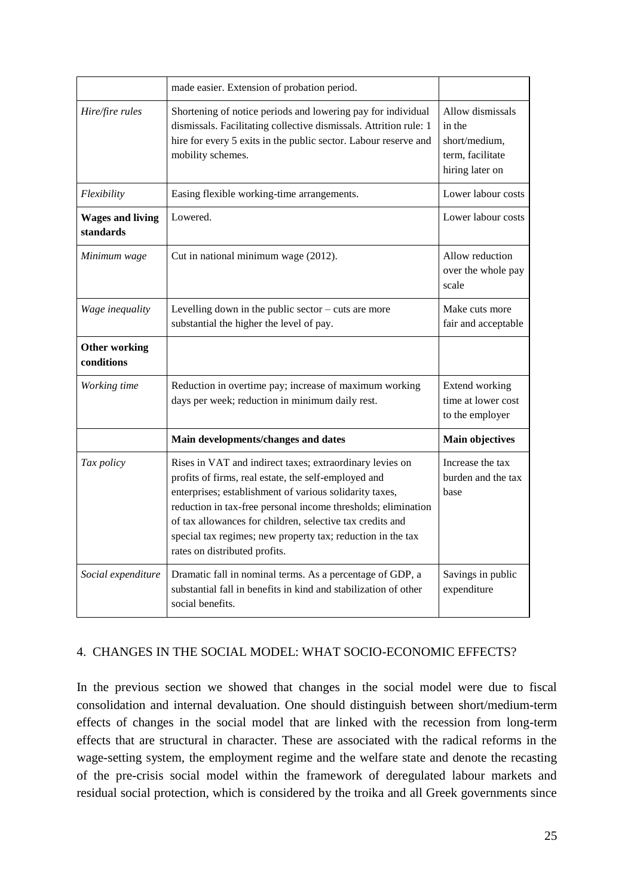|                                      | made easier. Extension of probation period.                                                                                                                                                                                                                                                                                                                                                               |                                                                                    |
|--------------------------------------|-----------------------------------------------------------------------------------------------------------------------------------------------------------------------------------------------------------------------------------------------------------------------------------------------------------------------------------------------------------------------------------------------------------|------------------------------------------------------------------------------------|
| Hire/fire rules                      | Shortening of notice periods and lowering pay for individual<br>dismissals. Facilitating collective dismissals. Attrition rule: 1<br>hire for every 5 exits in the public sector. Labour reserve and<br>mobility schemes.                                                                                                                                                                                 | Allow dismissals<br>in the<br>short/medium,<br>term, facilitate<br>hiring later on |
| Flexibility                          | Easing flexible working-time arrangements.                                                                                                                                                                                                                                                                                                                                                                | Lower labour costs                                                                 |
| <b>Wages and living</b><br>standards | Lowered.                                                                                                                                                                                                                                                                                                                                                                                                  | Lower labour costs                                                                 |
| Minimum wage                         | Cut in national minimum wage (2012).                                                                                                                                                                                                                                                                                                                                                                      | Allow reduction<br>over the whole pay<br>scale                                     |
| Wage inequality                      | Levelling down in the public sector - cuts are more<br>substantial the higher the level of pay.                                                                                                                                                                                                                                                                                                           | Make cuts more<br>fair and acceptable                                              |
| <b>Other working</b><br>conditions   |                                                                                                                                                                                                                                                                                                                                                                                                           |                                                                                    |
| Working time                         | Reduction in overtime pay; increase of maximum working<br>days per week; reduction in minimum daily rest.                                                                                                                                                                                                                                                                                                 | Extend working<br>time at lower cost<br>to the employer                            |
|                                      | Main developments/changes and dates                                                                                                                                                                                                                                                                                                                                                                       | <b>Main objectives</b>                                                             |
| Tax policy                           | Rises in VAT and indirect taxes; extraordinary levies on<br>profits of firms, real estate, the self-employed and<br>enterprises; establishment of various solidarity taxes,<br>reduction in tax-free personal income thresholds; elimination<br>of tax allowances for children, selective tax credits and<br>special tax regimes; new property tax; reduction in the tax<br>rates on distributed profits. | Increase the tax<br>burden and the tax<br>base                                     |
| Social expenditure                   | Dramatic fall in nominal terms. As a percentage of GDP, a<br>substantial fall in benefits in kind and stabilization of other<br>social benefits.                                                                                                                                                                                                                                                          | Savings in public<br>expenditure                                                   |

# 4. CHANGES IN THE SOCIAL MODEL: WHAT SOCIO-ECONOMIC EFFECTS?

In the previous section we showed that changes in the social model were due to fiscal consolidation and internal devaluation. One should distinguish between short/medium-term effects of changes in the social model that are linked with the recession from long-term effects that are structural in character. These are associated with the radical reforms in the wage-setting system, the employment regime and the welfare state and denote the recasting of the pre-crisis social model within the framework of deregulated labour markets and residual social protection, which is considered by the troika and all Greek governments since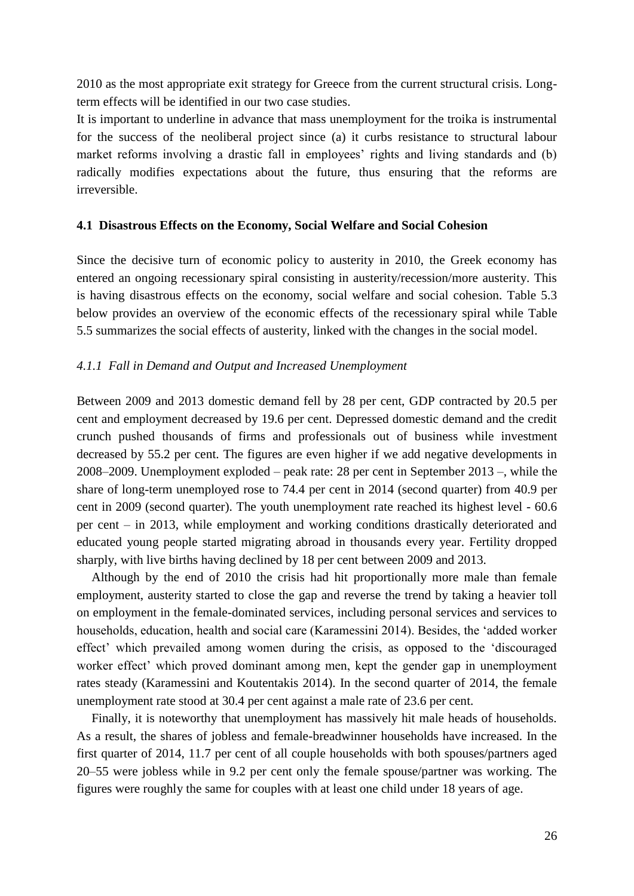2010 as the most appropriate exit strategy for Greece from the current structural crisis. Longterm effects will be identified in our two case studies.

It is important to underline in advance that mass unemployment for the troika is instrumental for the success of the neoliberal project since (a) it curbs resistance to structural labour market reforms involving a drastic fall in employees' rights and living standards and (b) radically modifies expectations about the future, thus ensuring that the reforms are irreversible.

### **4.1 Disastrous Effects on the Economy, Social Welfare and Social Cohesion**

Since the decisive turn of economic policy to austerity in 2010, the Greek economy has entered an ongoing recessionary spiral consisting in austerity/recession/more austerity. This is having disastrous effects on the economy, social welfare and social cohesion. Table 5.3 below provides an overview of the economic effects of the recessionary spiral while Table 5.5 summarizes the social effects of austerity, linked with the changes in the social model.

# *4.1.1 Fall in Demand and Output and Increased Unemployment*

Between 2009 and 2013 domestic demand fell by 28 per cent, GDP contracted by 20.5 per cent and employment decreased by 19.6 per cent. Depressed domestic demand and the credit crunch pushed thousands of firms and professionals out of business while investment decreased by 55.2 per cent. The figures are even higher if we add negative developments in 2008–2009. Unemployment exploded – peak rate: 28 per cent in September 2013 –, while the share of long-term unemployed rose to 74.4 per cent in 2014 (second quarter) from 40.9 per cent in 2009 (second quarter). The youth unemployment rate reached its highest level - 60.6 per cent – in 2013, while employment and working conditions drastically deteriorated and educated young people started migrating abroad in thousands every year. Fertility dropped sharply, with live births having declined by 18 per cent between 2009 and 2013.

Although by the end of 2010 the crisis had hit proportionally more male than female employment, austerity started to close the gap and reverse the trend by taking a heavier toll on employment in the female-dominated services, including personal services and services to households, education, health and social care (Karamessini 2014). Besides, the 'added worker effect' which prevailed among women during the crisis, as opposed to the 'discouraged worker effect' which proved dominant among men, kept the gender gap in unemployment rates steady (Karamessini and Koutentakis 2014). In the second quarter of 2014, the female unemployment rate stood at 30.4 per cent against a male rate of 23.6 per cent.

Finally, it is noteworthy that unemployment has massively hit male heads of households. As a result, the shares of jobless and female-breadwinner households have increased. In the first quarter of 2014, 11.7 per cent of all couple households with both spouses/partners aged 20–55 were jobless while in 9.2 per cent only the female spouse/partner was working. The figures were roughly the same for couples with at least one child under 18 years of age.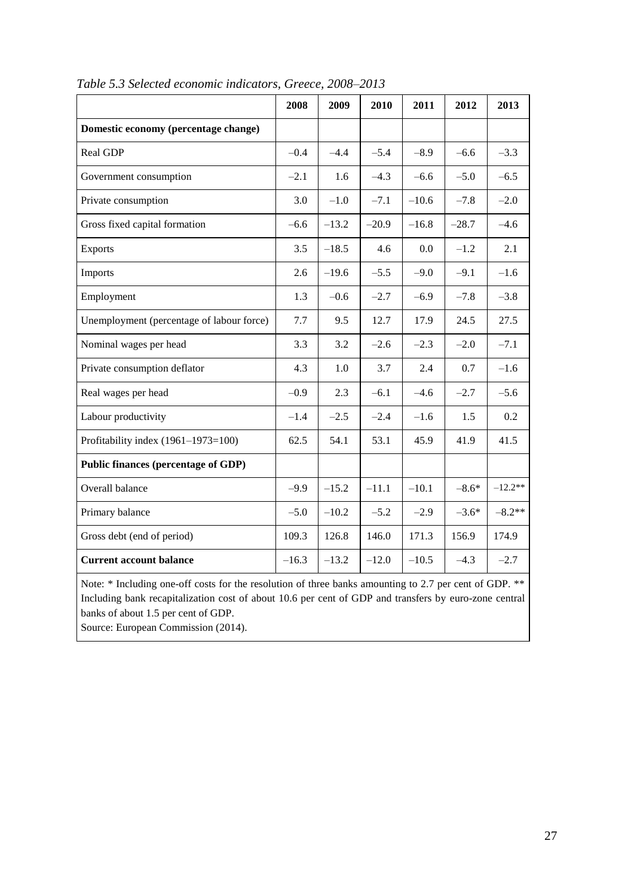|                                                                                                                                     | 2008    | 2009    | 2010    | 2011    | 2012    | 2013      |
|-------------------------------------------------------------------------------------------------------------------------------------|---------|---------|---------|---------|---------|-----------|
| Domestic economy (percentage change)                                                                                                |         |         |         |         |         |           |
| Real GDP                                                                                                                            | $-0.4$  | $-4.4$  | $-5.4$  | $-8.9$  | $-6.6$  | $-3.3$    |
| Government consumption                                                                                                              | $-2.1$  | 1.6     | $-4.3$  | $-6.6$  | $-5.0$  | $-6.5$    |
| Private consumption                                                                                                                 | 3.0     | $-1.0$  | $-7.1$  | $-10.6$ | $-7.8$  | $-2.0$    |
| Gross fixed capital formation                                                                                                       | $-6.6$  | $-13.2$ | $-20.9$ | $-16.8$ | $-28.7$ | $-4.6$    |
| <b>Exports</b>                                                                                                                      | 3.5     | $-18.5$ | 4.6     | 0.0     | $-1.2$  | 2.1       |
| Imports                                                                                                                             | 2.6     | $-19.6$ | $-5.5$  | $-9.0$  | $-9.1$  | $-1.6$    |
| Employment                                                                                                                          | 1.3     | $-0.6$  | $-2.7$  | $-6.9$  | $-7.8$  | $-3.8$    |
| Unemployment (percentage of labour force)                                                                                           | 7.7     | 9.5     | 12.7    | 17.9    | 24.5    | 27.5      |
| Nominal wages per head                                                                                                              | 3.3     | 3.2     | $-2.6$  | $-2.3$  | $-2.0$  | $-7.1$    |
| Private consumption deflator                                                                                                        | 4.3     | 1.0     | 3.7     | 2.4     | 0.7     | $-1.6$    |
| Real wages per head                                                                                                                 | $-0.9$  | 2.3     | $-6.1$  | $-4.6$  | $-2.7$  | $-5.6$    |
| Labour productivity                                                                                                                 | $-1.4$  | $-2.5$  | $-2.4$  | $-1.6$  | 1.5     | 0.2       |
| Profitability index (1961-1973=100)                                                                                                 | 62.5    | 54.1    | 53.1    | 45.9    | 41.9    | 41.5      |
| <b>Public finances (percentage of GDP)</b>                                                                                          |         |         |         |         |         |           |
| Overall balance                                                                                                                     | $-9.9$  | $-15.2$ | $-11.1$ | $-10.1$ | $-8.6*$ | $-12.2**$ |
| Primary balance                                                                                                                     | $-5.0$  | $-10.2$ | $-5.2$  | $-2.9$  | $-3.6*$ | $-8.2**$  |
| Gross debt (end of period)                                                                                                          | 109.3   | 126.8   | 146.0   | 171.3   | 156.9   | 174.9     |
| <b>Current account balance</b>                                                                                                      | $-16.3$ | $-13.2$ | $-12.0$ | $-10.5$ | $-4.3$  | $-2.7$    |
| $\mathbf{v}$ and $\mathbf{v}$ and $\mathbf{v}$ and $\mathbf{v}$ and $\mathbf{v}$ and $\mathbf{v}$ and $\mathbf{v}$ and $\mathbf{v}$ |         |         |         |         |         |           |

*Table 5.3 Selected economic indicators, Greece, 2008–2013*

Note: \* Including one-off costs for the resolution of three banks amounting to 2.7 per cent of GDP. \*\* Including bank recapitalization cost of about 10.6 per cent of GDP and transfers by euro-zone central banks of about 1.5 per cent of GDP.

Source: European Commission (2014).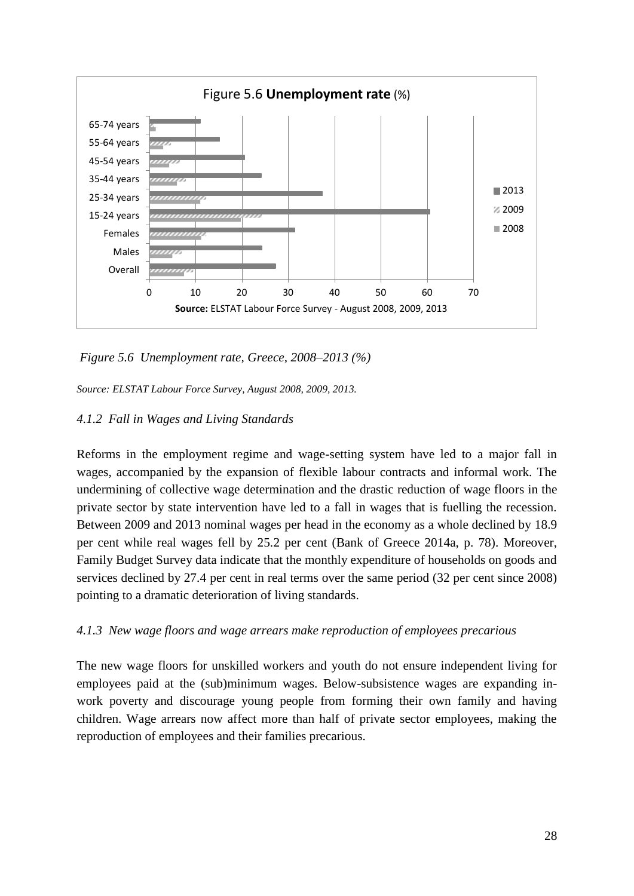

*Figure 5.6 Unemployment rate, Greece, 2008–2013 (%)*

*Source: ELSTAT Labour Force Survey, August 2008, 2009, 2013.*

# *4.1.2 Fall in Wages and Living Standards*

Reforms in the employment regime and wage-setting system have led to a major fall in wages, accompanied by the expansion of flexible labour contracts and informal work. The undermining of collective wage determination and the drastic reduction of wage floors in the private sector by state intervention have led to a fall in wages that is fuelling the recession. Between 2009 and 2013 nominal wages per head in the economy as a whole declined by 18.9 per cent while real wages fell by 25.2 per cent (Bank of Greece 2014a, p. 78). Moreover, Family Budget Survey data indicate that the monthly expenditure of households on goods and services declined by 27.4 per cent in real terms over the same period (32 per cent since 2008) pointing to a dramatic deterioration of living standards.

# *4.1.3 New wage floors and wage arrears make reproduction of employees precarious*

The new wage floors for unskilled workers and youth do not ensure independent living for employees paid at the (sub)minimum wages. Below-subsistence wages are expanding inwork poverty and discourage young people from forming their own family and having children. Wage arrears now affect more than half of private sector employees, making the reproduction of employees and their families precarious.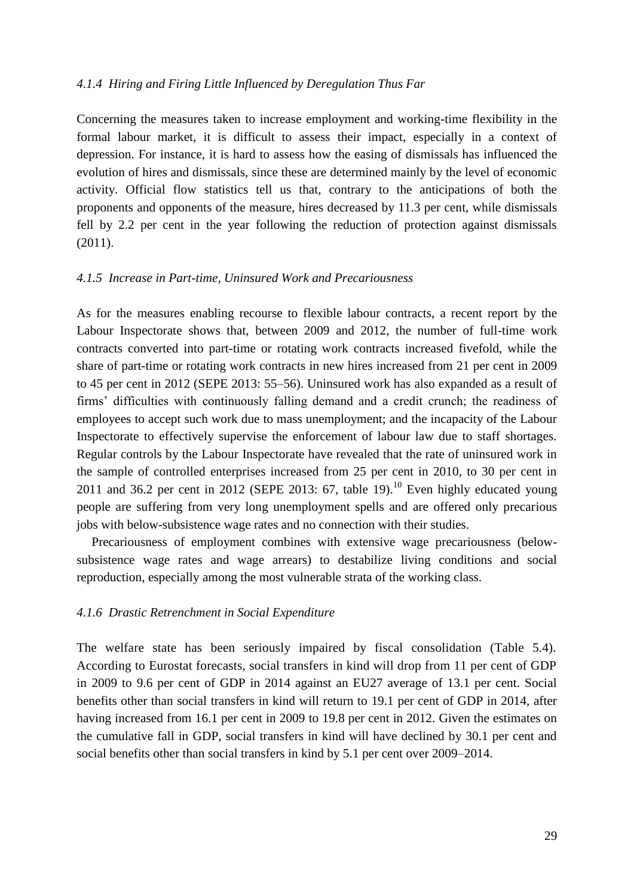### *4.1.4 Hiring and Firing Little Influenced by Deregulation Thus Far*

Concerning the measures taken to increase employment and working-time flexibility in the formal labour market, it is difficult to assess their impact, especially in a context of depression. For instance, it is hard to assess how the easing of dismissals has influenced the evolution of hires and dismissals, since these are determined mainly by the level of economic activity. Official flow statistics tell us that, contrary to the anticipations of both the proponents and opponents of the measure, hires decreased by 11.3 per cent, while dismissals fell by 2.2 per cent in the year following the reduction of protection against dismissals (2011).

# *4.1.5 Increase in Part-time, Uninsured Work and Precariousness*

As for the measures enabling recourse to flexible labour contracts, a recent report by the Labour Inspectorate shows that, between 2009 and 2012, the number of full-time work contracts converted into part-time or rotating work contracts increased fivefold, while the share of part-time or rotating work contracts in new hires increased from 21 per cent in 2009 to 45 per cent in 2012 (SEPE 2013: 55–56). Uninsured work has also expanded as a result of firms' difficulties with continuously falling demand and a credit crunch; the readiness of employees to accept such work due to mass unemployment; and the incapacity of the Labour Inspectorate to effectively supervise the enforcement of labour law due to staff shortages. Regular controls by the Labour Inspectorate have revealed that the rate of uninsured work in the sample of controlled enterprises increased from 25 per cent in 2010, to 30 per cent in 2011 and 36.2 per cent in 2012 (SEPE 2013: 67, table 19).<sup>10</sup> Even highly educated young people are suffering from very long unemployment spells and are offered only precarious jobs with below-subsistence wage rates and no connection with their studies.

Precariousness of employment combines with extensive wage precariousness (belowsubsistence wage rates and wage arrears) to destabilize living conditions and social reproduction, especially among the most vulnerable strata of the working class.

# *4.1.6 Drastic Retrenchment in Social Expenditure*

The welfare state has been seriously impaired by fiscal consolidation (Table 5.4). According to Eurostat forecasts, social transfers in kind will drop from 11 per cent of GDP in 2009 to 9.6 per cent of GDP in 2014 against an EU27 average of 13.1 per cent. Social benefits other than social transfers in kind will return to 19.1 per cent of GDP in 2014, after having increased from 16.1 per cent in 2009 to 19.8 per cent in 2012. Given the estimates on the cumulative fall in GDP, social transfers in kind will have declined by 30.1 per cent and social benefits other than social transfers in kind by 5.1 per cent over 2009–2014.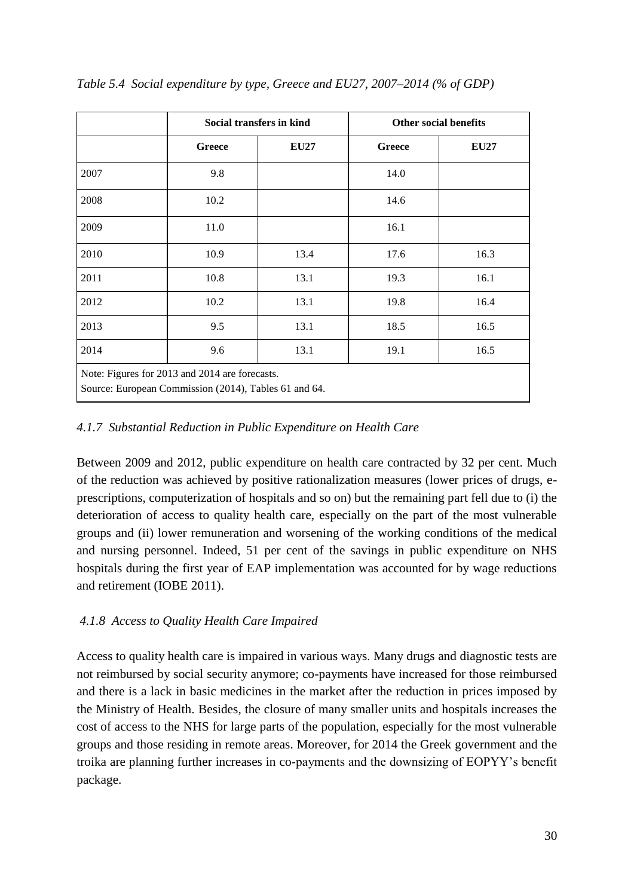|                                                                                                         | Social transfers in kind |             | <b>Other social benefits</b> |             |  |
|---------------------------------------------------------------------------------------------------------|--------------------------|-------------|------------------------------|-------------|--|
|                                                                                                         | <b>Greece</b>            | <b>EU27</b> | <b>Greece</b>                | <b>EU27</b> |  |
| 2007                                                                                                    | 9.8                      |             | 14.0                         |             |  |
| 2008                                                                                                    | 10.2                     |             | 14.6                         |             |  |
| 2009                                                                                                    | 11.0                     |             | 16.1                         |             |  |
| 2010                                                                                                    | 10.9                     | 13.4        | 17.6                         | 16.3        |  |
| 2011                                                                                                    | 10.8                     | 13.1        | 19.3                         | 16.1        |  |
| 2012                                                                                                    | 10.2                     | 13.1        | 19.8                         | 16.4        |  |
| 2013                                                                                                    | 9.5                      | 13.1        | 18.5                         | 16.5        |  |
| 2014                                                                                                    | 9.6                      | 13.1        | 19.1                         | 16.5        |  |
| Note: Figures for 2013 and 2014 are forecasts.<br>Source: European Commission (2014), Tables 61 and 64. |                          |             |                              |             |  |

*Table 5.4 Social expenditure by type, Greece and EU27, 2007–2014 (% of GDP)*

# *4.1.7 Substantial Reduction in Public Expenditure on Health Care*

Between 2009 and 2012, public expenditure on health care contracted by 32 per cent. Much of the reduction was achieved by positive rationalization measures (lower prices of drugs, eprescriptions, computerization of hospitals and so on) but the remaining part fell due to (i) the deterioration of access to quality health care, especially on the part of the most vulnerable groups and (ii) lower remuneration and worsening of the working conditions of the medical and nursing personnel. Indeed, 51 per cent of the savings in public expenditure on NHS hospitals during the first year of EAP implementation was accounted for by wage reductions and retirement (IOBE 2011).

# *4.1.8 Access to Quality Health Care Impaired*

Access to quality health care is impaired in various ways. Many drugs and diagnostic tests are not reimbursed by social security anymore; co-payments have increased for those reimbursed and there is a lack in basic medicines in the market after the reduction in prices imposed by the Ministry of Health. Besides, the closure of many smaller units and hospitals increases the cost of access to the NHS for large parts of the population, especially for the most vulnerable groups and those residing in remote areas. Moreover, for 2014 the Greek government and the troika are planning further increases in co-payments and the downsizing of EOPYY's benefit package.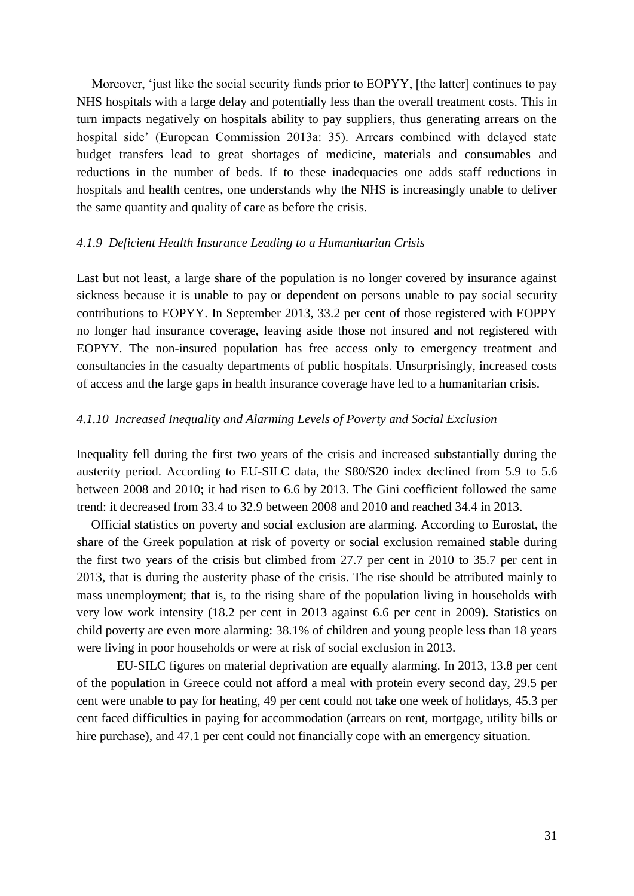Moreover, 'just like the social security funds prior to EOPYY, [the latter] continues to pay NHS hospitals with a large delay and potentially less than the overall treatment costs. This in turn impacts negatively on hospitals ability to pay suppliers, thus generating arrears on the hospital side' (European Commission 2013a: 35). Arrears combined with delayed state budget transfers lead to great shortages of medicine, materials and consumables and reductions in the number of beds. If to these inadequacies one adds staff reductions in hospitals and health centres, one understands why the NHS is increasingly unable to deliver the same quantity and quality of care as before the crisis.

### *4.1.9 Deficient Health Insurance Leading to a Humanitarian Crisis*

Last but not least, a large share of the population is no longer covered by insurance against sickness because it is unable to pay or dependent on persons unable to pay social security contributions to EOPYY. In September 2013, 33.2 per cent of those registered with EOPPY no longer had insurance coverage, leaving aside those not insured and not registered with EOPYY. The non-insured population has free access only to emergency treatment and consultancies in the casualty departments of public hospitals. Unsurprisingly, increased costs of access and the large gaps in health insurance coverage have led to a humanitarian crisis.

# *4.1.10 Increased Inequality and Alarming Levels of Poverty and Social Exclusion*

Inequality fell during the first two years of the crisis and increased substantially during the austerity period. According to EU-SILC data, the S80/S20 index declined from 5.9 to 5.6 between 2008 and 2010; it had risen to 6.6 by 2013. The Gini coefficient followed the same trend: it decreased from 33.4 to 32.9 between 2008 and 2010 and reached 34.4 in 2013.

Official statistics on poverty and social exclusion are alarming. According to Eurostat, the share of the Greek population at risk of poverty or social exclusion remained stable during the first two years of the crisis but climbed from 27.7 per cent in 2010 to 35.7 per cent in 2013, that is during the austerity phase of the crisis. The rise should be attributed mainly to mass unemployment; that is, to the rising share of the population living in households with very low work intensity (18.2 per cent in 2013 against 6.6 per cent in 2009). Statistics on child poverty are even more alarming: 38.1% of children and young people less than 18 years were living in poor households or were at risk of social exclusion in 2013.

 EU-SILC figures on material deprivation are equally alarming. In 2013, 13.8 per cent of the population in Greece could not afford a meal with protein every second day, 29.5 per cent were unable to pay for heating, 49 per cent could not take one week of holidays, 45.3 per cent faced difficulties in paying for accommodation (arrears on rent, mortgage, utility bills or hire purchase), and 47.1 per cent could not financially cope with an emergency situation.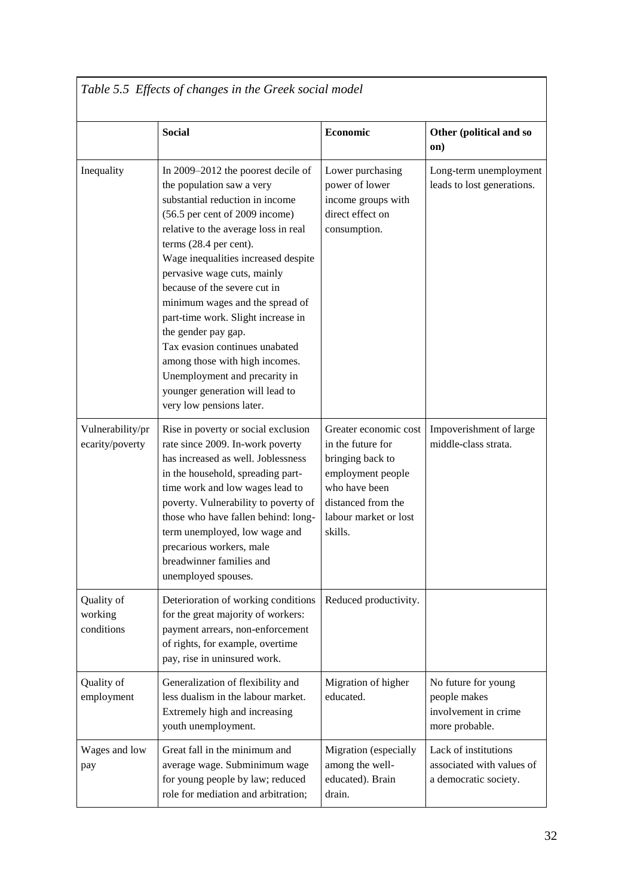| Table 5.5 Effects of changes in the Greek social model |                                                                                                                                                                                                                                                                                                                                                                                                                                                                                                                                                                                  |                                                                                                                                                                |                                                                               |  |  |
|--------------------------------------------------------|----------------------------------------------------------------------------------------------------------------------------------------------------------------------------------------------------------------------------------------------------------------------------------------------------------------------------------------------------------------------------------------------------------------------------------------------------------------------------------------------------------------------------------------------------------------------------------|----------------------------------------------------------------------------------------------------------------------------------------------------------------|-------------------------------------------------------------------------------|--|--|
|                                                        | <b>Social</b>                                                                                                                                                                                                                                                                                                                                                                                                                                                                                                                                                                    | Economic                                                                                                                                                       | Other (political and so<br>on)                                                |  |  |
| Inequality                                             | In 2009-2012 the poorest decile of<br>the population saw a very<br>substantial reduction in income<br>(56.5 per cent of 2009 income)<br>relative to the average loss in real<br>terms (28.4 per cent).<br>Wage inequalities increased despite<br>pervasive wage cuts, mainly<br>because of the severe cut in<br>minimum wages and the spread of<br>part-time work. Slight increase in<br>the gender pay gap.<br>Tax evasion continues unabated<br>among those with high incomes.<br>Unemployment and precarity in<br>younger generation will lead to<br>very low pensions later. | Lower purchasing<br>power of lower<br>income groups with<br>direct effect on<br>consumption.                                                                   | Long-term unemployment<br>leads to lost generations.                          |  |  |
| Vulnerability/pr<br>ecarity/poverty                    | Rise in poverty or social exclusion<br>rate since 2009. In-work poverty<br>has increased as well. Joblessness<br>in the household, spreading part-<br>time work and low wages lead to<br>poverty. Vulnerability to poverty of<br>those who have fallen behind: long-<br>term unemployed, low wage and<br>precarious workers, male<br>breadwinner families and<br>unemployed spouses.                                                                                                                                                                                             | Greater economic cost<br>in the future for<br>bringing back to<br>employment people<br>who have been<br>distanced from the<br>labour market or lost<br>skills. | Impoverishment of large<br>middle-class strata.                               |  |  |
| Quality of<br>working<br>conditions                    | Deterioration of working conditions<br>for the great majority of workers:<br>payment arrears, non-enforcement<br>of rights, for example, overtime<br>pay, rise in uninsured work.                                                                                                                                                                                                                                                                                                                                                                                                | Reduced productivity.                                                                                                                                          |                                                                               |  |  |
| Quality of<br>employment                               | Generalization of flexibility and<br>less dualism in the labour market.<br>Extremely high and increasing<br>youth unemployment.                                                                                                                                                                                                                                                                                                                                                                                                                                                  | Migration of higher<br>educated.                                                                                                                               | No future for young<br>people makes<br>involvement in crime<br>more probable. |  |  |
| Wages and low<br>pay                                   | Great fall in the minimum and<br>average wage. Subminimum wage<br>for young people by law; reduced<br>role for mediation and arbitration;                                                                                                                                                                                                                                                                                                                                                                                                                                        | Migration (especially<br>among the well-<br>educated). Brain<br>drain.                                                                                         | Lack of institutions<br>associated with values of<br>a democratic society.    |  |  |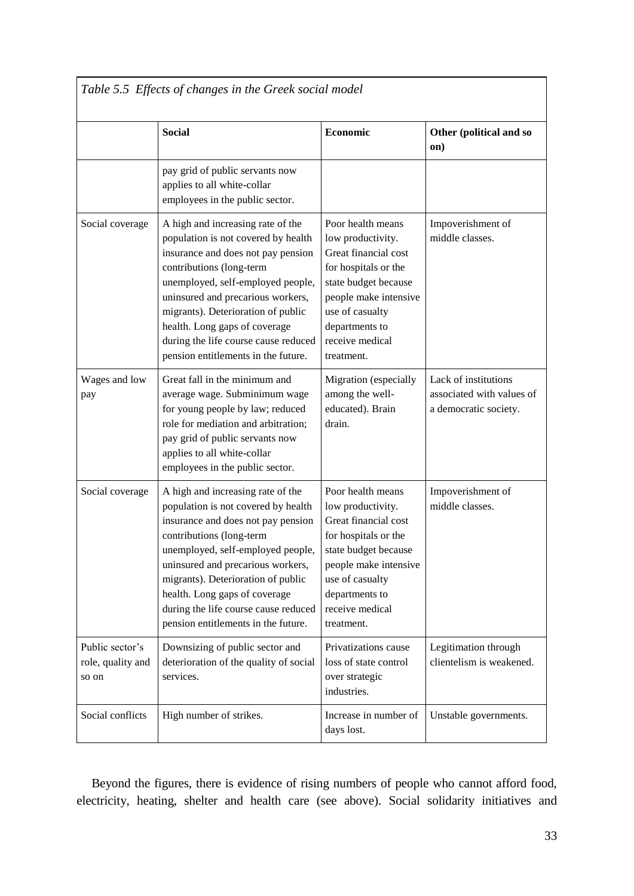| Table 5.5 Effects of changes in the Greek social model |                                                                                                                                                                                                                                                                                                                                                                            |                                                                                                                                                                                                               |                                                                            |  |  |
|--------------------------------------------------------|----------------------------------------------------------------------------------------------------------------------------------------------------------------------------------------------------------------------------------------------------------------------------------------------------------------------------------------------------------------------------|---------------------------------------------------------------------------------------------------------------------------------------------------------------------------------------------------------------|----------------------------------------------------------------------------|--|--|
|                                                        | <b>Social</b>                                                                                                                                                                                                                                                                                                                                                              | <b>Economic</b>                                                                                                                                                                                               | Other (political and so<br>on)                                             |  |  |
|                                                        | pay grid of public servants now<br>applies to all white-collar<br>employees in the public sector.                                                                                                                                                                                                                                                                          |                                                                                                                                                                                                               |                                                                            |  |  |
| Social coverage                                        | A high and increasing rate of the<br>population is not covered by health<br>insurance and does not pay pension<br>contributions (long-term<br>unemployed, self-employed people,<br>uninsured and precarious workers,<br>migrants). Deterioration of public<br>health. Long gaps of coverage<br>during the life course cause reduced<br>pension entitlements in the future. | Poor health means<br>low productivity.<br>Great financial cost<br>for hospitals or the<br>state budget because<br>people make intensive<br>use of casualty<br>departments to<br>receive medical<br>treatment. | Impoverishment of<br>middle classes.                                       |  |  |
| Wages and low<br>pay                                   | Great fall in the minimum and<br>average wage. Subminimum wage<br>for young people by law; reduced<br>role for mediation and arbitration;<br>pay grid of public servants now<br>applies to all white-collar<br>employees in the public sector.                                                                                                                             | Migration (especially<br>among the well-<br>educated). Brain<br>drain.                                                                                                                                        | Lack of institutions<br>associated with values of<br>a democratic society. |  |  |
| Social coverage                                        | A high and increasing rate of the<br>population is not covered by health<br>insurance and does not pay pension<br>contributions (long-term<br>unemployed, self-employed people,<br>uninsured and precarious workers,<br>migrants). Deterioration of public<br>health. Long gaps of coverage<br>during the life course cause reduced<br>pension entitlements in the future. | Poor health means<br>low productivity.<br>Great financial cost<br>for hospitals or the<br>state budget because<br>people make intensive<br>use of casualty<br>departments to<br>receive medical<br>treatment. | Impoverishment of<br>middle classes.                                       |  |  |
| Public sector's<br>role, quality and<br>so on          | Downsizing of public sector and<br>deterioration of the quality of social<br>services.                                                                                                                                                                                                                                                                                     | Privatizations cause<br>loss of state control<br>over strategic<br>industries.                                                                                                                                | Legitimation through<br>clientelism is weakened.                           |  |  |
| Social conflicts                                       | High number of strikes.                                                                                                                                                                                                                                                                                                                                                    | Increase in number of<br>days lost.                                                                                                                                                                           | Unstable governments.                                                      |  |  |

Beyond the figures, there is evidence of rising numbers of people who cannot afford food, electricity, heating, shelter and health care (see above). Social solidarity initiatives and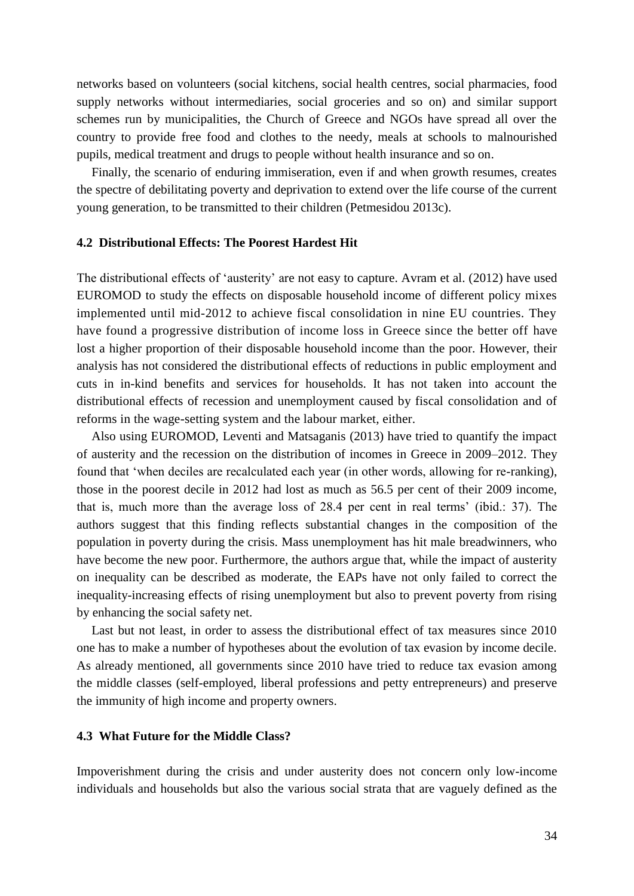networks based on volunteers (social kitchens, social health centres, social pharmacies, food supply networks without intermediaries, social groceries and so on) and similar support schemes run by municipalities, the Church of Greece and NGOs have spread all over the country to provide free food and clothes to the needy, meals at schools to malnourished pupils, medical treatment and drugs to people without health insurance and so on.

Finally, the scenario of enduring immiseration, even if and when growth resumes, creates the spectre of debilitating poverty and deprivation to extend over the life course of the current young generation, to be transmitted to their children (Petmesidou 2013c).

# **4.2 Distributional Effects: The Poorest Hardest Hit**

The distributional effects of 'austerity' are not easy to capture. Avram et al. (2012) have used EUROMOD to study the effects on disposable household income of different policy mixes implemented until mid-2012 to achieve fiscal consolidation in nine EU countries. They have found a progressive distribution of income loss in Greece since the better off have lost a higher proportion of their disposable household income than the poor. However, their analysis has not considered the distributional effects of reductions in public employment and cuts in in-kind benefits and services for households. It has not taken into account the distributional effects of recession and unemployment caused by fiscal consolidation and of reforms in the wage-setting system and the labour market, either.

Also using EUROMOD, Leventi and Matsaganis (2013) have tried to quantify the impact of austerity and the recession on the distribution of incomes in Greece in 2009–2012. They found that 'when deciles are recalculated each year (in other words, allowing for re-ranking), those in the poorest decile in 2012 had lost as much as 56.5 per cent of their 2009 income, that is, much more than the average loss of 28.4 per cent in real terms' (ibid.: 37). The authors suggest that this finding reflects substantial changes in the composition of the population in poverty during the crisis. Mass unemployment has hit male breadwinners, who have become the new poor. Furthermore, the authors argue that, while the impact of austerity on inequality can be described as moderate, the EAPs have not only failed to correct the inequality-increasing effects of rising unemployment but also to prevent poverty from rising by enhancing the social safety net.

Last but not least, in order to assess the distributional effect of tax measures since 2010 one has to make a number of hypotheses about the evolution of tax evasion by income decile. As already mentioned, all governments since 2010 have tried to reduce tax evasion among the middle classes (self-employed, liberal professions and petty entrepreneurs) and preserve the immunity of high income and property owners.

## **4.3 What Future for the Middle Class?**

Impoverishment during the crisis and under austerity does not concern only low-income individuals and households but also the various social strata that are vaguely defined as the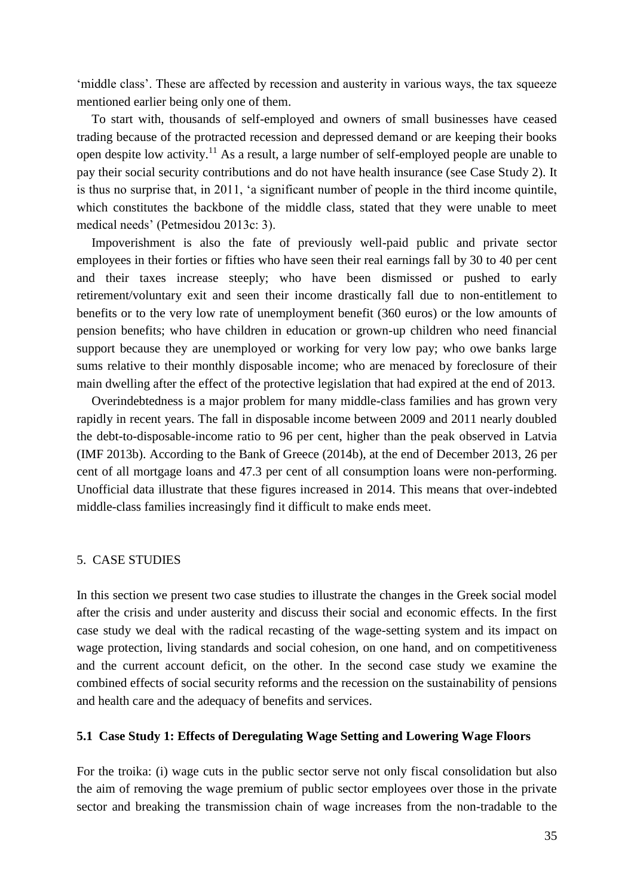'middle class'. These are affected by recession and austerity in various ways, the tax squeeze mentioned earlier being only one of them.

To start with, thousands of self-employed and owners of small businesses have ceased trading because of the protracted recession and depressed demand or are keeping their books open despite low activity.<sup>11</sup> As a result, a large number of self-employed people are unable to pay their social security contributions and do not have health insurance (see Case Study 2). It is thus no surprise that, in 2011, 'a significant number of people in the third income quintile, which constitutes the backbone of the middle class, stated that they were unable to meet medical needs' (Petmesidou 2013c: 3).

Impoverishment is also the fate of previously well-paid public and private sector employees in their forties or fifties who have seen their real earnings fall by 30 to 40 per cent and their taxes increase steeply; who have been dismissed or pushed to early retirement/voluntary exit and seen their income drastically fall due to non-entitlement to benefits or to the very low rate of unemployment benefit (360 euros) or the low amounts of pension benefits; who have children in education or grown-up children who need financial support because they are unemployed or working for very low pay; who owe banks large sums relative to their monthly disposable income; who are menaced by foreclosure of their main dwelling after the effect of the protective legislation that had expired at the end of 2013.

Overindebtedness is a major problem for many middle-class families and has grown very rapidly in recent years. The fall in disposable income between 2009 and 2011 nearly doubled the debt-to-disposable-income ratio to 96 per cent, higher than the peak observed in Latvia (IMF 2013b). According to the Bank of Greece (2014b), at the end of December 2013, 26 per cent of all mortgage loans and 47.3 per cent of all consumption loans were non-performing. Unofficial data illustrate that these figures increased in 2014. This means that over-indebted middle-class families increasingly find it difficult to make ends meet.

# 5. CASE STUDIES

In this section we present two case studies to illustrate the changes in the Greek social model after the crisis and under austerity and discuss their social and economic effects. In the first case study we deal with the radical recasting of the wage-setting system and its impact on wage protection, living standards and social cohesion, on one hand, and on competitiveness and the current account deficit, on the other. In the second case study we examine the combined effects of social security reforms and the recession on the sustainability of pensions and health care and the adequacy of benefits and services.

# **5.1 Case Study 1: Effects of Deregulating Wage Setting and Lowering Wage Floors**

For the troika: (i) wage cuts in the public sector serve not only fiscal consolidation but also the aim of removing the wage premium of public sector employees over those in the private sector and breaking the transmission chain of wage increases from the non-tradable to the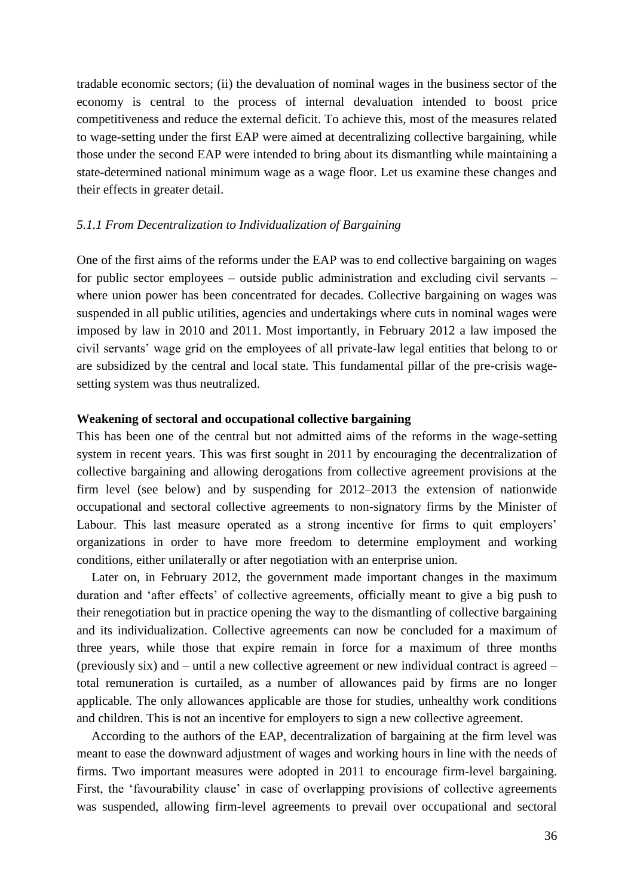tradable economic sectors; (ii) the devaluation of nominal wages in the business sector of the economy is central to the process of internal devaluation intended to boost price competitiveness and reduce the external deficit. To achieve this, most of the measures related to wage-setting under the first EAP were aimed at decentralizing collective bargaining, while those under the second EAP were intended to bring about its dismantling while maintaining a state-determined national minimum wage as a wage floor. Let us examine these changes and their effects in greater detail.

# *5.1.1 From Decentralization to Individualization of Bargaining*

One of the first aims of the reforms under the EAP was to end collective bargaining on wages for public sector employees – outside public administration and excluding civil servants – where union power has been concentrated for decades. Collective bargaining on wages was suspended in all public utilities, agencies and undertakings where cuts in nominal wages were imposed by law in 2010 and 2011. Most importantly, in February 2012 a law imposed the civil servants' wage grid on the employees of all private-law legal entities that belong to or are subsidized by the central and local state. This fundamental pillar of the pre-crisis wagesetting system was thus neutralized.

# **Weakening of sectoral and occupational collective bargaining**

This has been one of the central but not admitted aims of the reforms in the wage-setting system in recent years. This was first sought in 2011 by encouraging the decentralization of collective bargaining and allowing derogations from collective agreement provisions at the firm level (see below) and by suspending for 2012–2013 the extension of nationwide occupational and sectoral collective agreements to non-signatory firms by the Minister of Labour. This last measure operated as a strong incentive for firms to quit employers' organizations in order to have more freedom to determine employment and working conditions, either unilaterally or after negotiation with an enterprise union.

Later on, in February 2012, the government made important changes in the maximum duration and 'after effects' of collective agreements, officially meant to give a big push to their renegotiation but in practice opening the way to the dismantling of collective bargaining and its individualization. Collective agreements can now be concluded for a maximum of three years, while those that expire remain in force for a maximum of three months (previously six) and – until a new collective agreement or new individual contract is agreed – total remuneration is curtailed, as a number of allowances paid by firms are no longer applicable. The only allowances applicable are those for studies, unhealthy work conditions and children. This is not an incentive for employers to sign a new collective agreement.

According to the authors of the EAP, decentralization of bargaining at the firm level was meant to ease the downward adjustment of wages and working hours in line with the needs of firms. Two important measures were adopted in 2011 to encourage firm-level bargaining. First, the 'favourability clause' in case of overlapping provisions of collective agreements was suspended, allowing firm-level agreements to prevail over occupational and sectoral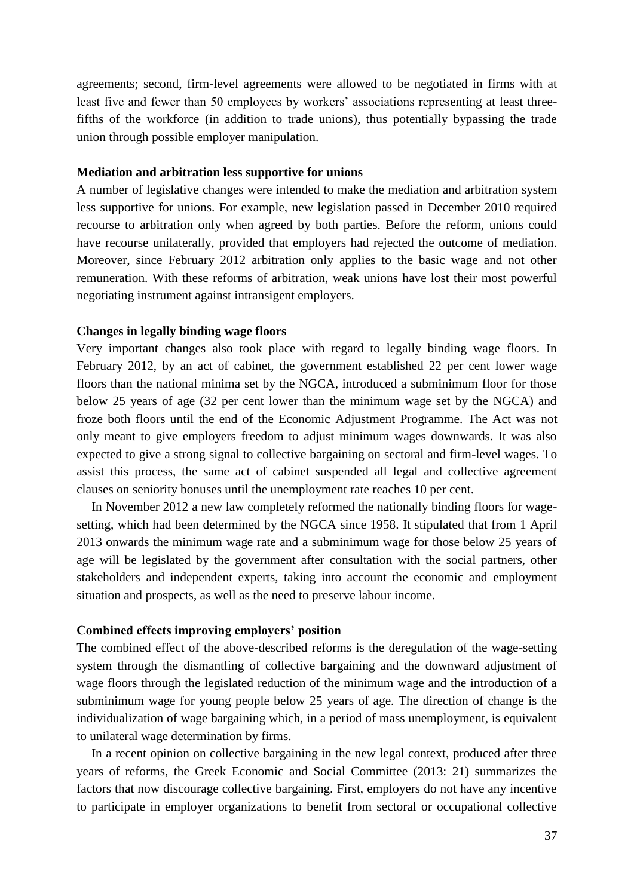agreements; second, firm-level agreements were allowed to be negotiated in firms with at least five and fewer than 50 employees by workers' associations representing at least threefifths of the workforce (in addition to trade unions), thus potentially bypassing the trade union through possible employer manipulation.

### **Mediation and arbitration less supportive for unions**

A number of legislative changes were intended to make the mediation and arbitration system less supportive for unions. For example, new legislation passed in December 2010 required recourse to arbitration only when agreed by both parties. Before the reform, unions could have recourse unilaterally, provided that employers had rejected the outcome of mediation. Moreover, since February 2012 arbitration only applies to the basic wage and not other remuneration. With these reforms of arbitration, weak unions have lost their most powerful negotiating instrument against intransigent employers.

### **Changes in legally binding wage floors**

Very important changes also took place with regard to legally binding wage floors. In February 2012, by an act of cabinet, the government established 22 per cent lower wage floors than the national minima set by the NGCA, introduced a subminimum floor for those below 25 years of age (32 per cent lower than the minimum wage set by the NGCA) and froze both floors until the end of the Economic Adjustment Programme. The Act was not only meant to give employers freedom to adjust minimum wages downwards. It was also expected to give a strong signal to collective bargaining on sectoral and firm-level wages. To assist this process, the same act of cabinet suspended all legal and collective agreement clauses on seniority bonuses until the unemployment rate reaches 10 per cent.

In November 2012 a new law completely reformed the nationally binding floors for wagesetting, which had been determined by the NGCA since 1958. It stipulated that from 1 April 2013 onwards the minimum wage rate and a subminimum wage for those below 25 years of age will be legislated by the government after consultation with the social partners, other stakeholders and independent experts, taking into account the economic and employment situation and prospects, as well as the need to preserve labour income.

#### **Combined effects improving employers' position**

The combined effect of the above-described reforms is the deregulation of the wage-setting system through the dismantling of collective bargaining and the downward adjustment of wage floors through the legislated reduction of the minimum wage and the introduction of a subminimum wage for young people below 25 years of age. The direction of change is the individualization of wage bargaining which, in a period of mass unemployment, is equivalent to unilateral wage determination by firms.

In a recent opinion on collective bargaining in the new legal context, produced after three years of reforms, the Greek Economic and Social Committee (2013: 21) summarizes the factors that now discourage collective bargaining. First, employers do not have any incentive to participate in employer organizations to benefit from sectoral or occupational collective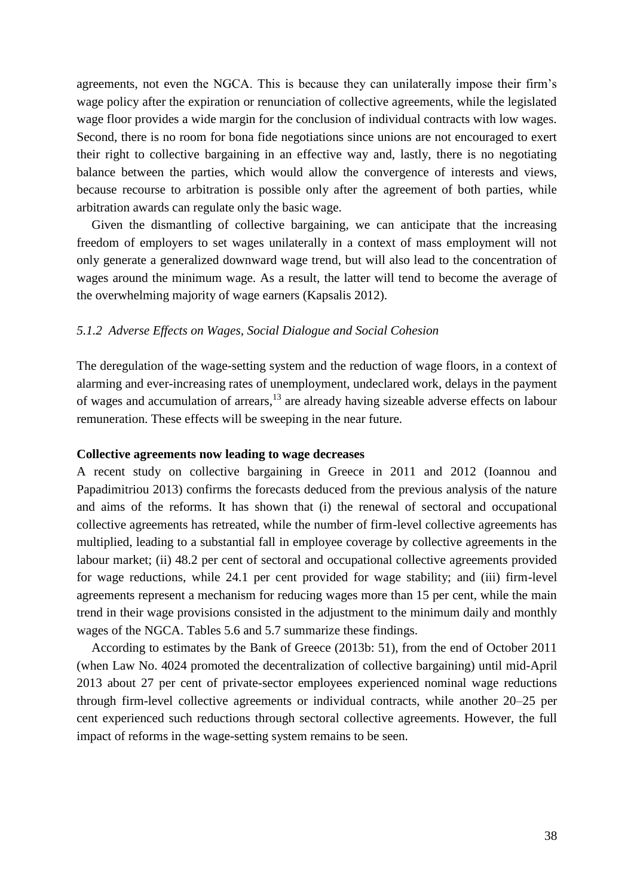agreements, not even the NGCA. This is because they can unilaterally impose their firm's wage policy after the expiration or renunciation of collective agreements, while the legislated wage floor provides a wide margin for the conclusion of individual contracts with low wages. Second, there is no room for bona fide negotiations since unions are not encouraged to exert their right to collective bargaining in an effective way and, lastly, there is no negotiating balance between the parties, which would allow the convergence of interests and views, because recourse to arbitration is possible only after the agreement of both parties, while arbitration awards can regulate only the basic wage.

Given the dismantling of collective bargaining, we can anticipate that the increasing freedom of employers to set wages unilaterally in a context of mass employment will not only generate a generalized downward wage trend, but will also lead to the concentration of wages around the minimum wage. As a result, the latter will tend to become the average of the overwhelming majority of wage earners (Kapsalis 2012).

## *5.1.2 Adverse Effects on Wages, Social Dialogue and Social Cohesion*

The deregulation of the wage-setting system and the reduction of wage floors, in a context of alarming and ever-increasing rates of unemployment, undeclared work, delays in the payment of wages and accumulation of arrears,<sup>13</sup> are already having sizeable adverse effects on labour remuneration. These effects will be sweeping in the near future.

#### **Collective agreements now leading to wage decreases**

A recent study on collective bargaining in Greece in 2011 and 2012 (Ioannou and Papadimitriou 2013) confirms the forecasts deduced from the previous analysis of the nature and aims of the reforms. It has shown that (i) the renewal of sectoral and occupational collective agreements has retreated, while the number of firm-level collective agreements has multiplied, leading to a substantial fall in employee coverage by collective agreements in the labour market; (ii) 48.2 per cent of sectoral and occupational collective agreements provided for wage reductions, while 24.1 per cent provided for wage stability; and (iii) firm-level agreements represent a mechanism for reducing wages more than 15 per cent, while the main trend in their wage provisions consisted in the adjustment to the minimum daily and monthly wages of the NGCA. Tables 5.6 and 5.7 summarize these findings.

According to estimates by the Bank of Greece (2013b: 51), from the end of October 2011 (when Law No. 4024 promoted the decentralization of collective bargaining) until mid-April 2013 about 27 per cent of private-sector employees experienced nominal wage reductions through firm-level collective agreements or individual contracts, while another 20–25 per cent experienced such reductions through sectoral collective agreements. However, the full impact of reforms in the wage-setting system remains to be seen.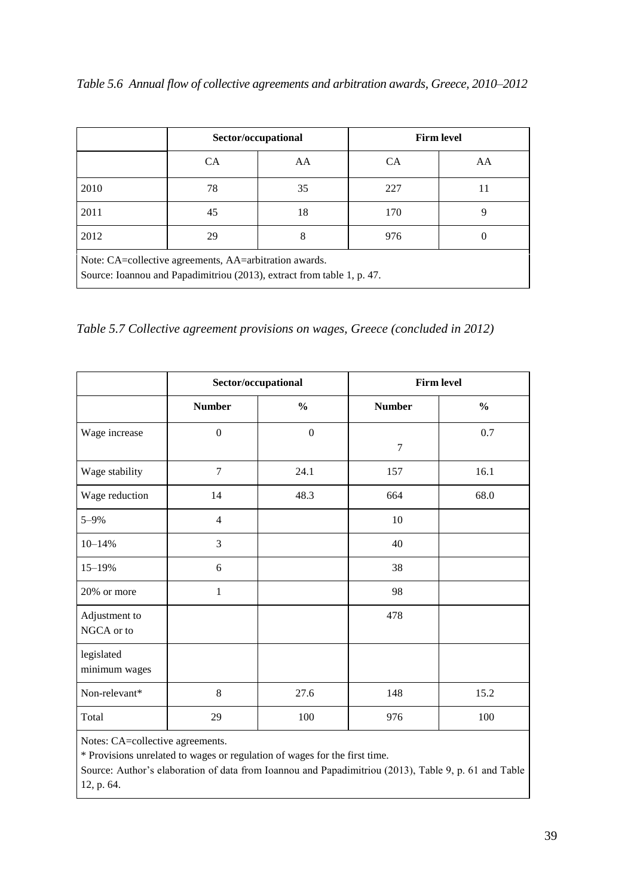| Table 5.6 Annual flow of collective agreements and arbitration awards, Greece, 2010-2012 |  |  |  |  |
|------------------------------------------------------------------------------------------|--|--|--|--|
|                                                                                          |  |  |  |  |

|                                                                                                                                  | Sector/occupational |    | <b>Firm level</b> |    |  |
|----------------------------------------------------------------------------------------------------------------------------------|---------------------|----|-------------------|----|--|
|                                                                                                                                  | <b>CA</b>           | AA | <b>CA</b>         | AA |  |
| 2010                                                                                                                             | 78                  | 35 | 227               | 11 |  |
| 2011                                                                                                                             | 45                  | 18 | 170               | 9  |  |
| 2012                                                                                                                             | 29                  | 8  | 976               |    |  |
| Note: CA=collective agreements, AA=arbitration awards.<br>Source: Ioannou and Papadimitriou (2013), extract from table 1, p. 47. |                     |    |                   |    |  |

*Table 5.7 Collective agreement provisions on wages, Greece (concluded in 2012)*

|                             | Sector/occupational |                  | <b>Firm level</b> |               |
|-----------------------------|---------------------|------------------|-------------------|---------------|
|                             | <b>Number</b>       | $\frac{0}{0}$    | <b>Number</b>     | $\frac{6}{6}$ |
| Wage increase               | $\boldsymbol{0}$    | $\boldsymbol{0}$ | $\overline{7}$    | $0.7\,$       |
| Wage stability              | $\overline{7}$      | 24.1             | 157               | 16.1          |
| Wage reduction              | 14                  | 48.3             | 664               | 68.0          |
| $5 - 9\%$                   | $\overline{4}$      |                  | 10                |               |
| $10 - 14%$                  | 3                   |                  | 40                |               |
| 15-19%                      | 6                   |                  | 38                |               |
| 20% or more                 | $\mathbf{1}$        |                  | 98                |               |
| Adjustment to<br>NGCA or to |                     |                  | 478               |               |
| legislated<br>minimum wages |                     |                  |                   |               |
| Non-relevant*               | 8                   | 27.6             | 148               | 15.2          |
| Total                       | 29                  | 100              | 976               | 100           |

Notes: CA=collective agreements.

\* Provisions unrelated to wages or regulation of wages for the first time.

Source: Author's elaboration of data from Ioannou and Papadimitriou (2013), Table 9, p. 61 and Table 12, p. 64.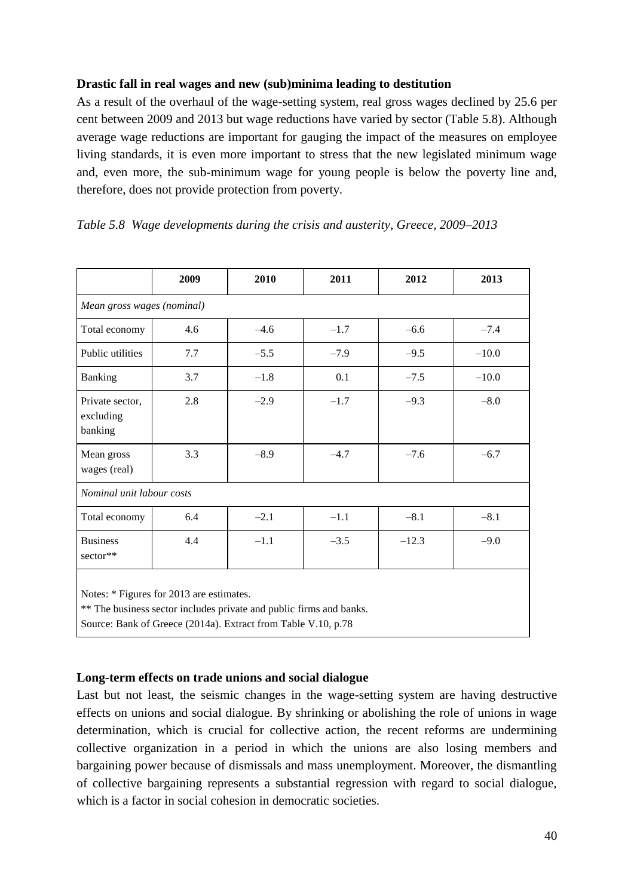# **Drastic fall in real wages and new (sub)minima leading to destitution**

As a result of the overhaul of the wage-setting system, real gross wages declined by 25.6 per cent between 2009 and 2013 but wage reductions have varied by sector (Table 5.8). Although average wage reductions are important for gauging the impact of the measures on employee living standards, it is even more important to stress that the new legislated minimum wage and, even more, the sub-minimum wage for young people is below the poverty line and, therefore, does not provide protection from poverty.

# *Table 5.8 Wage developments during the crisis and austerity, Greece, 2009–2013*

|                                                                                                                 | 2009 | 2010   | 2011   | 2012    | 2013    |  |
|-----------------------------------------------------------------------------------------------------------------|------|--------|--------|---------|---------|--|
| Mean gross wages (nominal)                                                                                      |      |        |        |         |         |  |
| Total economy                                                                                                   | 4.6  | $-4.6$ | $-1.7$ | $-6.6$  | $-7.4$  |  |
| Public utilities                                                                                                | 7.7  | $-5.5$ | $-7.9$ | $-9.5$  | $-10.0$ |  |
| <b>Banking</b>                                                                                                  | 3.7  | $-1.8$ | 0.1    | $-7.5$  | $-10.0$ |  |
| Private sector,<br>excluding<br>banking                                                                         | 2.8  | $-2.9$ | $-1.7$ | $-9.3$  | $-8.0$  |  |
| Mean gross<br>wages (real)                                                                                      | 3.3  | $-8.9$ | $-4.7$ | $-7.6$  | $-6.7$  |  |
| Nominal unit labour costs                                                                                       |      |        |        |         |         |  |
| Total economy                                                                                                   | 6.4  | $-2.1$ | $-1.1$ | $-8.1$  | $-8.1$  |  |
| <b>Business</b><br>sector**                                                                                     | 4.4  | $-1.1$ | $-3.5$ | $-12.3$ | $-9.0$  |  |
| Notes: * Figures for 2013 are estimates.<br>** The business sector includes private and public firms and banks. |      |        |        |         |         |  |

Source: Bank of Greece (2014a). Extract from Table V.10, p.78

# **Long-term effects on trade unions and social dialogue**

Last but not least, the seismic changes in the wage-setting system are having destructive effects on unions and social dialogue. By shrinking or abolishing the role of unions in wage determination, which is crucial for collective action, the recent reforms are undermining collective organization in a period in which the unions are also losing members and bargaining power because of dismissals and mass unemployment. Moreover, the dismantling of collective bargaining represents a substantial regression with regard to social dialogue, which is a factor in social cohesion in democratic societies.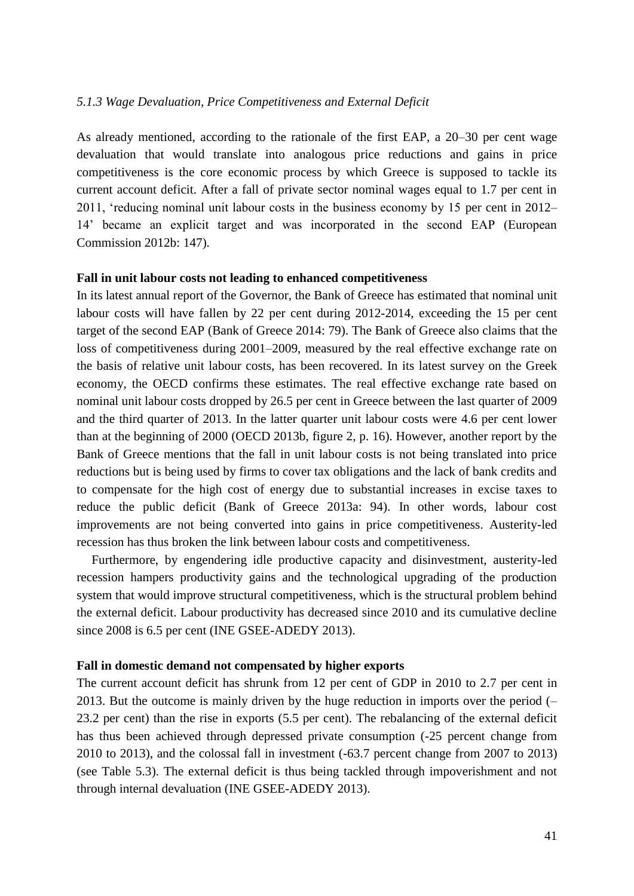### *5.1.3 Wage Devaluation, Price Competitiveness and External Deficit*

As already mentioned, according to the rationale of the first EAP, a 20–30 per cent wage devaluation that would translate into analogous price reductions and gains in price competitiveness is the core economic process by which Greece is supposed to tackle its current account deficit. After a fall of private sector nominal wages equal to 1.7 per cent in 2011, 'reducing nominal unit labour costs in the business economy by 15 per cent in 2012– 14' became an explicit target and was incorporated in the second EAP (European Commission 2012b: 147).

### **Fall in unit labour costs not leading to enhanced competitiveness**

In its latest annual report of the Governor, the Bank of Greece has estimated that nominal unit labour costs will have fallen by 22 per cent during 2012-2014, exceeding the 15 per cent target of the second EAP (Bank of Greece 2014: 79). The Bank of Greece also claims that the loss of competitiveness during 2001–2009, measured by the real effective exchange rate on the basis of relative unit labour costs, has been recovered. In its latest survey on the Greek economy, the OECD confirms these estimates. The real effective exchange rate based on nominal unit labour costs dropped by 26.5 per cent in Greece between the last quarter of 2009 and the third quarter of 2013. In the latter quarter unit labour costs were 4.6 per cent lower than at the beginning of 2000 (OECD 2013b, figure 2, p. 16). However, another report by the Bank of Greece mentions that the fall in unit labour costs is not being translated into price reductions but is being used by firms to cover tax obligations and the lack of bank credits and to compensate for the high cost of energy due to substantial increases in excise taxes to reduce the public deficit (Bank of Greece 2013a: 94). In other words, labour cost improvements are not being converted into gains in price competitiveness. Austerity-led recession has thus broken the link between labour costs and competitiveness.

Furthermore, by engendering idle productive capacity and disinvestment, austerity-led recession hampers productivity gains and the technological upgrading of the production system that would improve structural competitiveness, which is the structural problem behind the external deficit. Labour productivity has decreased since 2010 and its cumulative decline since 2008 is 6.5 per cent (INE GSEE-ADEDY 2013).

#### **Fall in domestic demand not compensated by higher exports**

The current account deficit has shrunk from 12 per cent of GDP in 2010 to 2.7 per cent in 2013. But the outcome is mainly driven by the huge reduction in imports over the period (– 23.2 per cent) than the rise in exports (5.5 per cent). The rebalancing of the external deficit has thus been achieved through depressed private consumption (-25 percent change from 2010 to 2013), and the colossal fall in investment (-63.7 percent change from 2007 to 2013) (see Table 5.3). The external deficit is thus being tackled through impoverishment and not through internal devaluation (INE GSEE-ADEDY 2013).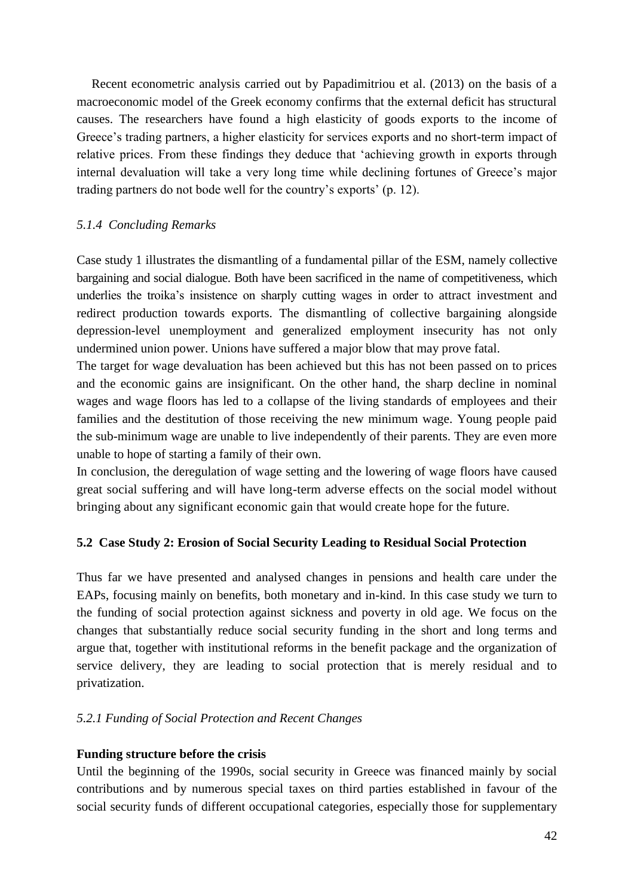Recent econometric analysis carried out by Papadimitriou et al. (2013) on the basis of a macroeconomic model of the Greek economy confirms that the external deficit has structural causes. The researchers have found a high elasticity of goods exports to the income of Greece's trading partners, a higher elasticity for services exports and no short-term impact of relative prices. From these findings they deduce that 'achieving growth in exports through internal devaluation will take a very long time while declining fortunes of Greece's major trading partners do not bode well for the country's exports' (p. 12).

# *5.1.4 Concluding Remarks*

Case study 1 illustrates the dismantling of a fundamental pillar of the ESM, namely collective bargaining and social dialogue. Both have been sacrificed in the name of competitiveness, which underlies the troika's insistence on sharply cutting wages in order to attract investment and redirect production towards exports. The dismantling of collective bargaining alongside depression-level unemployment and generalized employment insecurity has not only undermined union power. Unions have suffered a major blow that may prove fatal.

The target for wage devaluation has been achieved but this has not been passed on to prices and the economic gains are insignificant. On the other hand, the sharp decline in nominal wages and wage floors has led to a collapse of the living standards of employees and their families and the destitution of those receiving the new minimum wage. Young people paid the sub-minimum wage are unable to live independently of their parents. They are even more unable to hope of starting a family of their own.

In conclusion, the deregulation of wage setting and the lowering of wage floors have caused great social suffering and will have long-term adverse effects on the social model without bringing about any significant economic gain that would create hope for the future.

# **5.2 Case Study 2: Erosion of Social Security Leading to Residual Social Protection**

Thus far we have presented and analysed changes in pensions and health care under the EAPs, focusing mainly on benefits, both monetary and in-kind. In this case study we turn to the funding of social protection against sickness and poverty in old age. We focus on the changes that substantially reduce social security funding in the short and long terms and argue that, together with institutional reforms in the benefit package and the organization of service delivery, they are leading to social protection that is merely residual and to privatization.

# *5.2.1 Funding of Social Protection and Recent Changes*

# **Funding structure before the crisis**

Until the beginning of the 1990s, social security in Greece was financed mainly by social contributions and by numerous special taxes on third parties established in favour of the social security funds of different occupational categories, especially those for supplementary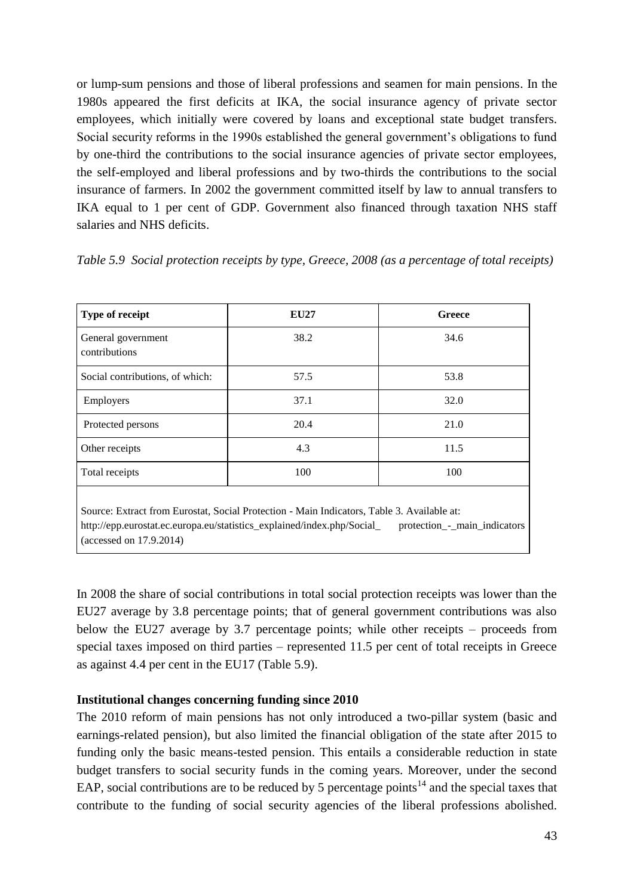or lump-sum pensions and those of liberal professions and seamen for main pensions. In the 1980s appeared the first deficits at IKA, the social insurance agency of private sector employees, which initially were covered by loans and exceptional state budget transfers. Social security reforms in the 1990s established the general government's obligations to fund by one-third the contributions to the social insurance agencies of private sector employees, the self-employed and liberal professions and by two-thirds the contributions to the social insurance of farmers. In 2002 the government committed itself by law to annual transfers to IKA equal to 1 per cent of GDP. Government also financed through taxation NHS staff salaries and NHS deficits.

|  | Table 5.9 Social protection receipts by type, Greece, 2008 (as a percentage of total receipts) |  |  |  |
|--|------------------------------------------------------------------------------------------------|--|--|--|
|  |                                                                                                |  |  |  |

| Type of receipt                                                                                                                                                                                     | <b>EU27</b> | <b>Greece</b>                            |
|-----------------------------------------------------------------------------------------------------------------------------------------------------------------------------------------------------|-------------|------------------------------------------|
| General government<br>contributions                                                                                                                                                                 | 38.2        | 34.6                                     |
| Social contributions, of which:                                                                                                                                                                     | 57.5        | 53.8                                     |
| Employers                                                                                                                                                                                           | 37.1        | 32.0                                     |
| Protected persons                                                                                                                                                                                   | 20.4        | 21.0                                     |
| Other receipts                                                                                                                                                                                      | 4.3         | 11.5                                     |
| Total receipts                                                                                                                                                                                      | 100         | 100                                      |
| Source: Extract from Eurostat, Social Protection - Main Indicators, Table 3. Available at:<br>http://epp.eurostat.ec.europa.eu/statistics_explained/index.php/Social_<br>(accessed on $17.9.2014$ ) |             | protection <sub>-</sub> -main_indicators |

In 2008 the share of social contributions in total social protection receipts was lower than the EU27 average by 3.8 percentage points; that of general government contributions was also below the EU27 average by 3.7 percentage points; while other receipts – proceeds from special taxes imposed on third parties – represented 11.5 per cent of total receipts in Greece as against 4.4 per cent in the EU17 (Table 5.9).

# **Institutional changes concerning funding since 2010**

The 2010 reform of main pensions has not only introduced a two-pillar system (basic and earnings-related pension), but also limited the financial obligation of the state after 2015 to funding only the basic means-tested pension. This entails a considerable reduction in state budget transfers to social security funds in the coming years. Moreover, under the second EAP, social contributions are to be reduced by 5 percentage points<sup>14</sup> and the special taxes that contribute to the funding of social security agencies of the liberal professions abolished.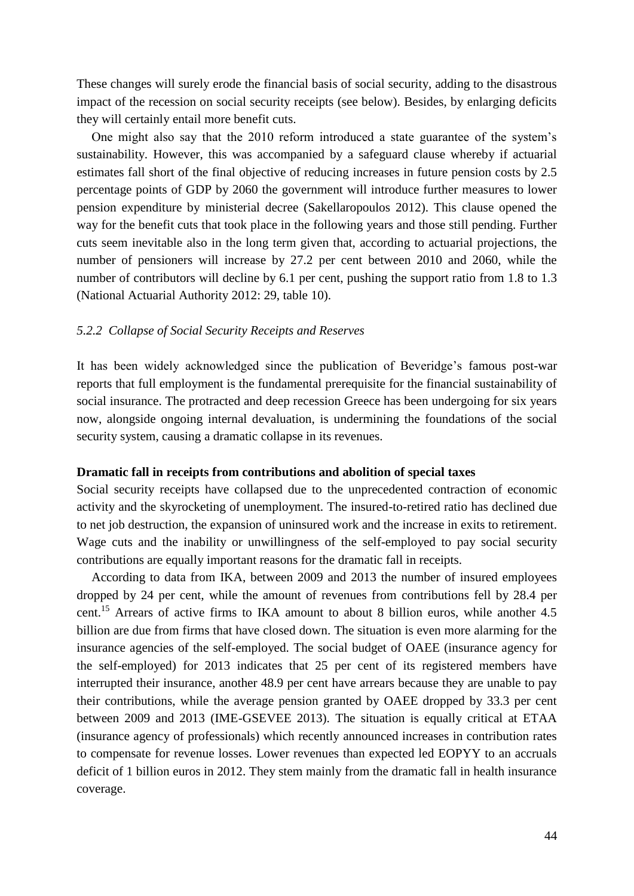These changes will surely erode the financial basis of social security, adding to the disastrous impact of the recession on social security receipts (see below). Besides, by enlarging deficits they will certainly entail more benefit cuts.

One might also say that the 2010 reform introduced a state guarantee of the system's sustainability. However, this was accompanied by a safeguard clause whereby if actuarial estimates fall short of the final objective of reducing increases in future pension costs by 2.5 percentage points of GDP by 2060 the government will introduce further measures to lower pension expenditure by ministerial decree (Sakellaropoulos 2012). This clause opened the way for the benefit cuts that took place in the following years and those still pending. Further cuts seem inevitable also in the long term given that, according to actuarial projections, the number of pensioners will increase by 27.2 per cent between 2010 and 2060, while the number of contributors will decline by 6.1 per cent, pushing the support ratio from 1.8 to 1.3 (National Actuarial Authority 2012: 29, table 10).

#### *5.2.2 Collapse of Social Security Receipts and Reserves*

It has been widely acknowledged since the publication of Beveridge's famous post-war reports that full employment is the fundamental prerequisite for the financial sustainability of social insurance. The protracted and deep recession Greece has been undergoing for six years now, alongside ongoing internal devaluation, is undermining the foundations of the social security system, causing a dramatic collapse in its revenues.

### **Dramatic fall in receipts from contributions and abolition of special taxes**

Social security receipts have collapsed due to the unprecedented contraction of economic activity and the skyrocketing of unemployment. The insured-to-retired ratio has declined due to net job destruction, the expansion of uninsured work and the increase in exits to retirement. Wage cuts and the inability or unwillingness of the self-employed to pay social security contributions are equally important reasons for the dramatic fall in receipts.

According to data from IKA, between 2009 and 2013 the number of insured employees dropped by 24 per cent, while the amount of revenues from contributions fell by 28.4 per cent.<sup>15</sup> Arrears of active firms to IKA amount to about 8 billion euros, while another 4.5 billion are due from firms that have closed down. The situation is even more alarming for the insurance agencies of the self-employed. The social budget of OAEE (insurance agency for the self-employed) for 2013 indicates that 25 per cent of its registered members have interrupted their insurance, another 48.9 per cent have arrears because they are unable to pay their contributions, while the average pension granted by OAEE dropped by 33.3 per cent between 2009 and 2013 (IME-GSEVEE 2013). The situation is equally critical at ETAA (insurance agency of professionals) which recently announced increases in contribution rates to compensate for revenue losses. Lower revenues than expected led EOPYY to an accruals deficit of 1 billion euros in 2012. They stem mainly from the dramatic fall in health insurance coverage.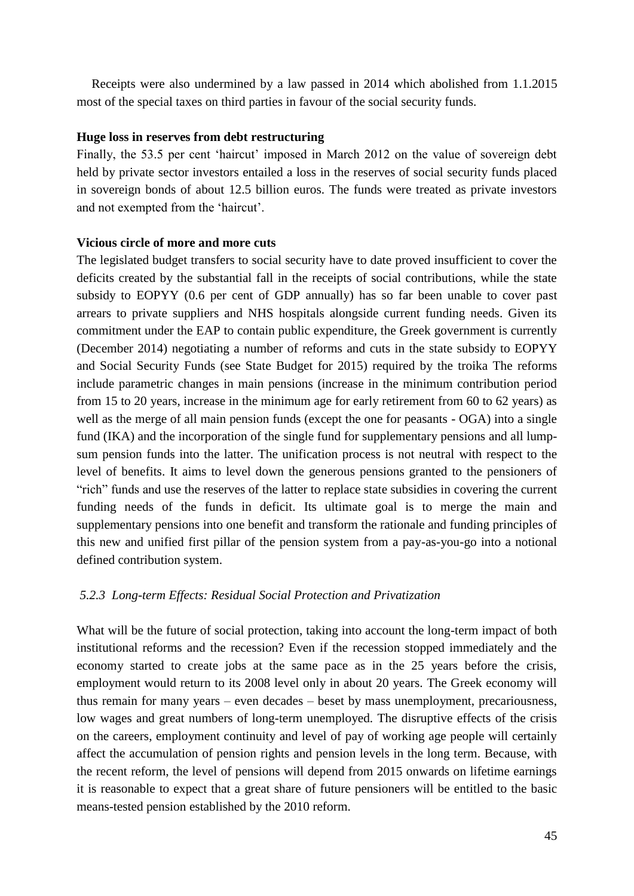Receipts were also undermined by a law passed in 2014 which abolished from 1.1.2015 most of the special taxes on third parties in favour of the social security funds.

# **Huge loss in reserves from debt restructuring**

Finally, the 53.5 per cent 'haircut' imposed in March 2012 on the value of sovereign debt held by private sector investors entailed a loss in the reserves of social security funds placed in sovereign bonds of about 12.5 billion euros. The funds were treated as private investors and not exempted from the 'haircut'.

# **Vicious circle of more and more cuts**

The legislated budget transfers to social security have to date proved insufficient to cover the deficits created by the substantial fall in the receipts of social contributions, while the state subsidy to EOPYY (0.6 per cent of GDP annually) has so far been unable to cover past arrears to private suppliers and NHS hospitals alongside current funding needs. Given its commitment under the EAP to contain public expenditure, the Greek government is currently (December 2014) negotiating a number of reforms and cuts in the state subsidy to EOPYY and Social Security Funds (see State Budget for 2015) required by the troika The reforms include parametric changes in main pensions (increase in the minimum contribution period from 15 to 20 years, increase in the minimum age for early retirement from 60 to 62 years) as well as the merge of all main pension funds (except the one for peasants - OGA) into a single fund (IKA) and the incorporation of the single fund for supplementary pensions and all lumpsum pension funds into the latter. The unification process is not neutral with respect to the level of benefits. It aims to level down the generous pensions granted to the pensioners of "rich" funds and use the reserves of the latter to replace state subsidies in covering the current funding needs of the funds in deficit. Its ultimate goal is to merge the main and supplementary pensions into one benefit and transform the rationale and funding principles of this new and unified first pillar of the pension system from a pay-as-you-go into a notional defined contribution system.

# *5.2.3 Long-term Effects: Residual Social Protection and Privatization*

What will be the future of social protection, taking into account the long-term impact of both institutional reforms and the recession? Even if the recession stopped immediately and the economy started to create jobs at the same pace as in the 25 years before the crisis, employment would return to its 2008 level only in about 20 years. The Greek economy will thus remain for many years – even decades – beset by mass unemployment, precariousness, low wages and great numbers of long-term unemployed. The disruptive effects of the crisis on the careers, employment continuity and level of pay of working age people will certainly affect the accumulation of pension rights and pension levels in the long term. Because, with the recent reform, the level of pensions will depend from 2015 onwards on lifetime earnings it is reasonable to expect that a great share of future pensioners will be entitled to the basic means-tested pension established by the 2010 reform.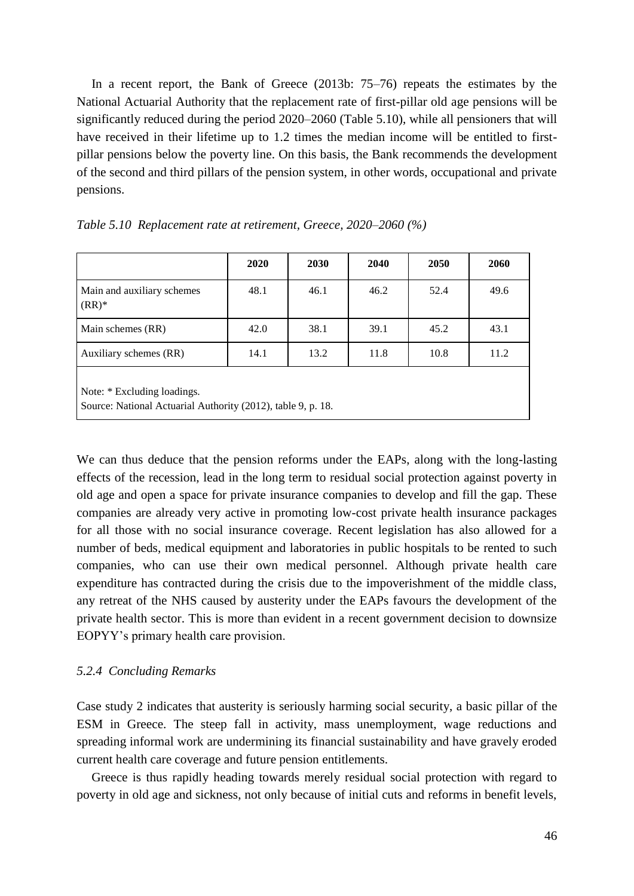In a recent report, the Bank of Greece (2013b: 75–76) repeats the estimates by the National Actuarial Authority that the replacement rate of first-pillar old age pensions will be significantly reduced during the period 2020–2060 (Table 5.10), while all pensioners that will have received in their lifetime up to 1.2 times the median income will be entitled to firstpillar pensions below the poverty line. On this basis, the Bank recommends the development of the second and third pillars of the pension system, in other words, occupational and private pensions.

|                                                                                             | 2020 | 2030 | 2040 | 2050 | 2060 |  |
|---------------------------------------------------------------------------------------------|------|------|------|------|------|--|
| Main and auxiliary schemes<br>$(RR)^*$                                                      | 48.1 | 46.1 | 46.2 | 52.4 | 49.6 |  |
| Main schemes (RR)                                                                           | 42.0 | 38.1 | 39.1 | 45.2 | 43.1 |  |
| Auxiliary schemes (RR)                                                                      | 14.1 | 13.2 | 11.8 | 10.8 | 11.2 |  |
| Note: * Excluding loadings.<br>Source: National Actuarial Authority (2012), table 9, p. 18. |      |      |      |      |      |  |

|  |  | Table 5.10 Replacement rate at retirement, Greece, 2020–2060 (%) |  |  |  |
|--|--|------------------------------------------------------------------|--|--|--|
|--|--|------------------------------------------------------------------|--|--|--|

We can thus deduce that the pension reforms under the EAPs, along with the long-lasting effects of the recession, lead in the long term to residual social protection against poverty in old age and open a space for private insurance companies to develop and fill the gap. These companies are already very active in promoting low-cost private health insurance packages for all those with no social insurance coverage. Recent legislation has also allowed for a number of beds, medical equipment and laboratories in public hospitals to be rented to such companies, who can use their own medical personnel. Although private health care expenditure has contracted during the crisis due to the impoverishment of the middle class, any retreat of the NHS caused by austerity under the EAPs favours the development of the private health sector. This is more than evident in a recent government decision to downsize EOPYY's primary health care provision.

### *5.2.4 Concluding Remarks*

Case study 2 indicates that austerity is seriously harming social security, a basic pillar of the ESM in Greece. The steep fall in activity, mass unemployment, wage reductions and spreading informal work are undermining its financial sustainability and have gravely eroded current health care coverage and future pension entitlements.

Greece is thus rapidly heading towards merely residual social protection with regard to poverty in old age and sickness, not only because of initial cuts and reforms in benefit levels,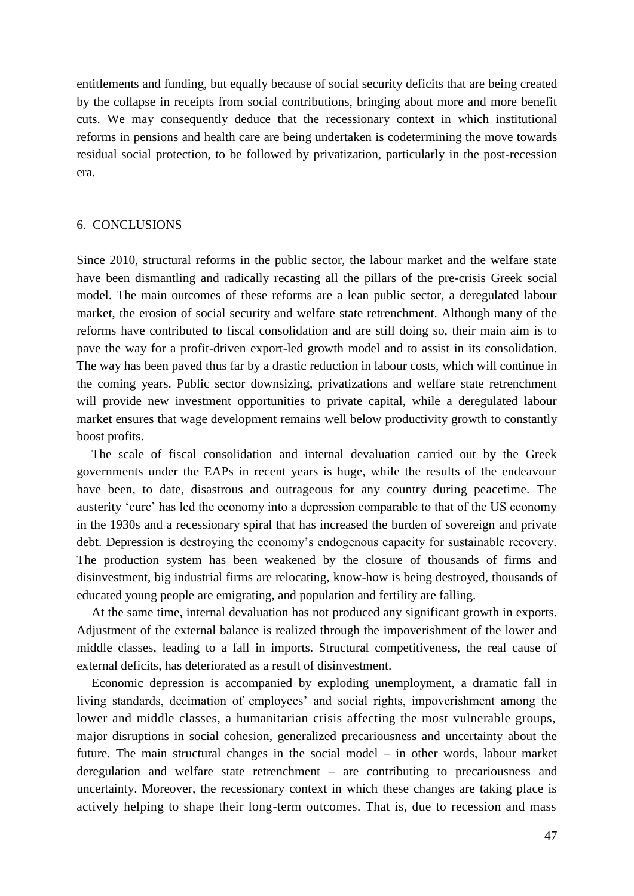entitlements and funding, but equally because of social security deficits that are being created by the collapse in receipts from social contributions, bringing about more and more benefit cuts. We may consequently deduce that the recessionary context in which institutional reforms in pensions and health care are being undertaken is codetermining the move towards residual social protection, to be followed by privatization, particularly in the post-recession era.

## 6. CONCLUSIONS

Since 2010, structural reforms in the public sector, the labour market and the welfare state have been dismantling and radically recasting all the pillars of the pre-crisis Greek social model. The main outcomes of these reforms are a lean public sector, a deregulated labour market, the erosion of social security and welfare state retrenchment. Although many of the reforms have contributed to fiscal consolidation and are still doing so, their main aim is to pave the way for a profit-driven export-led growth model and to assist in its consolidation. The way has been paved thus far by a drastic reduction in labour costs, which will continue in the coming years. Public sector downsizing, privatizations and welfare state retrenchment will provide new investment opportunities to private capital, while a deregulated labour market ensures that wage development remains well below productivity growth to constantly boost profits.

The scale of fiscal consolidation and internal devaluation carried out by the Greek governments under the EAPs in recent years is huge, while the results of the endeavour have been, to date, disastrous and outrageous for any country during peacetime. The austerity 'cure' has led the economy into a depression comparable to that of the US economy in the 1930s and a recessionary spiral that has increased the burden of sovereign and private debt. Depression is destroying the economy's endogenous capacity for sustainable recovery. The production system has been weakened by the closure of thousands of firms and disinvestment, big industrial firms are relocating, know-how is being destroyed, thousands of educated young people are emigrating, and population and fertility are falling.

At the same time, internal devaluation has not produced any significant growth in exports. Adjustment of the external balance is realized through the impoverishment of the lower and middle classes, leading to a fall in imports. Structural competitiveness, the real cause of external deficits, has deteriorated as a result of disinvestment.

Economic depression is accompanied by exploding unemployment, a dramatic fall in living standards, decimation of employees' and social rights, impoverishment among the lower and middle classes, a humanitarian crisis affecting the most vulnerable groups, major disruptions in social cohesion, generalized precariousness and uncertainty about the future. The main structural changes in the social model – in other words, labour market deregulation and welfare state retrenchment – are contributing to precariousness and uncertainty. Moreover, the recessionary context in which these changes are taking place is actively helping to shape their long-term outcomes. That is, due to recession and mass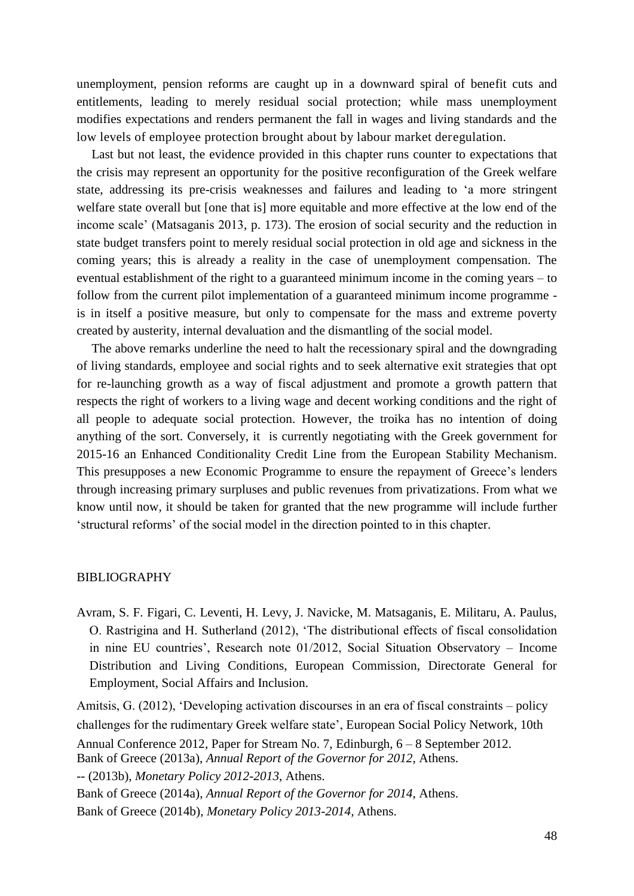unemployment, pension reforms are caught up in a downward spiral of benefit cuts and entitlements, leading to merely residual social protection; while mass unemployment modifies expectations and renders permanent the fall in wages and living standards and the low levels of employee protection brought about by labour market deregulation.

Last but not least, the evidence provided in this chapter runs counter to expectations that the crisis may represent an opportunity for the positive reconfiguration of the Greek welfare state, addressing its pre-crisis weaknesses and failures and leading to 'a more stringent welfare state overall but [one that is] more equitable and more effective at the low end of the income scale' (Matsaganis 2013, p. 173). The erosion of social security and the reduction in state budget transfers point to merely residual social protection in old age and sickness in the coming years; this is already a reality in the case of unemployment compensation. The eventual establishment of the right to a guaranteed minimum income in the coming years – to follow from the current pilot implementation of a guaranteed minimum income programme is in itself a positive measure, but only to compensate for the mass and extreme poverty created by austerity, internal devaluation and the dismantling of the social model.

The above remarks underline the need to halt the recessionary spiral and the downgrading of living standards, employee and social rights and to seek alternative exit strategies that opt for re-launching growth as a way of fiscal adjustment and promote a growth pattern that respects the right of workers to a living wage and decent working conditions and the right of all people to adequate social protection. However, the troika has no intention of doing anything of the sort. Conversely, it is currently negotiating with the Greek government for 2015-16 an Enhanced Conditionality Credit Line from the European Stability Mechanism. This presupposes a new Economic Programme to ensure the repayment of Greece's lenders through increasing primary surpluses and public revenues from privatizations. From what we know until now, it should be taken for granted that the new programme will include further 'structural reforms' of the social model in the direction pointed to in this chapter.

# BIBLIOGRAPHY

Avram, S. F. Figari, C. Leventi, H. Levy, J. Navicke, M. Matsaganis, E. Militaru, A. Paulus, O. Rastrigina and H. Sutherland (2012), 'The distributional effects of fiscal consolidation in nine EU countries', Research note 01/2012, Social Situation Observatory – Income Distribution and Living Conditions, European Commission, Directorate General for Employment, Social Affairs and Inclusion.

Amitsis, G. (2012), 'Developing activation discourses in an era of fiscal constraints – policy challenges for the rudimentary Greek welfare state', European Social Policy Network, 10th Annual Conference 2012, Paper for Stream No. 7, Edinburgh, 6 – 8 September 2012. Bank of Greece (2013a), *Annual Report of the Governor for 2012*, Athens. -- (2013b), *Monetary Policy 2012-2013*, Athens. Bank of Greece (2014a), *Annual Report of the Governor for 2014*, Athens. Bank of Greece (2014b), *Monetary Policy 2013-2014,* Athens.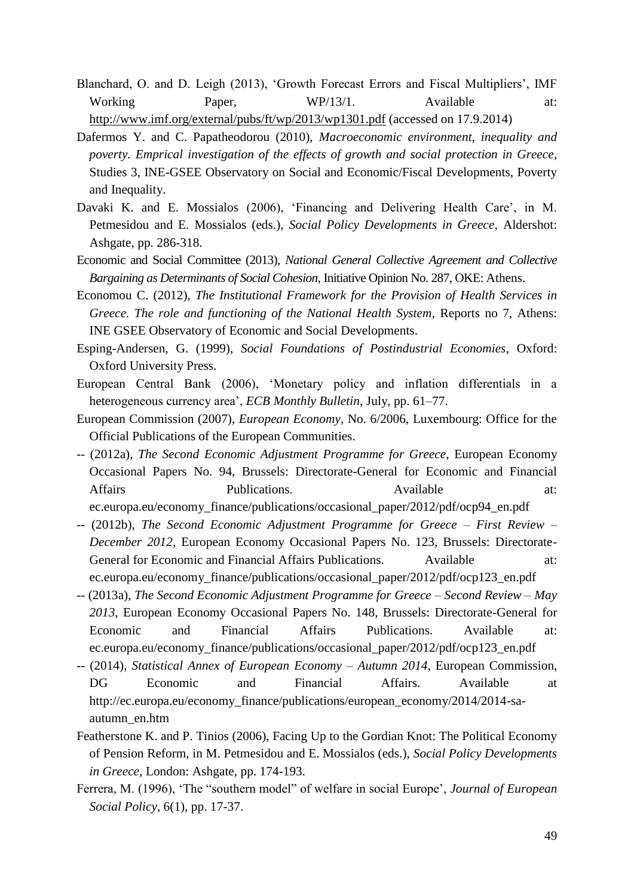- Blanchard, O. and D. Leigh (2013), 'Growth Forecast Errors and Fiscal Multipliers', IMF Working Paper, WP/13/1. Available at: <http://www.imf.org/external/pubs/ft/wp/2013/wp1301.pdf> (accessed on 17.9.2014)
- Dafermos Y. and C. Papatheodorou (2010), *Macroeconomic environment, inequality and poverty. Emprical investigation of the effects of growth and social protection in Greece*, Studies 3, INE-GSEE Observatory on Social and Economic/Fiscal Developments, Poverty and Inequality.
- Davaki K. and E. Mossialos (2006), 'Financing and Delivering Health Care', in M. Petmesidou and E. Mossialos (eds.), *Social Policy Developments in Greece*, Aldershot: Ashgate, pp. 286-318.
- Economic and Social Committee (2013), *National General Collective Agreement and Collective Bargaining as Determinants of Social Cohesion*, Initiative Opinion No. 287, OKE: Athens.
- Economou C. (2012), *The Institutional Framework for the Provision of Health Services in Greece. The role and functioning of the National Health System*, Reports no 7, Athens: INE GSEE Observatory of Economic and Social Developments.
- Esping-Andersen, G. (1999), *Social Foundations of Postindustrial Economies*, Oxford: Oxford University Press.
- European Central Bank (2006), 'Monetary policy and inflation differentials in a heterogeneous currency area', *ECB Monthly Bulletin*, July, pp. 61–77.
- European Commission (2007), *European Economy*, No. 6/2006, Luxembourg: Office for the Official Publications of the European Communities.
- -- (2012a), *The Second Economic Adjustment Programme for Greece*, European Economy Occasional Papers No. 94, Brussels: Directorate-General for Economic and Financial Affairs **Publications.** Available at: ec.europa.eu/economy\_finance/publications/occasional\_paper/2012/pdf/ocp94\_en.pdf
- -- (2012b), *The Second Economic Adjustment Programme for Greece – First Review – December 2012*, European Economy Occasional Papers No. 123, Brussels: Directorate-General for Economic and Financial Affairs Publications. Available at: ec.europa.eu/economy\_finance/publications/occasional\_paper/2012/pdf/ocp123\_en.pdf
- -- (2013a), *The Second Economic Adjustment Programme for Greece – Second Review – May 2013*, European Economy Occasional Papers No. 148, Brussels: Directorate-General for Economic and Financial Affairs Publications. Available at: ec.europa.eu/economy\_finance/publications/occasional\_paper/2012/pdf/ocp123\_en.pdf
- -- (2014), *Statistical Annex of European Economy – Autumn 2014*, European Commission, DG Economic and Financial Affairs. Available at http://ec.europa.eu/economy\_finance/publications/european\_economy/2014/2014-saautumn\_en.htm
- Featherstone K. and P. Tinios (2006), Facing Up to the Gordian Knot: The Political Economy of Pension Reform, in M. Petmesidou and E. Mossialos (eds.), *Social Policy Developments in Greece,* London: Ashgate, pp. 174-193.
- Ferrera, M. (1996), 'The "southern model" of welfare in social Europe', *Journal of European Social Policy*, 6(1), pp. 17-37.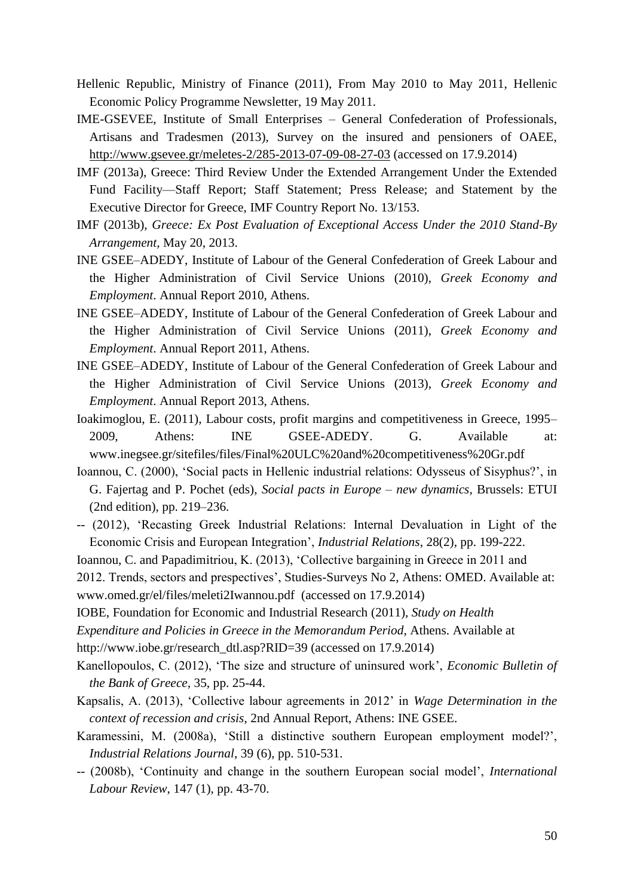- Hellenic Republic, Ministry of Finance (2011), From May 2010 to May 2011, Hellenic Economic Policy Programme Newsletter, 19 May 2011.
- IME-GSEVEE, Institute of Small Enterprises General Confederation of Professionals, Artisans and Tradesmen (2013), Survey on the insured and pensioners of OAEE, <http://www.gsevee.gr/meletes-2/285-2013-07-09-08-27-03> (accessed on 17.9.2014)
- IMF (2013a), Greece: Third Review Under the Extended Arrangement Under the Extended Fund Facility—Staff Report; Staff Statement; Press Release; and Statement by the Executive Director for Greece, IMF Country Report No. 13/153.
- IMF (2013b), *Greece: Ex Post Evaluation of Exceptional Access Under the 2010 Stand-By Arrangement*, May 20, 2013.
- INE GSEE–ADEDY, Institute of Labour of the General Confederation of Greek Labour and the Higher Administration of Civil Service Unions (2010), *Greek Economy and Employment*. Annual Report 2010, Athens.
- INE GSEE–ADEDY, Institute of Labour of the General Confederation of Greek Labour and the Higher Administration of Civil Service Unions (2011), *Greek Economy and Employment*. Annual Report 2011, Athens.
- INE GSEE–ADEDY, Institute of Labour of the General Confederation of Greek Labour and the Higher Administration of Civil Service Unions (2013), *Greek Economy and Employment*. Annual Report 2013, Athens.
- Ioakimoglou, E. (2011), Labour costs, profit margins and competitiveness in Greece, 1995– 2009, Athens: INE GSEE-ADEDY. G. Available at: www.inegsee.gr/sitefiles/files/Final%20ULC%20and%20competitiveness%20Gr.pdf
- Ioannou, C. (2000), 'Social pacts in Hellenic industrial relations: Odysseus of Sisyphus?', in G. Fajertag and P. Pochet (eds), *Social pacts in Europe – new dynamics*, Brussels: ETUI (2nd edition), pp. 219–236.
- -- (2012), 'Recasting Greek Industrial Relations: Internal Devaluation in Light of the Economic Crisis and European Integration', *Industrial Relations*, 28(2), pp. 199-222.

Ioannou, C. and Papadimitriou, K. (2013), 'Collective bargaining in Greece in 2011 and 2012. Trends, sectors and prespectives', Studies-Surveys No 2, Athens: OMED. Available at:

[www.omed.gr/el/files/meleti2Iwannou.pdf](http://www.omed.gr/el/files/meleti2Iwannou.pdf) (accessed on 17.9.2014)

IOBE, Foundation for Economic and Industrial Research (2011), *Study on Health* 

*Expenditure and Policies in Greece in the Memorandum Period*, Athens. Available at

[http://www.iobe.gr/research\\_dtl.asp?RID=39](http://www.iobe.gr/research_dtl.asp?RID=39) (accessed on 17.9.2014)

- Kanellopoulos, C. (2012), 'The size and structure of uninsured work', *Economic Bulletin of the Bank of Greece*, 35, pp. 25-44.
- Kapsalis, A. (2013), 'Collective labour agreements in 2012' in *Wage Determination in the context of recession and crisis*, 2nd Annual Report, Athens: INE GSEE.
- Karamessini, M. (2008a), 'Still a distinctive southern European employment model?', *Industrial Relations Journal*, 39 (6), pp. 510-531.
- -- (2008b), 'Continuity and change in the southern European social model', *International Labour Review*, 147 (1), pp. 43-70.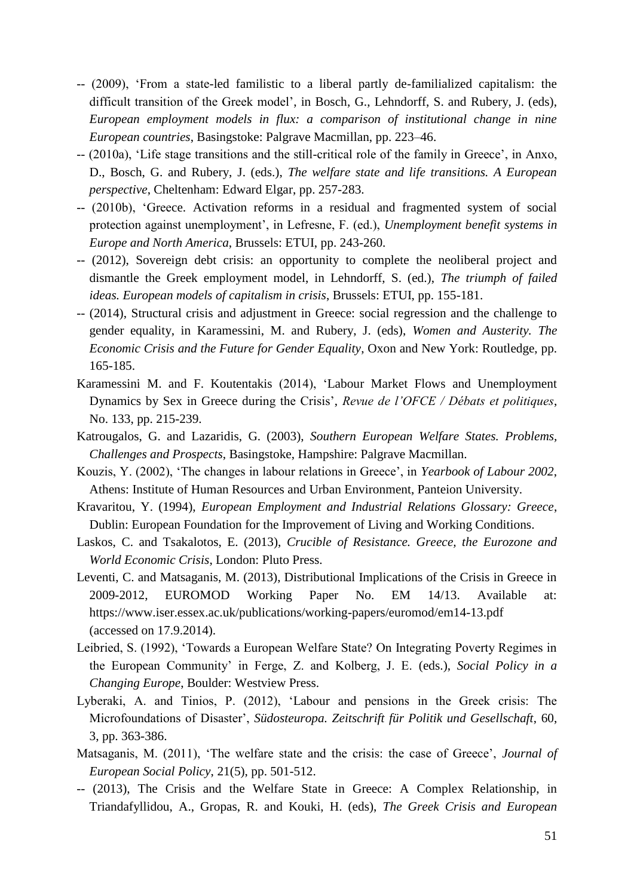- -- (2009), 'From a state-led familistic to a liberal partly de-familialized capitalism: the difficult transition of the Greek model', in Bosch, G., Lehndorff, S. and Rubery, J. (eds), *European employment models in flux: a comparison of institutional change in nine European countries*, Basingstoke: Palgrave Macmillan, pp. 223–46.
- -- (2010a), 'Life stage transitions and the still-critical role of the family in Greece', in Anxo, D., Bosch, G. and Rubery, J. (eds.), *The welfare state and life transitions. A European perspective*, Cheltenham: Edward Elgar, pp. 257-283.
- -- (2010b), 'Greece. Activation reforms in a residual and fragmented system of social protection against unemployment', in Lefresne, F. (ed.), *Unemployment benefit systems in Europe and North America*, Brussels: ETUI, pp. 243-260.
- -- (2012), Sovereign debt crisis: an opportunity to complete the neoliberal project and dismantle the Greek employment model, in Lehndorff, S. (ed.), *The triumph of failed ideas. European models of capitalism in crisis*, Brussels: ETUI, pp. 155-181.
- -- (2014), Structural crisis and adjustment in Greece: social regression and the challenge to gender equality, in Karamessini, M. and Rubery, J. (eds), *Women and Austerity. The Economic Crisis and the Future for Gender Equality*, Oxon and New York: Routledge, pp. 165-185.
- Karamessini M. and F. Koutentakis (2014), 'Labour Market Flows and Unemployment Dynamics by Sex in Greece during the Crisis', *Revue de l'OFCE / Débats et politiques*, No. 133, pp. 215-239.
- Katrougalos, G. and Lazaridis, G. (2003), *Southern European Welfare States. Problems, Challenges and Prospects*, Basingstoke, Hampshire: Palgrave Macmillan.
- Kouzis, Y. (2002), 'The changes in labour relations in Greece', in *Yearbook of Labour 2002*, Athens: Institute of Human Resources and Urban Environment, Panteion University.
- Kravaritou, Y. (1994), *European Employment and Industrial Relations Glossary: Greece*, Dublin: European Foundation for the Improvement of Living and Working Conditions.
- Laskos, C. and Tsakalotos, E. (2013), *Crucible of Resistance. Greece, the Eurozone and World Economic Crisis*, London: Pluto Press.
- Leventi, C. and Matsaganis, M. (2013), Distributional Implications of the Crisis in Greece in 2009-2012, EUROMOD Working Paper No. EM 14/13. Available at: <https://www.iser.essex.ac.uk/publications/working-papers/euromod/em14-13.pdf> (accessed on 17.9.2014).
- Leibried, S. (1992), 'Towards a European Welfare State? On Integrating Poverty Regimes in the European Community' in Ferge, Z. and Kolberg, J. E. (eds.), *Social Policy in a Changing Europe*, Boulder: Westview Press.
- Lyberaki, A. and Tinios, P. (2012), 'Labour and pensions in the Greek crisis: The Microfoundations of Disaster', *Südosteuropa. Zeitschrift für Politik und Gesellschaft*, 60, 3, pp. 363-386.
- Matsaganis, M. (2011), 'The welfare state and the crisis: the case of Greece', *Journal of European Social Policy*, 21(5), pp. 501-512.
- -- (2013), The Crisis and the Welfare State in Greece: A Complex Relationship, in Triandafyllidou, A., Gropas, R. and Kouki, H. (eds), *The Greek Crisis and European*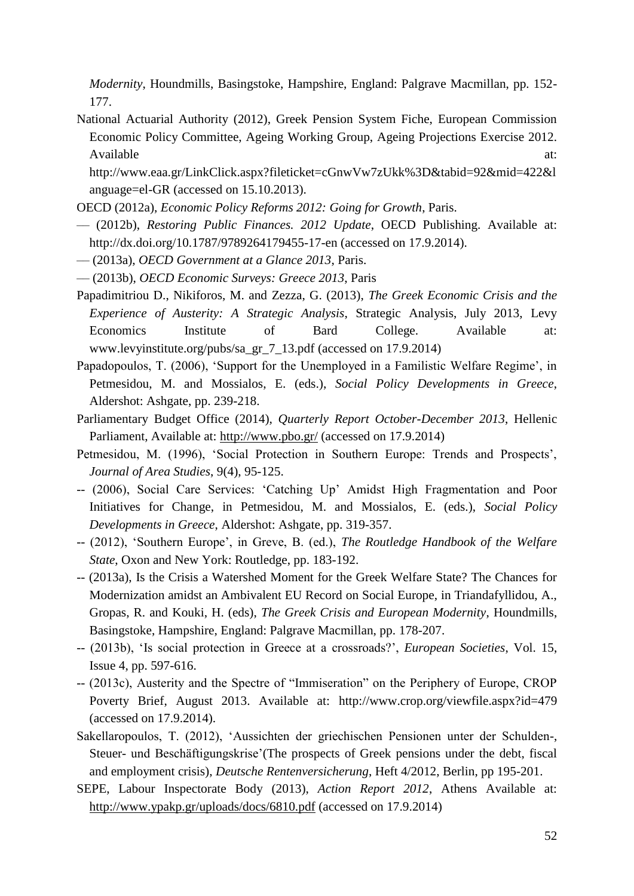*Modernity*, Houndmills, Basingstoke, Hampshire, England: Palgrave Macmillan, pp. 152- 177.

National Actuarial Authority (2012), Greek Pension System Fiche, European Commission Economic Policy Committee, Ageing Working Group, Ageing Projections Exercise 2012. Available at:  $\alpha$ 

[http://www.eaa.gr/LinkClick.aspx?fileticket=cGnwVw7zUkk%3D&tabid=92&mid=422&l](http://www.eaa.gr/LinkClick.aspx?fileticket=cGnwVw7zUkk%3D&tabid=92&mid=422&language=el-GR) [anguage=el-GR](http://www.eaa.gr/LinkClick.aspx?fileticket=cGnwVw7zUkk%3D&tabid=92&mid=422&language=el-GR) (accessed on 15.10.2013).

- OECD (2012a), *Economic Policy Reforms 2012: Going for Growth*, Paris.
- –– (2012b), *Restoring Public Finances. 2012 Update*, OECD Publishing. Available at: <http://dx.doi.org/10.1787/9789264179455-17-en> (accessed on 17.9.2014).
- –– (2013a), *OECD Government at a Glance 2013*, Paris.
- –– (2013b), *OECD Economic Surveys: Greece 2013*, Paris
- Papadimitriou D., Nikiforos, M. and Zezza, G. (2013), *The Greek Economic Crisis and the Experience of Austerity: A Strategic Analysis*, Strategic Analysis, July 2013, Levy Economics Institute of Bard College. Available at: [www.levyinstitute.org/pubs/sa\\_gr\\_7\\_13.pdf](http://www.levyinstitute.org/pubs/sa_gr_7_13.pdf) (accessed on 17.9.2014)
- Papadopoulos, T. (2006), 'Support for the Unemployed in a Familistic Welfare Regime', in Petmesidou, M. and Mossialos, E. (eds.), *Social Policy Developments in Greece*, Aldershot: Ashgate, pp. 239-218.
- Parliamentary Budget Office (2014), *Quarterly Report October-December 2013*, Hellenic Parliament, Available at:<http://www.pbo.gr/> (accessed on 17.9.2014)
- Petmesidou, M. (1996), 'Social Protection in Southern Europe: Trends and Prospects', *Journal of Area Studies*, 9(4), 95-125.
- -- (2006), Social Care Services: 'Catching Up' Amidst High Fragmentation and Poor Initiatives for Change, in Petmesidou, M. and Mossialos, E. (eds.), *Social Policy Developments in Greece*, Aldershot: Ashgate, pp. 319-357.
- -- (2012), 'Southern Europe', in Greve, B. (ed.), *The Routledge Handbook of the Welfare State*, Oxon and New York: Routledge, pp. 183-192.
- -- (2013a), Is the Crisis a Watershed Moment for the Greek Welfare State? The Chances for Modernization amidst an Ambivalent EU Record on Social Europe, in Triandafyllidou, A., Gropas, R. and Kouki, H. (eds), *The Greek Crisis and European Modernity*, Houndmills, Basingstoke, Hampshire, England: Palgrave Macmillan, pp. 178-207.
- -- (2013b), 'Is social protection in Greece at a crossroads?', *European Societies*, Vol. 15, Issue 4, pp. 597-616.
- -- (2013c), Austerity and the Spectre of "Immiseration" on the Periphery of Europe, CROP Poverty Brief, August 2013. Available at: <http://www.crop.org/viewfile.aspx?id=479> (accessed on 17.9.2014).
- Sakellaropoulos, T. (2012), 'Aussichten der griechischen Pensionen unter der Schulden-, Steuer- und Beschäftigungskrise'(The prospects of Greek pensions under the debt, fiscal and employment crisis), *Deutsche Rentenversicherung*, Heft 4/2012, Berlin, pp 195-201.
- SEPE, Labour Inspectorate Body (2013), *Action Report 2012*, Athens Available at: <http://www.ypakp.gr/uploads/docs/6810.pdf> (accessed on 17.9.2014)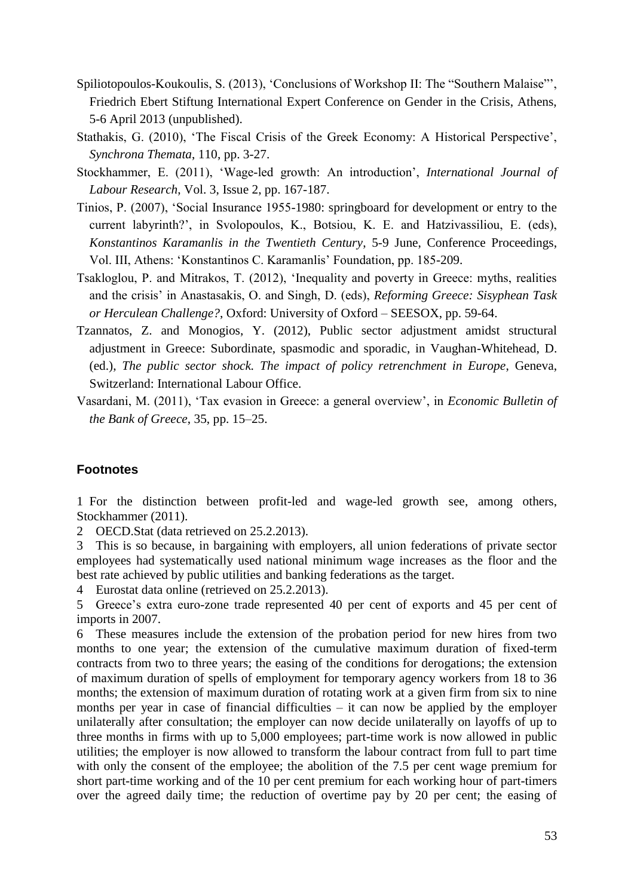- Spiliotopoulos-Koukoulis, S. (2013), 'Conclusions of Workshop II: The "Southern Malaise"', Friedrich Ebert Stiftung International Expert Conference on Gender in the Crisis, Athens, 5-6 April 2013 (unpublished).
- Stathakis, G. (2010), 'The Fiscal Crisis of the Greek Economy: A Historical Perspective', *Synchrona Themata*, 110, pp. 3-27.
- Stockhammer, E. (2011), 'Wage-led growth: An introduction', *International Journal of Labour Research*, Vol. 3, Issue 2, pp. 167-187.
- Tinios, P. (2007), 'Social Insurance 1955-1980: springboard for development or entry to the current labyrinth?', in Svolopoulos, K., Botsiou, K. E. and Hatzivassiliou, E. (eds), *Konstantinos Karamanlis in the Twentieth Century*, 5-9 June, Conference Proceedings, Vol. III, Athens: 'Konstantinos C. Karamanlis' Foundation, pp. 185-209.
- Tsakloglou, P. and Mitrakos, T. (2012), 'Inequality and poverty in Greece: myths, realities and the crisis' in Anastasakis, O. and Singh, D. (eds), *Reforming Greece: Sisyphean Task or Herculean Challenge?*, Oxford: University of Oxford – SEESOX, pp. 59-64.
- Tzannatos, Z. and Monogios, Y. (2012), Public sector adjustment amidst structural adjustment in Greece: Subordinate, spasmodic and sporadic, in Vaughan-Whitehead, D. (ed.), *The public sector shock. The impact of policy retrenchment in Europe*, Geneva, Switzerland: International Labour Office.
- Vasardani, M. (2011), 'Tax evasion in Greece: a general overview', in *Economic Bulletin of the Bank of Greece*, 35, pp. 15–25.

# **Footnotes**

1 For the distinction between profit-led and wage-led growth see, among others, Stockhammer (2011).

2 OECD.Stat (data retrieved on 25.2.2013).

3 This is so because, in bargaining with employers, all union federations of private sector employees had systematically used national minimum wage increases as the floor and the best rate achieved by public utilities and banking federations as the target.

4 Eurostat data online (retrieved on 25.2.2013).

5 Greece's extra euro-zone trade represented 40 per cent of exports and 45 per cent of imports in 2007.

6 These measures include the extension of the probation period for new hires from two months to one year; the extension of the cumulative maximum duration of fixed-term contracts from two to three years; the easing of the conditions for derogations; the extension of maximum duration of spells of employment for temporary agency workers from 18 to 36 months; the extension of maximum duration of rotating work at a given firm from six to nine months per year in case of financial difficulties – it can now be applied by the employer unilaterally after consultation; the employer can now decide unilaterally on layoffs of up to three months in firms with up to 5,000 employees; part-time work is now allowed in public utilities; the employer is now allowed to transform the labour contract from full to part time with only the consent of the employee; the abolition of the 7.5 per cent wage premium for short part-time working and of the 10 per cent premium for each working hour of part-timers over the agreed daily time; the reduction of overtime pay by 20 per cent; the easing of